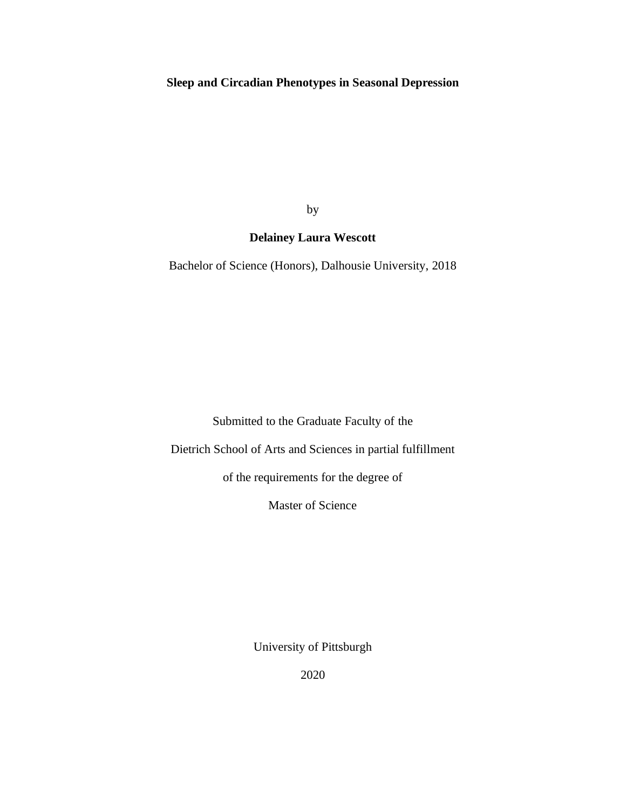## **Sleep and Circadian Phenotypes in Seasonal Depression**

by

## **Delainey Laura Wescott**

Bachelor of Science (Honors), Dalhousie University, 2018

Submitted to the Graduate Faculty of the

Dietrich School of Arts and Sciences in partial fulfillment

of the requirements for the degree of

Master of Science

University of Pittsburgh

2020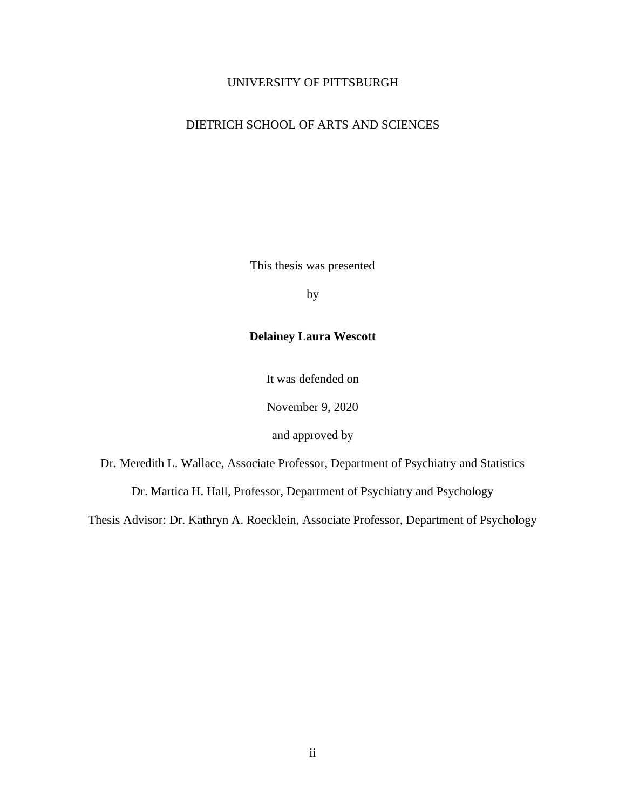## UNIVERSITY OF PITTSBURGH

## DIETRICH SCHOOL OF ARTS AND SCIENCES

This thesis was presented

by

## **Delainey Laura Wescott**

It was defended on

November 9, 2020

and approved by

Dr. Meredith L. Wallace, Associate Professor, Department of Psychiatry and Statistics

Dr. Martica H. Hall, Professor, Department of Psychiatry and Psychology

Thesis Advisor: Dr. Kathryn A. Roecklein, Associate Professor, Department of Psychology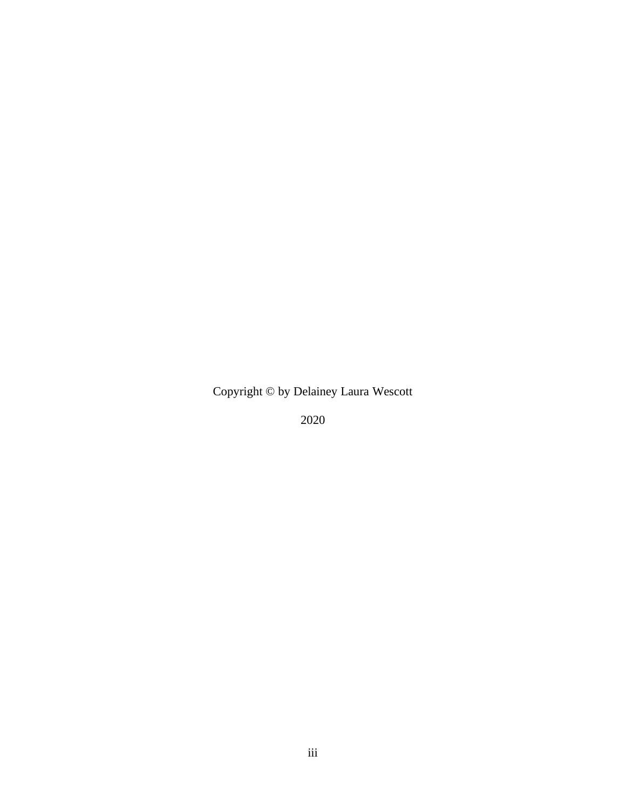Copyright © by Delainey Laura Wescott

2020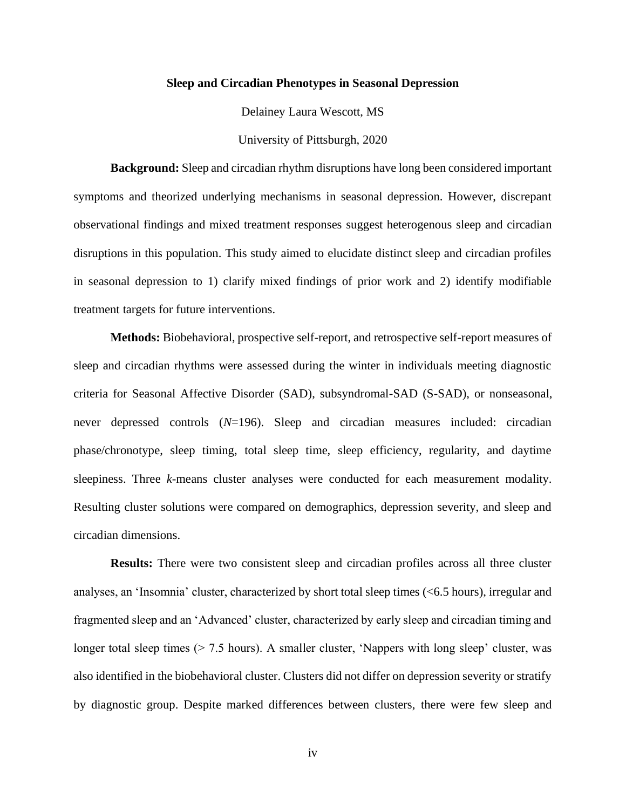#### **Sleep and Circadian Phenotypes in Seasonal Depression**

Delainey Laura Wescott, MS

University of Pittsburgh, 2020

**Background:** Sleep and circadian rhythm disruptions have long been considered important symptoms and theorized underlying mechanisms in seasonal depression. However, discrepant observational findings and mixed treatment responses suggest heterogenous sleep and circadian disruptions in this population. This study aimed to elucidate distinct sleep and circadian profiles in seasonal depression to 1) clarify mixed findings of prior work and 2) identify modifiable treatment targets for future interventions.

**Methods:** Biobehavioral, prospective self-report, and retrospective self-report measures of sleep and circadian rhythms were assessed during the winter in individuals meeting diagnostic criteria for Seasonal Affective Disorder (SAD), subsyndromal-SAD (S-SAD), or nonseasonal, never depressed controls (*N*=196). Sleep and circadian measures included: circadian phase/chronotype, sleep timing, total sleep time, sleep efficiency, regularity, and daytime sleepiness. Three *k*-means cluster analyses were conducted for each measurement modality. Resulting cluster solutions were compared on demographics, depression severity, and sleep and circadian dimensions.

**Results:** There were two consistent sleep and circadian profiles across all three cluster analyses, an 'Insomnia' cluster, characterized by short total sleep times (<6.5 hours), irregular and fragmented sleep and an 'Advanced' cluster, characterized by early sleep and circadian timing and longer total sleep times ( $> 7.5$  hours). A smaller cluster, 'Nappers with long sleep' cluster, was also identified in the biobehavioral cluster. Clusters did not differ on depression severity or stratify by diagnostic group. Despite marked differences between clusters, there were few sleep and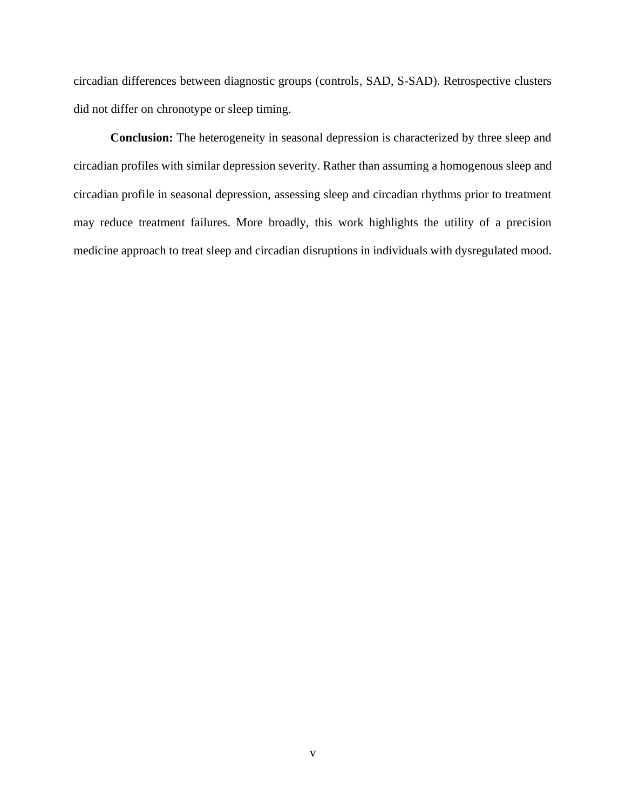circadian differences between diagnostic groups (controls, SAD, S-SAD). Retrospective clusters did not differ on chronotype or sleep timing.

**Conclusion:** The heterogeneity in seasonal depression is characterized by three sleep and circadian profiles with similar depression severity. Rather than assuming a homogenous sleep and circadian profile in seasonal depression, assessing sleep and circadian rhythms prior to treatment may reduce treatment failures. More broadly, this work highlights the utility of a precision medicine approach to treat sleep and circadian disruptions in individuals with dysregulated mood.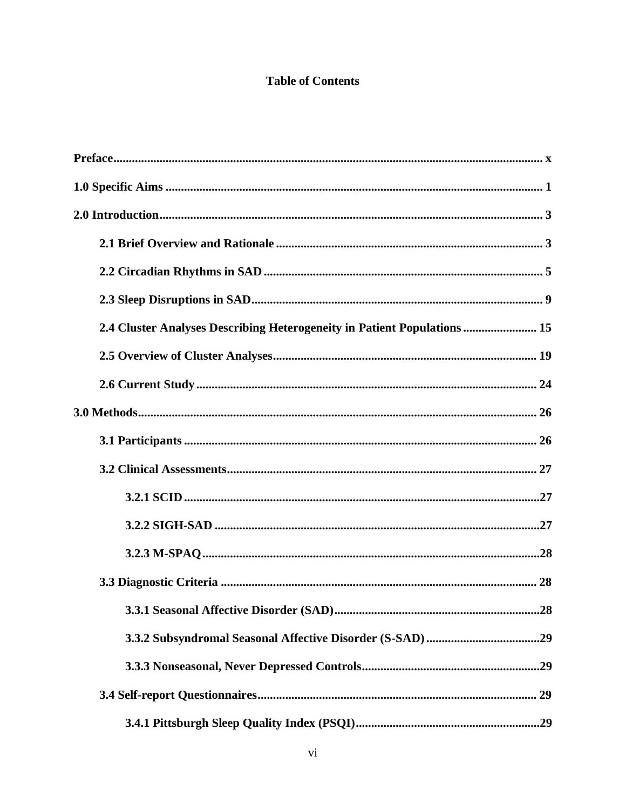# **Table of Contents**

| 2.4 Cluster Analyses Describing Heterogeneity in Patient Populations  15 |
|--------------------------------------------------------------------------|
|                                                                          |
|                                                                          |
|                                                                          |
|                                                                          |
|                                                                          |
|                                                                          |
|                                                                          |
|                                                                          |
|                                                                          |
| 28                                                                       |
|                                                                          |
|                                                                          |
|                                                                          |
|                                                                          |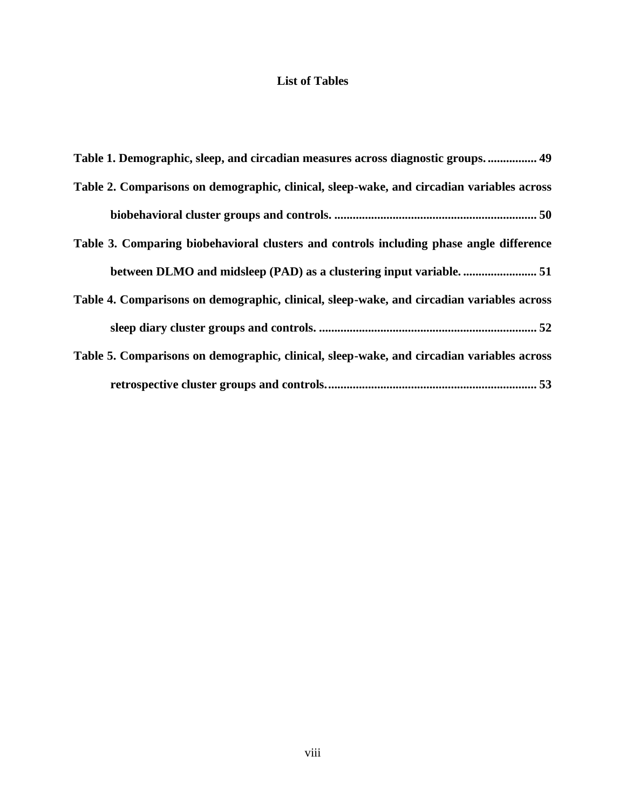## **List of Tables**

| Table 1. Demographic, sleep, and circadian measures across diagnostic groups 49           |
|-------------------------------------------------------------------------------------------|
| Table 2. Comparisons on demographic, clinical, sleep-wake, and circadian variables across |
|                                                                                           |
| Table 3. Comparing biobehavioral clusters and controls including phase angle difference   |
|                                                                                           |
| Table 4. Comparisons on demographic, clinical, sleep-wake, and circadian variables across |
|                                                                                           |
| Table 5. Comparisons on demographic, clinical, sleep-wake, and circadian variables across |
|                                                                                           |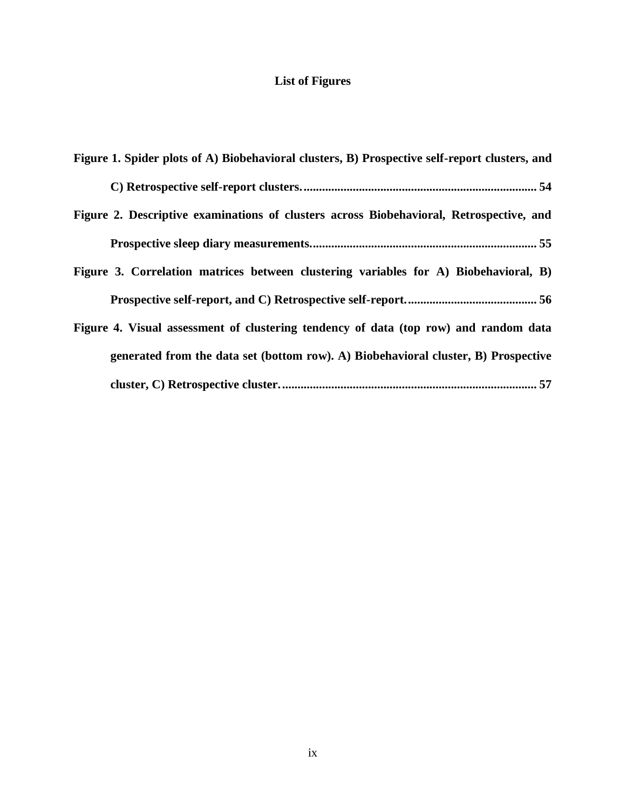# **List of Figures**

| Figure 1. Spider plots of A) Biobehavioral clusters, B) Prospective self-report clusters, and |
|-----------------------------------------------------------------------------------------------|
|                                                                                               |
| Figure 2. Descriptive examinations of clusters across Biobehavioral, Retrospective, and       |
|                                                                                               |
| Figure 3. Correlation matrices between clustering variables for A) Biobehavioral, B)          |
|                                                                                               |
| Figure 4. Visual assessment of clustering tendency of data (top row) and random data          |
| generated from the data set (bottom row). A) Biobehavioral cluster, B) Prospective            |
|                                                                                               |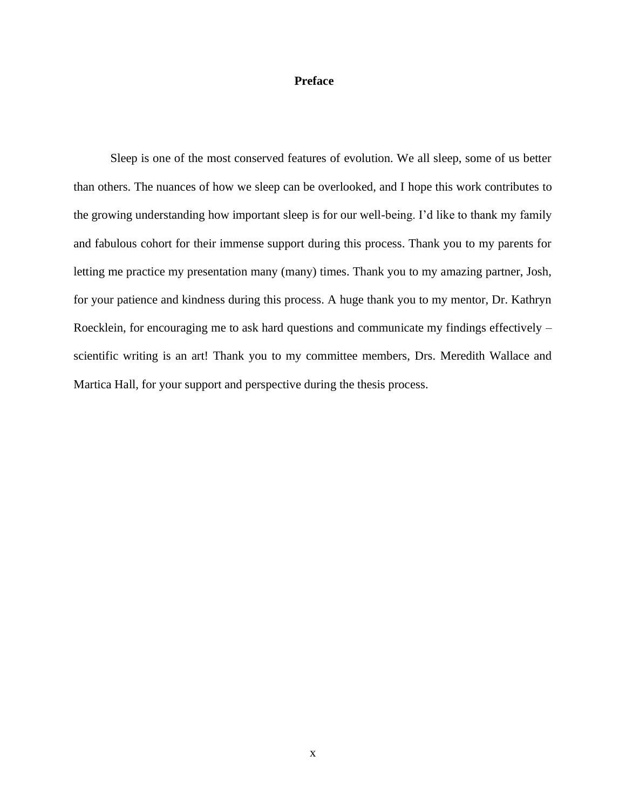## <span id="page-9-0"></span>**Preface**

Sleep is one of the most conserved features of evolution. We all sleep, some of us better than others. The nuances of how we sleep can be overlooked, and I hope this work contributes to the growing understanding how important sleep is for our well-being. I'd like to thank my family and fabulous cohort for their immense support during this process. Thank you to my parents for letting me practice my presentation many (many) times. Thank you to my amazing partner, Josh, for your patience and kindness during this process. A huge thank you to my mentor, Dr. Kathryn Roecklein, for encouraging me to ask hard questions and communicate my findings effectively – scientific writing is an art! Thank you to my committee members, Drs. Meredith Wallace and Martica Hall, for your support and perspective during the thesis process.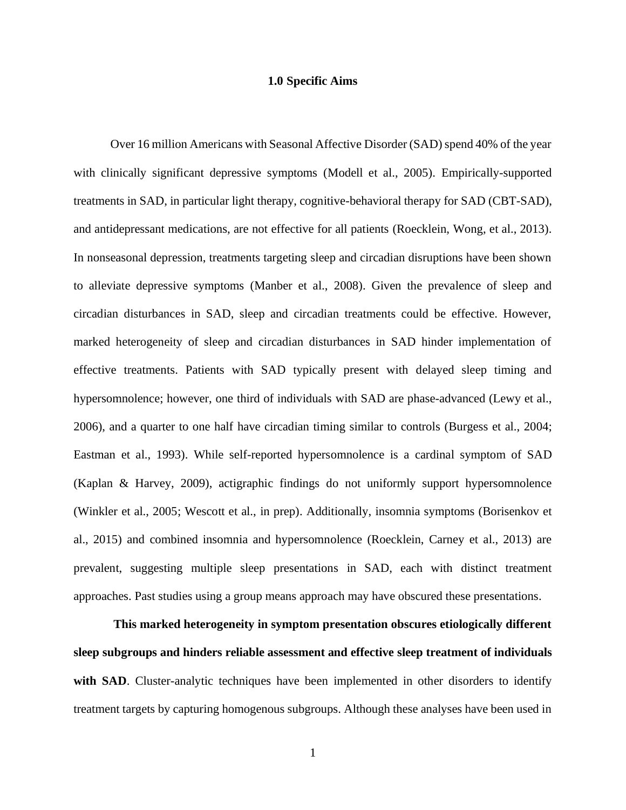#### **1.0 Specific Aims**

<span id="page-10-0"></span>Over 16 million Americans with Seasonal Affective Disorder (SAD) spend 40% of the year with clinically significant depressive symptoms (Modell et al., 2005). Empirically-supported treatments in SAD, in particular light therapy, cognitive-behavioral therapy for SAD (CBT-SAD), and antidepressant medications, are not effective for all patients (Roecklein, Wong, et al., 2013). In nonseasonal depression, treatments targeting sleep and circadian disruptions have been shown to alleviate depressive symptoms (Manber et al., 2008). Given the prevalence of sleep and circadian disturbances in SAD, sleep and circadian treatments could be effective. However, marked heterogeneity of sleep and circadian disturbances in SAD hinder implementation of effective treatments. Patients with SAD typically present with delayed sleep timing and hypersomnolence; however, one third of individuals with SAD are phase-advanced (Lewy et al., 2006), and a quarter to one half have circadian timing similar to controls (Burgess et al., 2004; Eastman et al., 1993). While self-reported hypersomnolence is a cardinal symptom of SAD (Kaplan & Harvey, 2009), actigraphic findings do not uniformly support hypersomnolence (Winkler et al., 2005; Wescott et al., in prep). Additionally, insomnia symptoms (Borisenkov et al., 2015) and combined insomnia and hypersomnolence (Roecklein, Carney et al., 2013) are prevalent, suggesting multiple sleep presentations in SAD, each with distinct treatment approaches. Past studies using a group means approach may have obscured these presentations.

 **This marked heterogeneity in symptom presentation obscures etiologically different sleep subgroups and hinders reliable assessment and effective sleep treatment of individuals**  with SAD. Cluster-analytic techniques have been implemented in other disorders to identify treatment targets by capturing homogenous subgroups. Although these analyses have been used in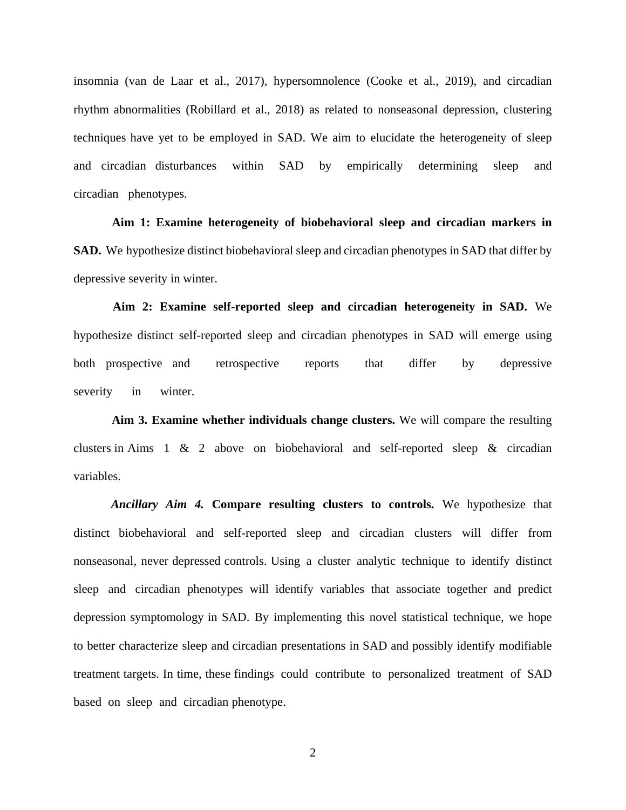insomnia (van de Laar et al., 2017), hypersomnolence (Cooke et al., 2019), and circadian rhythm abnormalities (Robillard et al., 2018) as related to nonseasonal depression, clustering techniques have yet to be employed in SAD. We aim to elucidate the heterogeneity of sleep and circadian disturbances within SAD by empirically determining sleep and circadian phenotypes.

**Aim 1: Examine heterogeneity of biobehavioral sleep and circadian markers in SAD.** We hypothesize distinct biobehavioral sleep and circadian phenotypes in SAD that differ by depressive severity in winter.

**Aim 2: Examine self-reported sleep and circadian heterogeneity in SAD.** We hypothesize distinct self-reported sleep and circadian phenotypes in SAD will emerge using both prospective and retrospective reports that differ by depressive severity in winter.

**Aim 3. Examine whether individuals change clusters.** We will compare the resulting clusters in Aims 1 & 2 above on biobehavioral and self-reported sleep & circadian variables.

*Ancillary Aim 4.* **Compare resulting clusters to controls.** We hypothesize that distinct biobehavioral and self-reported sleep and circadian clusters will differ from nonseasonal, never depressed controls. Using a cluster analytic technique to identify distinct sleep and circadian phenotypes will identify variables that associate together and predict depression symptomology in SAD. By implementing this novel statistical technique, we hope to better characterize sleep and circadian presentations in SAD and possibly identify modifiable treatment targets. In time, these findings could contribute to personalized treatment of SAD based on sleep and circadian phenotype.

2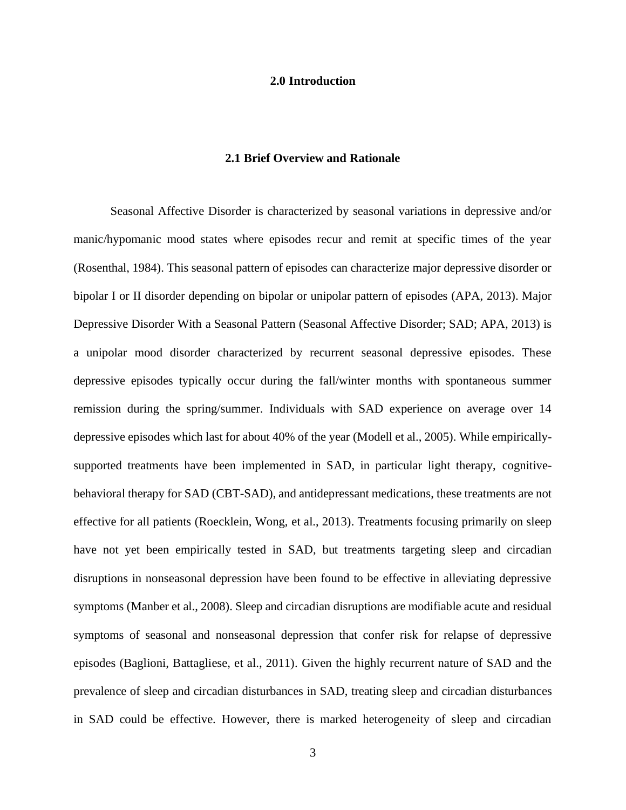#### **2.0 Introduction**

#### **2.1 Brief Overview and Rationale**

<span id="page-12-1"></span><span id="page-12-0"></span>Seasonal Affective Disorder is characterized by seasonal variations in depressive and/or manic/hypomanic mood states where episodes recur and remit at specific times of the year (Rosenthal, 1984). This seasonal pattern of episodes can characterize major depressive disorder or bipolar I or II disorder depending on bipolar or unipolar pattern of episodes (APA, 2013). Major Depressive Disorder With a Seasonal Pattern (Seasonal Affective Disorder; SAD; APA, 2013) is a unipolar mood disorder characterized by recurrent seasonal depressive episodes. These depressive episodes typically occur during the fall/winter months with spontaneous summer remission during the spring/summer. Individuals with SAD experience on average over 14 depressive episodes which last for about 40% of the year (Modell et al., 2005). While empiricallysupported treatments have been implemented in SAD, in particular light therapy, cognitivebehavioral therapy for SAD (CBT-SAD), and antidepressant medications, these treatments are not effective for all patients (Roecklein, Wong, et al., 2013). Treatments focusing primarily on sleep have not yet been empirically tested in SAD, but treatments targeting sleep and circadian disruptions in nonseasonal depression have been found to be effective in alleviating depressive symptoms (Manber et al., 2008). Sleep and circadian disruptions are modifiable acute and residual symptoms of seasonal and nonseasonal depression that confer risk for relapse of depressive episodes (Baglioni, Battagliese, et al., 2011). Given the highly recurrent nature of SAD and the prevalence of sleep and circadian disturbances in SAD, treating sleep and circadian disturbances in SAD could be effective. However, there is marked heterogeneity of sleep and circadian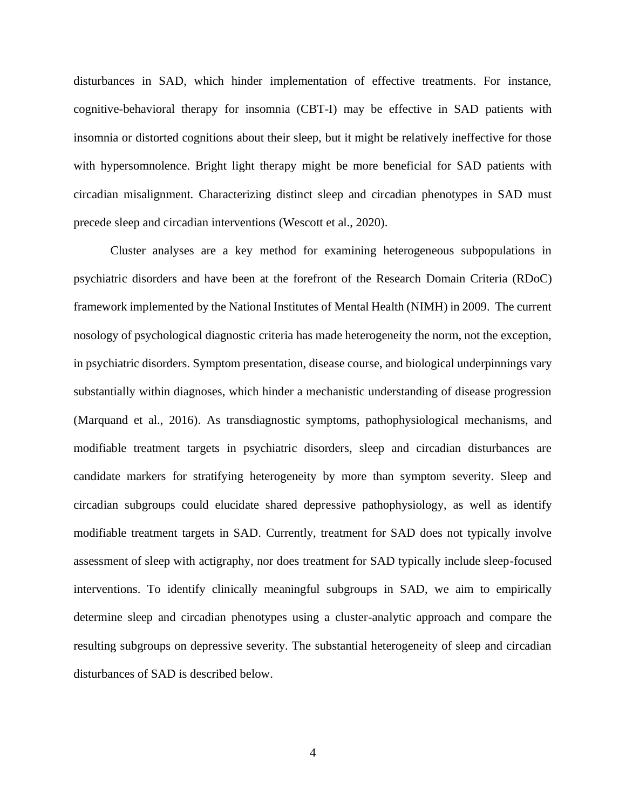disturbances in SAD, which hinder implementation of effective treatments. For instance, cognitive-behavioral therapy for insomnia (CBT-I) may be effective in SAD patients with insomnia or distorted cognitions about their sleep, but it might be relatively ineffective for those with hypersomnolence. Bright light therapy might be more beneficial for SAD patients with circadian misalignment. Characterizing distinct sleep and circadian phenotypes in SAD must precede sleep and circadian interventions (Wescott et al., 2020).

Cluster analyses are a key method for examining heterogeneous subpopulations in psychiatric disorders and have been at the forefront of the Research Domain Criteria (RDoC) framework implemented by the National Institutes of Mental Health (NIMH) in 2009. The current nosology of psychological diagnostic criteria has made heterogeneity the norm, not the exception, in psychiatric disorders. Symptom presentation, disease course, and biological underpinnings vary substantially within diagnoses, which hinder a mechanistic understanding of disease progression (Marquand et al., 2016). As transdiagnostic symptoms, pathophysiological mechanisms, and modifiable treatment targets in psychiatric disorders, sleep and circadian disturbances are candidate markers for stratifying heterogeneity by more than symptom severity. Sleep and circadian subgroups could elucidate shared depressive pathophysiology, as well as identify modifiable treatment targets in SAD. Currently, treatment for SAD does not typically involve assessment of sleep with actigraphy, nor does treatment for SAD typically include sleep-focused interventions. To identify clinically meaningful subgroups in SAD, we aim to empirically determine sleep and circadian phenotypes using a cluster-analytic approach and compare the resulting subgroups on depressive severity. The substantial heterogeneity of sleep and circadian disturbances of SAD is described below.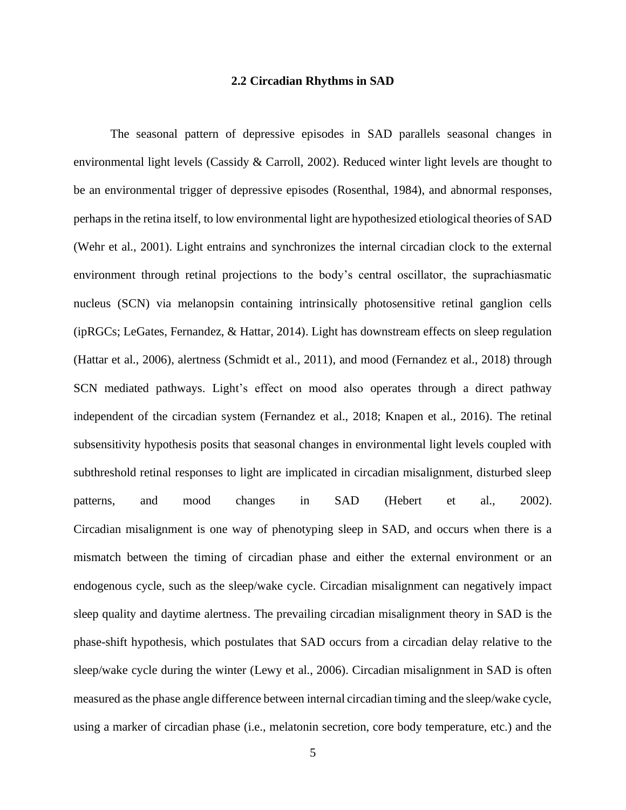#### **2.2 Circadian Rhythms in SAD**

<span id="page-14-0"></span>The seasonal pattern of depressive episodes in SAD parallels seasonal changes in environmental light levels (Cassidy & Carroll, 2002). Reduced winter light levels are thought to be an environmental trigger of depressive episodes (Rosenthal, 1984), and abnormal responses, perhaps in the retina itself, to low environmental light are hypothesized etiological theories of SAD (Wehr et al., 2001). Light entrains and synchronizes the internal circadian clock to the external environment through retinal projections to the body's central oscillator, the suprachiasmatic nucleus (SCN) via melanopsin containing intrinsically photosensitive retinal ganglion cells (ipRGCs; LeGates, Fernandez, & Hattar, 2014). Light has downstream effects on sleep regulation (Hattar et al., 2006), alertness (Schmidt et al., 2011), and mood (Fernandez et al., 2018) through SCN mediated pathways. Light's effect on mood also operates through a direct pathway independent of the circadian system (Fernandez et al., 2018; Knapen et al., 2016). The retinal subsensitivity hypothesis posits that seasonal changes in environmental light levels coupled with subthreshold retinal responses to light are implicated in circadian misalignment, disturbed sleep patterns, and mood changes in SAD (Hebert et al., 2002). Circadian misalignment is one way of phenotyping sleep in SAD, and occurs when there is a mismatch between the timing of circadian phase and either the external environment or an endogenous cycle, such as the sleep/wake cycle. Circadian misalignment can negatively impact sleep quality and daytime alertness. The prevailing circadian misalignment theory in SAD is the phase-shift hypothesis, which postulates that SAD occurs from a circadian delay relative to the sleep/wake cycle during the winter (Lewy et al., 2006). Circadian misalignment in SAD is often measured as the phase angle difference between internal circadian timing and the sleep/wake cycle, using a marker of circadian phase (i.e., melatonin secretion, core body temperature, etc.) and the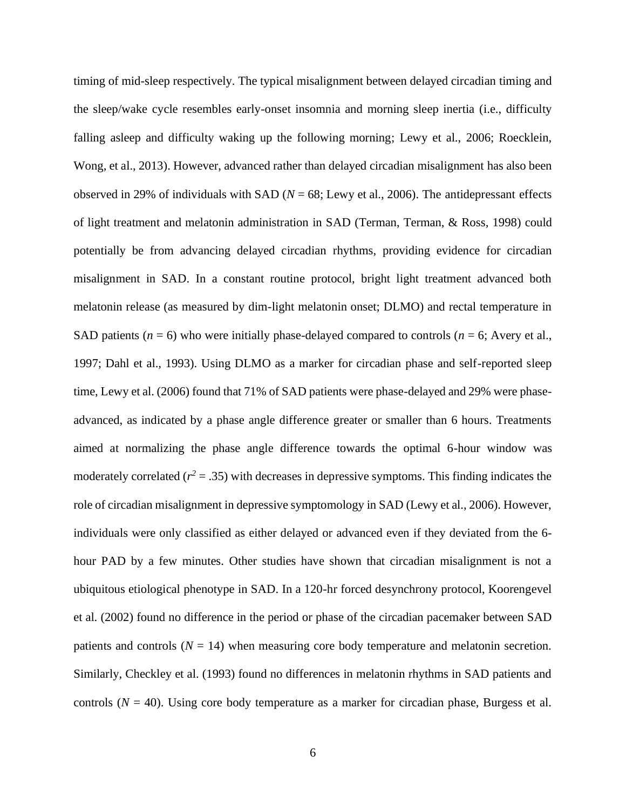timing of mid-sleep respectively. The typical misalignment between delayed circadian timing and the sleep/wake cycle resembles early-onset insomnia and morning sleep inertia (i.e., difficulty falling asleep and difficulty waking up the following morning; Lewy et al., 2006; Roecklein, Wong, et al., 2013). However, advanced rather than delayed circadian misalignment has also been observed in 29% of individuals with SAD ( $N = 68$ ; Lewy et al., 2006). The antidepressant effects of light treatment and melatonin administration in SAD (Terman, Terman, & Ross, 1998) could potentially be from advancing delayed circadian rhythms, providing evidence for circadian misalignment in SAD. In a constant routine protocol, bright light treatment advanced both melatonin release (as measured by dim-light melatonin onset; DLMO) and rectal temperature in SAD patients ( $n = 6$ ) who were initially phase-delayed compared to controls ( $n = 6$ ; Avery et al., 1997; Dahl et al., 1993). Using DLMO as a marker for circadian phase and self-reported sleep time, Lewy et al. (2006) found that 71% of SAD patients were phase-delayed and 29% were phaseadvanced, as indicated by a phase angle difference greater or smaller than 6 hours. Treatments aimed at normalizing the phase angle difference towards the optimal 6-hour window was moderately correlated  $(r^2 = .35)$  with decreases in depressive symptoms. This finding indicates the role of circadian misalignment in depressive symptomology in SAD (Lewy et al., 2006). However, individuals were only classified as either delayed or advanced even if they deviated from the 6 hour PAD by a few minutes. Other studies have shown that circadian misalignment is not a ubiquitous etiological phenotype in SAD. In a 120-hr forced desynchrony protocol, Koorengevel et al. (2002) found no difference in the period or phase of the circadian pacemaker between SAD patients and controls  $(N = 14)$  when measuring core body temperature and melatonin secretion. Similarly, Checkley et al. (1993) found no differences in melatonin rhythms in SAD patients and controls  $(N = 40)$ . Using core body temperature as a marker for circadian phase, Burgess et al.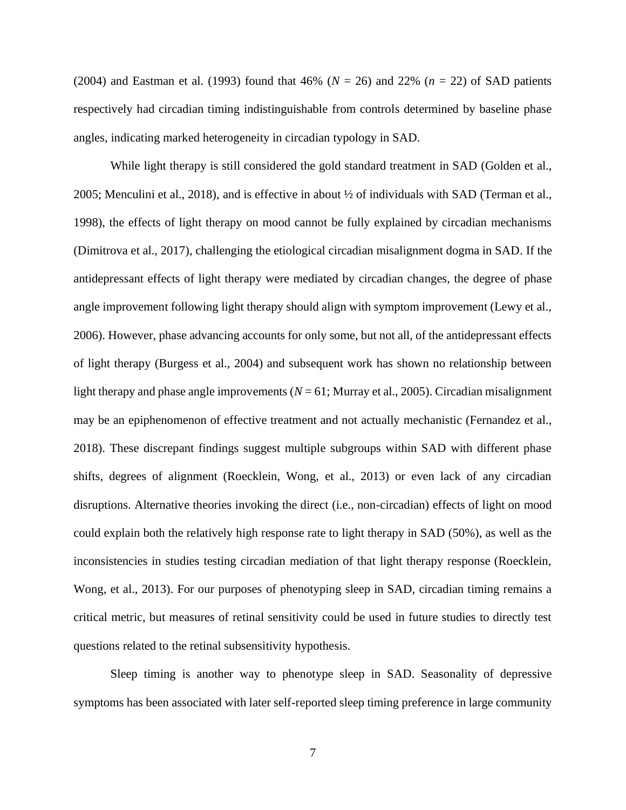(2004) and Eastman et al. (1993) found that 46% (*N* = 26) and 22% (*n* = 22) of SAD patients respectively had circadian timing indistinguishable from controls determined by baseline phase angles, indicating marked heterogeneity in circadian typology in SAD.

While light therapy is still considered the gold standard treatment in SAD (Golden et al., 2005; Menculini et al., 2018), and is effective in about ½ of individuals with SAD (Terman et al., 1998), the effects of light therapy on mood cannot be fully explained by circadian mechanisms (Dimitrova et al., 2017), challenging the etiological circadian misalignment dogma in SAD. If the antidepressant effects of light therapy were mediated by circadian changes, the degree of phase angle improvement following light therapy should align with symptom improvement (Lewy et al., 2006). However, phase advancing accounts for only some, but not all, of the antidepressant effects of light therapy (Burgess et al., 2004) and subsequent work has shown no relationship between light therapy and phase angle improvements  $(N = 61;$  Murray et al., 2005). Circadian misalignment may be an epiphenomenon of effective treatment and not actually mechanistic (Fernandez et al., 2018). These discrepant findings suggest multiple subgroups within SAD with different phase shifts, degrees of alignment (Roecklein, Wong, et al., 2013) or even lack of any circadian disruptions. Alternative theories invoking the direct (i.e., non-circadian) effects of light on mood could explain both the relatively high response rate to light therapy in SAD (50%), as well as the inconsistencies in studies testing circadian mediation of that light therapy response (Roecklein, Wong, et al., 2013). For our purposes of phenotyping sleep in SAD, circadian timing remains a critical metric, but measures of retinal sensitivity could be used in future studies to directly test questions related to the retinal subsensitivity hypothesis.

Sleep timing is another way to phenotype sleep in SAD. Seasonality of depressive symptoms has been associated with later self-reported sleep timing preference in large community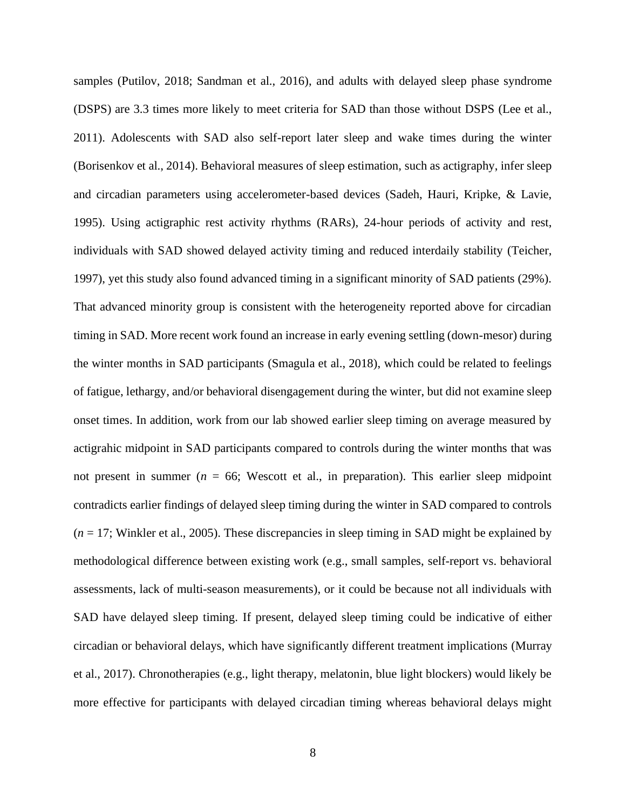samples (Putilov, 2018; Sandman et al., 2016), and adults with delayed sleep phase syndrome (DSPS) are 3.3 times more likely to meet criteria for SAD than those without DSPS (Lee et al., 2011). Adolescents with SAD also self-report later sleep and wake times during the winter (Borisenkov et al., 2014). Behavioral measures of sleep estimation, such as actigraphy, infer sleep and circadian parameters using accelerometer-based devices (Sadeh, Hauri, Kripke, & Lavie, 1995). Using actigraphic rest activity rhythms (RARs), 24-hour periods of activity and rest, individuals with SAD showed delayed activity timing and reduced interdaily stability (Teicher, 1997), yet this study also found advanced timing in a significant minority of SAD patients (29%). That advanced minority group is consistent with the heterogeneity reported above for circadian timing in SAD. More recent work found an increase in early evening settling (down-mesor) during the winter months in SAD participants (Smagula et al., 2018), which could be related to feelings of fatigue, lethargy, and/or behavioral disengagement during the winter, but did not examine sleep onset times. In addition, work from our lab showed earlier sleep timing on average measured by actigrahic midpoint in SAD participants compared to controls during the winter months that was not present in summer ( $n = 66$ ; Wescott et al., in preparation). This earlier sleep midpoint contradicts earlier findings of delayed sleep timing during the winter in SAD compared to controls  $(n = 17;$  Winkler et al., 2005). These discrepancies in sleep timing in SAD might be explained by methodological difference between existing work (e.g., small samples, self-report vs. behavioral assessments, lack of multi-season measurements), or it could be because not all individuals with SAD have delayed sleep timing. If present, delayed sleep timing could be indicative of either circadian or behavioral delays, which have significantly different treatment implications (Murray et al., 2017). Chronotherapies (e.g., light therapy, melatonin, blue light blockers) would likely be more effective for participants with delayed circadian timing whereas behavioral delays might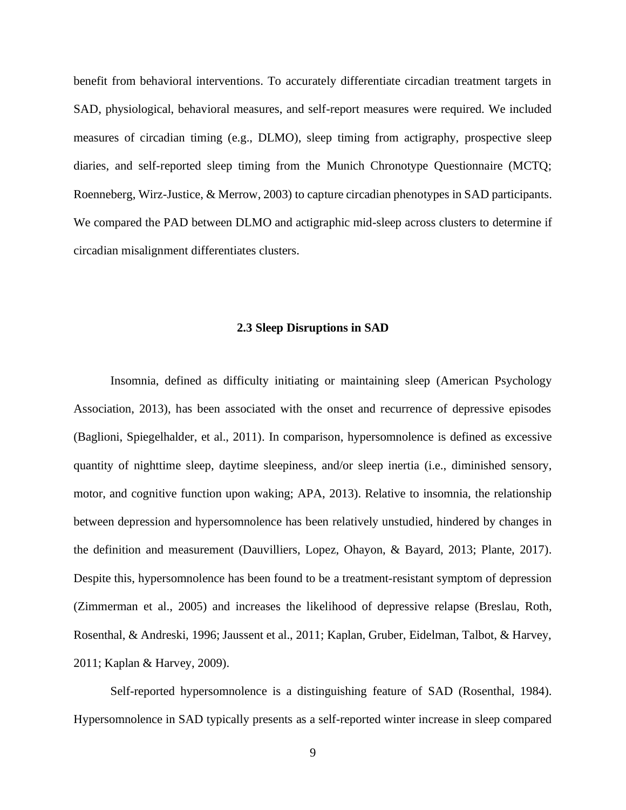benefit from behavioral interventions. To accurately differentiate circadian treatment targets in SAD, physiological, behavioral measures, and self-report measures were required. We included measures of circadian timing (e.g., DLMO), sleep timing from actigraphy, prospective sleep diaries, and self-reported sleep timing from the Munich Chronotype Questionnaire (MCTQ; Roenneberg, Wirz-Justice, & Merrow, 2003) to capture circadian phenotypes in SAD participants. We compared the PAD between DLMO and actigraphic mid-sleep across clusters to determine if circadian misalignment differentiates clusters.

#### **2.3 Sleep Disruptions in SAD**

<span id="page-18-0"></span>Insomnia, defined as difficulty initiating or maintaining sleep (American Psychology Association, 2013), has been associated with the onset and recurrence of depressive episodes (Baglioni, Spiegelhalder, et al., 2011). In comparison, hypersomnolence is defined as excessive quantity of nighttime sleep, daytime sleepiness, and/or sleep inertia (i.e., diminished sensory, motor, and cognitive function upon waking; APA, 2013). Relative to insomnia, the relationship between depression and hypersomnolence has been relatively unstudied, hindered by changes in the definition and measurement (Dauvilliers, Lopez, Ohayon, & Bayard, 2013; Plante, 2017). Despite this, hypersomnolence has been found to be a treatment-resistant symptom of depression (Zimmerman et al., 2005) and increases the likelihood of depressive relapse (Breslau, Roth, Rosenthal, & Andreski, 1996; Jaussent et al., 2011; Kaplan, Gruber, Eidelman, Talbot, & Harvey, 2011; Kaplan & Harvey, 2009).

Self-reported hypersomnolence is a distinguishing feature of SAD (Rosenthal, 1984). Hypersomnolence in SAD typically presents as a self-reported winter increase in sleep compared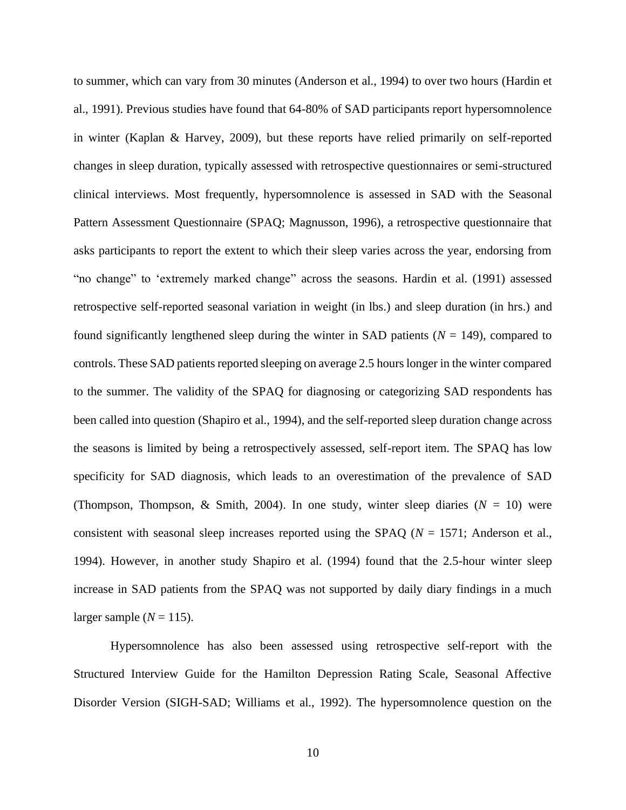to summer, which can vary from 30 minutes (Anderson et al., 1994) to over two hours (Hardin et al., 1991). Previous studies have found that 64-80% of SAD participants report hypersomnolence in winter (Kaplan & Harvey, 2009), but these reports have relied primarily on self-reported changes in sleep duration, typically assessed with retrospective questionnaires or semi-structured clinical interviews. Most frequently, hypersomnolence is assessed in SAD with the Seasonal Pattern Assessment Questionnaire (SPAQ; Magnusson, 1996), a retrospective questionnaire that asks participants to report the extent to which their sleep varies across the year, endorsing from "no change" to 'extremely marked change" across the seasons. Hardin et al. (1991) assessed retrospective self-reported seasonal variation in weight (in lbs.) and sleep duration (in hrs.) and found significantly lengthened sleep during the winter in SAD patients (*N* = 149), compared to controls. These SAD patients reported sleeping on average 2.5 hours longer in the winter compared to the summer. The validity of the SPAQ for diagnosing or categorizing SAD respondents has been called into question (Shapiro et al., 1994), and the self-reported sleep duration change across the seasons is limited by being a retrospectively assessed, self-report item. The SPAQ has low specificity for SAD diagnosis, which leads to an overestimation of the prevalence of SAD (Thompson, Thompson, & Smith, 2004). In one study, winter sleep diaries  $(N = 10)$  were consistent with seasonal sleep increases reported using the SPAQ (*N* = 1571; Anderson et al., 1994). However, in another study Shapiro et al. (1994) found that the 2.5-hour winter sleep increase in SAD patients from the SPAQ was not supported by daily diary findings in a much larger sample  $(N = 115)$ .

Hypersomnolence has also been assessed using retrospective self-report with the Structured Interview Guide for the Hamilton Depression Rating Scale, Seasonal Affective Disorder Version (SIGH-SAD; Williams et al., 1992). The hypersomnolence question on the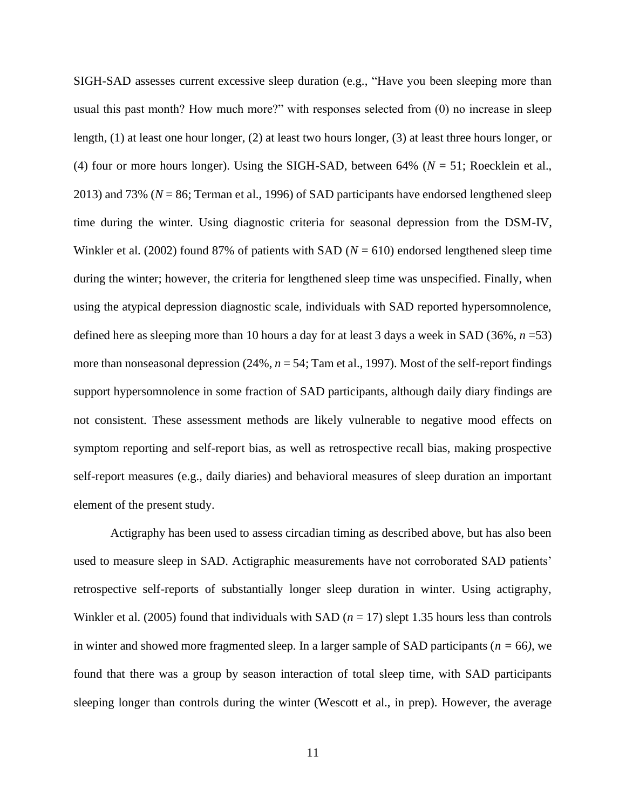SIGH-SAD assesses current excessive sleep duration (e.g., "Have you been sleeping more than usual this past month? How much more?" with responses selected from (0) no increase in sleep length, (1) at least one hour longer, (2) at least two hours longer, (3) at least three hours longer, or (4) four or more hours longer). Using the SIGH-SAD, between  $64\%$  ( $N = 51$ ; Roecklein et al., 2013) and 73% (*N* = 86; Terman et al., 1996) of SAD participants have endorsed lengthened sleep time during the winter. Using diagnostic criteria for seasonal depression from the DSM-IV, Winkler et al. (2002) found 87% of patients with SAD (*N* = 610) endorsed lengthened sleep time during the winter; however, the criteria for lengthened sleep time was unspecified. Finally, when using the atypical depression diagnostic scale, individuals with SAD reported hypersomnolence, defined here as sleeping more than 10 hours a day for at least 3 days a week in SAD (36%, *n* =53) more than nonseasonal depression (24%,  $n = 54$ ; Tam et al., 1997). Most of the self-report findings support hypersomnolence in some fraction of SAD participants, although daily diary findings are not consistent. These assessment methods are likely vulnerable to negative mood effects on symptom reporting and self-report bias, as well as retrospective recall bias, making prospective self-report measures (e.g., daily diaries) and behavioral measures of sleep duration an important element of the present study.

Actigraphy has been used to assess circadian timing as described above, but has also been used to measure sleep in SAD. Actigraphic measurements have not corroborated SAD patients' retrospective self-reports of substantially longer sleep duration in winter. Using actigraphy, Winkler et al. (2005) found that individuals with SAD ( $n = 17$ ) slept 1.35 hours less than controls in winter and showed more fragmented sleep. In a larger sample of SAD participants (*n =* 66*)*, we found that there was a group by season interaction of total sleep time, with SAD participants sleeping longer than controls during the winter (Wescott et al., in prep). However, the average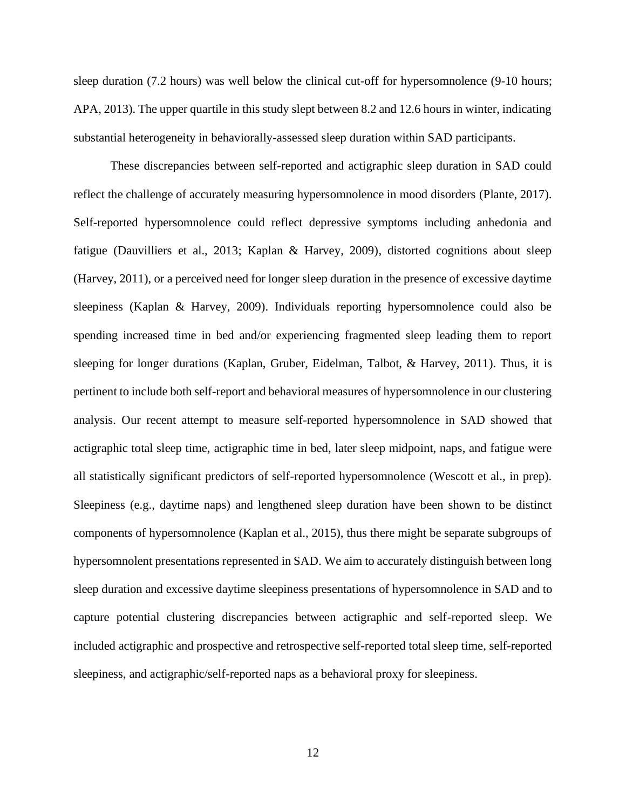sleep duration (7.2 hours) was well below the clinical cut-off for hypersomnolence (9-10 hours; APA, 2013). The upper quartile in this study slept between 8.2 and 12.6 hours in winter, indicating substantial heterogeneity in behaviorally-assessed sleep duration within SAD participants.

These discrepancies between self-reported and actigraphic sleep duration in SAD could reflect the challenge of accurately measuring hypersomnolence in mood disorders (Plante, 2017). Self-reported hypersomnolence could reflect depressive symptoms including anhedonia and fatigue (Dauvilliers et al., 2013; Kaplan & Harvey, 2009), distorted cognitions about sleep (Harvey, 2011), or a perceived need for longer sleep duration in the presence of excessive daytime sleepiness (Kaplan & Harvey, 2009). Individuals reporting hypersomnolence could also be spending increased time in bed and/or experiencing fragmented sleep leading them to report sleeping for longer durations (Kaplan, Gruber, Eidelman, Talbot, & Harvey, 2011). Thus, it is pertinent to include both self-report and behavioral measures of hypersomnolence in our clustering analysis. Our recent attempt to measure self-reported hypersomnolence in SAD showed that actigraphic total sleep time, actigraphic time in bed, later sleep midpoint, naps, and fatigue were all statistically significant predictors of self-reported hypersomnolence (Wescott et al., in prep). Sleepiness (e.g., daytime naps) and lengthened sleep duration have been shown to be distinct components of hypersomnolence (Kaplan et al., 2015), thus there might be separate subgroups of hypersomnolent presentations represented in SAD. We aim to accurately distinguish between long sleep duration and excessive daytime sleepiness presentations of hypersomnolence in SAD and to capture potential clustering discrepancies between actigraphic and self-reported sleep. We included actigraphic and prospective and retrospective self-reported total sleep time, self-reported sleepiness, and actigraphic/self-reported naps as a behavioral proxy for sleepiness.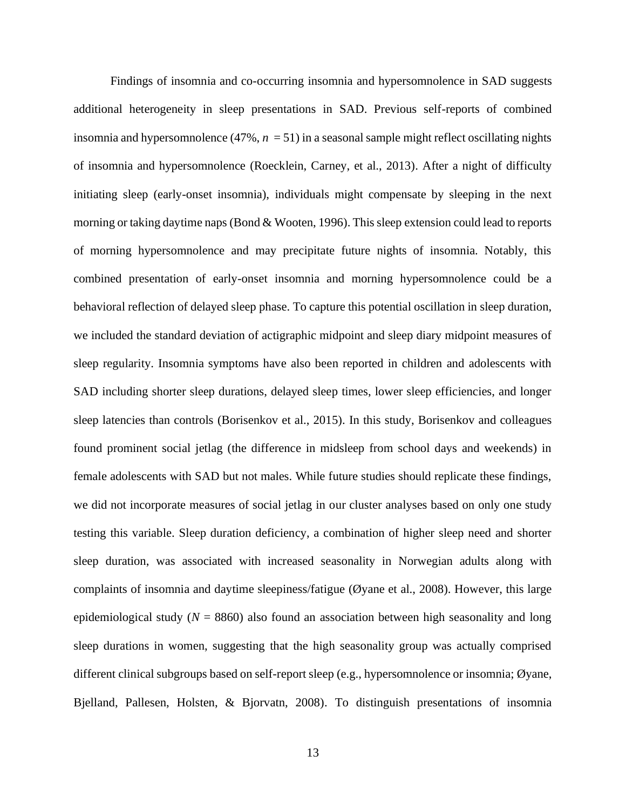Findings of insomnia and co-occurring insomnia and hypersomnolence in SAD suggests additional heterogeneity in sleep presentations in SAD. Previous self-reports of combined insomnia and hypersomnolence  $(47\%, n = 51)$  in a seasonal sample might reflect oscillating nights of insomnia and hypersomnolence (Roecklein, Carney, et al., 2013). After a night of difficulty initiating sleep (early-onset insomnia), individuals might compensate by sleeping in the next morning or taking daytime naps (Bond & Wooten, 1996). This sleep extension could lead to reports of morning hypersomnolence and may precipitate future nights of insomnia. Notably, this combined presentation of early-onset insomnia and morning hypersomnolence could be a behavioral reflection of delayed sleep phase. To capture this potential oscillation in sleep duration, we included the standard deviation of actigraphic midpoint and sleep diary midpoint measures of sleep regularity. Insomnia symptoms have also been reported in children and adolescents with SAD including shorter sleep durations, delayed sleep times, lower sleep efficiencies, and longer sleep latencies than controls (Borisenkov et al., 2015). In this study, Borisenkov and colleagues found prominent social jetlag (the difference in midsleep from school days and weekends) in female adolescents with SAD but not males. While future studies should replicate these findings, we did not incorporate measures of social jetlag in our cluster analyses based on only one study testing this variable. Sleep duration deficiency, a combination of higher sleep need and shorter sleep duration, was associated with increased seasonality in Norwegian adults along with complaints of insomnia and daytime sleepiness/fatigue (Øyane et al., 2008). However, this large epidemiological study  $(N = 8860)$  also found an association between high seasonality and long sleep durations in women, suggesting that the high seasonality group was actually comprised different clinical subgroups based on self-report sleep (e.g., hypersomnolence or insomnia; Øyane, Bjelland, Pallesen, Holsten, & Bjorvatn, 2008). To distinguish presentations of insomnia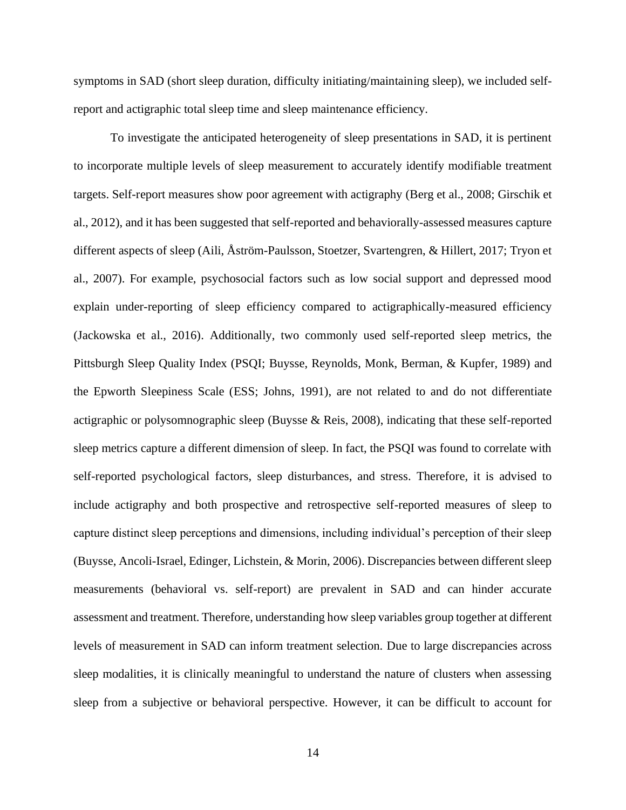symptoms in SAD (short sleep duration, difficulty initiating/maintaining sleep), we included selfreport and actigraphic total sleep time and sleep maintenance efficiency.

To investigate the anticipated heterogeneity of sleep presentations in SAD, it is pertinent to incorporate multiple levels of sleep measurement to accurately identify modifiable treatment targets. Self-report measures show poor agreement with actigraphy (Berg et al., 2008; Girschik et al., 2012), and it has been suggested that self-reported and behaviorally-assessed measures capture different aspects of sleep (Aili, Åström-Paulsson, Stoetzer, Svartengren, & Hillert, 2017; Tryon et al., 2007). For example, psychosocial factors such as low social support and depressed mood explain under-reporting of sleep efficiency compared to actigraphically-measured efficiency (Jackowska et al., 2016). Additionally, two commonly used self-reported sleep metrics, the Pittsburgh Sleep Quality Index (PSQI; Buysse, Reynolds, Monk, Berman, & Kupfer, 1989) and the Epworth Sleepiness Scale (ESS; Johns, 1991), are not related to and do not differentiate actigraphic or polysomnographic sleep (Buysse & Reis, 2008), indicating that these self-reported sleep metrics capture a different dimension of sleep. In fact, the PSQI was found to correlate with self-reported psychological factors, sleep disturbances, and stress. Therefore, it is advised to include actigraphy and both prospective and retrospective self-reported measures of sleep to capture distinct sleep perceptions and dimensions, including individual's perception of their sleep (Buysse, Ancoli-Israel, Edinger, Lichstein, & Morin, 2006). Discrepancies between different sleep measurements (behavioral vs. self-report) are prevalent in SAD and can hinder accurate assessment and treatment. Therefore, understanding how sleep variables group together at different levels of measurement in SAD can inform treatment selection. Due to large discrepancies across sleep modalities, it is clinically meaningful to understand the nature of clusters when assessing sleep from a subjective or behavioral perspective. However, it can be difficult to account for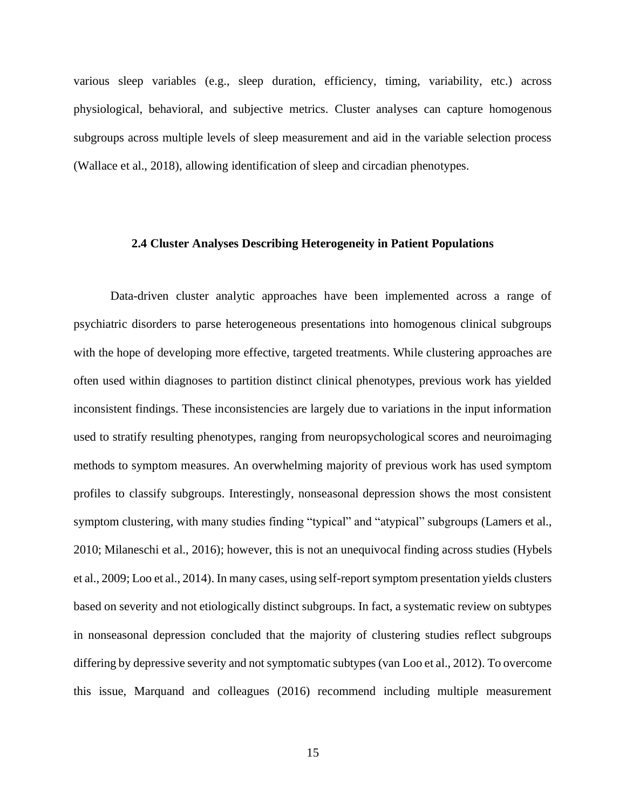various sleep variables (e.g., sleep duration, efficiency, timing, variability, etc.) across physiological, behavioral, and subjective metrics. Cluster analyses can capture homogenous subgroups across multiple levels of sleep measurement and aid in the variable selection process (Wallace et al., 2018), allowing identification of sleep and circadian phenotypes.

#### <span id="page-24-0"></span>**2.4 Cluster Analyses Describing Heterogeneity in Patient Populations**

Data-driven cluster analytic approaches have been implemented across a range of psychiatric disorders to parse heterogeneous presentations into homogenous clinical subgroups with the hope of developing more effective, targeted treatments. While clustering approaches are often used within diagnoses to partition distinct clinical phenotypes, previous work has yielded inconsistent findings. These inconsistencies are largely due to variations in the input information used to stratify resulting phenotypes, ranging from neuropsychological scores and neuroimaging methods to symptom measures. An overwhelming majority of previous work has used symptom profiles to classify subgroups. Interestingly, nonseasonal depression shows the most consistent symptom clustering, with many studies finding "typical" and "atypical" subgroups (Lamers et al., 2010; Milaneschi et al., 2016); however, this is not an unequivocal finding across studies (Hybels et al., 2009; Loo et al., 2014). In many cases, using self-report symptom presentation yields clusters based on severity and not etiologically distinct subgroups. In fact, a systematic review on subtypes in nonseasonal depression concluded that the majority of clustering studies reflect subgroups differing by depressive severity and not symptomatic subtypes (van Loo et al., 2012). To overcome this issue, Marquand and colleagues (2016) recommend including multiple measurement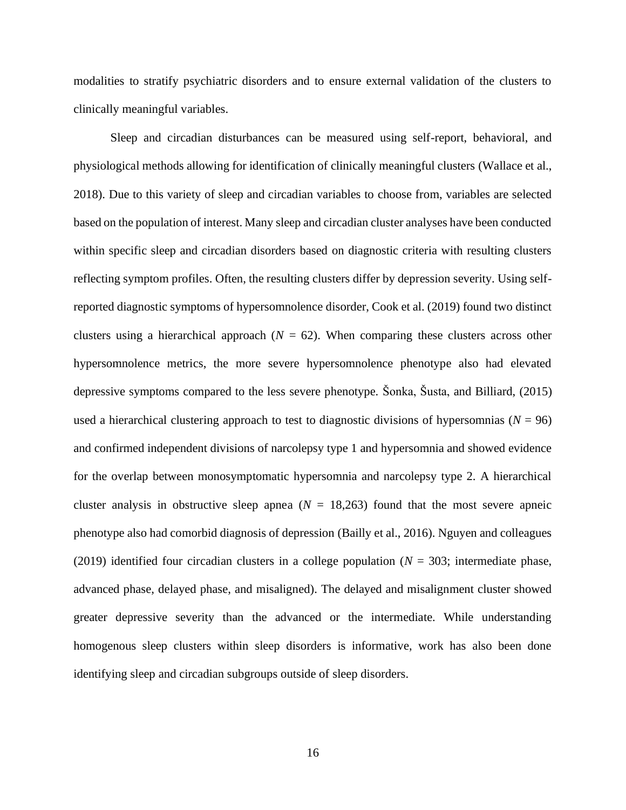modalities to stratify psychiatric disorders and to ensure external validation of the clusters to clinically meaningful variables.

Sleep and circadian disturbances can be measured using self-report, behavioral, and physiological methods allowing for identification of clinically meaningful clusters (Wallace et al., 2018). Due to this variety of sleep and circadian variables to choose from, variables are selected based on the population of interest. Many sleep and circadian cluster analyses have been conducted within specific sleep and circadian disorders based on diagnostic criteria with resulting clusters reflecting symptom profiles. Often, the resulting clusters differ by depression severity. Using selfreported diagnostic symptoms of hypersomnolence disorder, Cook et al. (2019) found two distinct clusters using a hierarchical approach  $(N = 62)$ . When comparing these clusters across other hypersomnolence metrics, the more severe hypersomnolence phenotype also had elevated depressive symptoms compared to the less severe phenotype. Šonka, Šusta, and Billiard, (2015) used a hierarchical clustering approach to test to diagnostic divisions of hypersomnias ( $N = 96$ ) and confirmed independent divisions of narcolepsy type 1 and hypersomnia and showed evidence for the overlap between monosymptomatic hypersomnia and narcolepsy type 2. A hierarchical cluster analysis in obstructive sleep apnea  $(N = 18,263)$  found that the most severe apneic phenotype also had comorbid diagnosis of depression (Bailly et al., 2016). Nguyen and colleagues (2019) identified four circadian clusters in a college population (*N* = 303; intermediate phase, advanced phase, delayed phase, and misaligned). The delayed and misalignment cluster showed greater depressive severity than the advanced or the intermediate. While understanding homogenous sleep clusters within sleep disorders is informative, work has also been done identifying sleep and circadian subgroups outside of sleep disorders.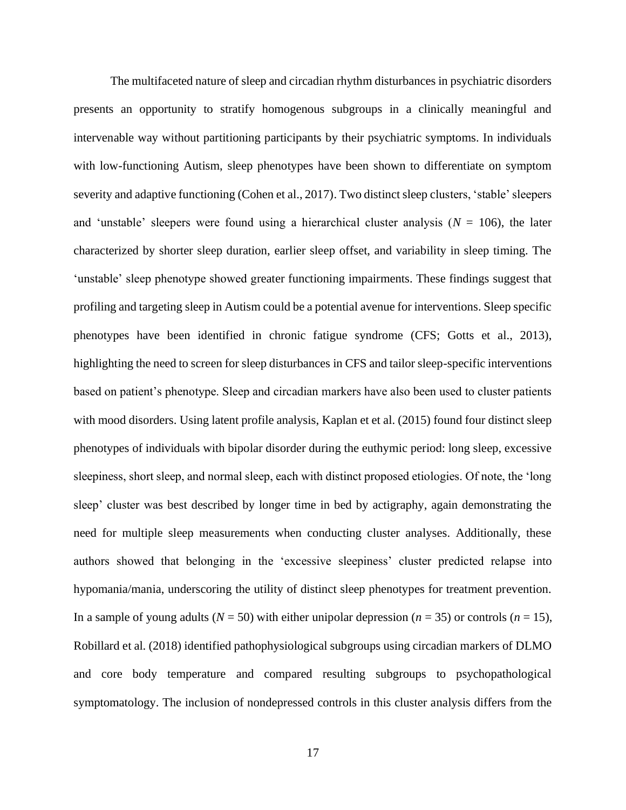The multifaceted nature of sleep and circadian rhythm disturbances in psychiatric disorders presents an opportunity to stratify homogenous subgroups in a clinically meaningful and intervenable way without partitioning participants by their psychiatric symptoms. In individuals with low-functioning Autism, sleep phenotypes have been shown to differentiate on symptom severity and adaptive functioning (Cohen et al., 2017). Two distinct sleep clusters, 'stable' sleepers and 'unstable' sleepers were found using a hierarchical cluster analysis ( $N = 106$ ), the later characterized by shorter sleep duration, earlier sleep offset, and variability in sleep timing. The 'unstable' sleep phenotype showed greater functioning impairments. These findings suggest that profiling and targeting sleep in Autism could be a potential avenue for interventions. Sleep specific phenotypes have been identified in chronic fatigue syndrome (CFS; Gotts et al., 2013), highlighting the need to screen for sleep disturbances in CFS and tailor sleep-specific interventions based on patient's phenotype. Sleep and circadian markers have also been used to cluster patients with mood disorders. Using latent profile analysis, Kaplan et et al. (2015) found four distinct sleep phenotypes of individuals with bipolar disorder during the euthymic period: long sleep, excessive sleepiness, short sleep, and normal sleep, each with distinct proposed etiologies. Of note, the 'long sleep' cluster was best described by longer time in bed by actigraphy, again demonstrating the need for multiple sleep measurements when conducting cluster analyses. Additionally, these authors showed that belonging in the 'excessive sleepiness' cluster predicted relapse into hypomania/mania, underscoring the utility of distinct sleep phenotypes for treatment prevention. In a sample of young adults ( $N = 50$ ) with either unipolar depression ( $n = 35$ ) or controls ( $n = 15$ ), Robillard et al. (2018) identified pathophysiological subgroups using circadian markers of DLMO and core body temperature and compared resulting subgroups to psychopathological symptomatology. The inclusion of nondepressed controls in this cluster analysis differs from the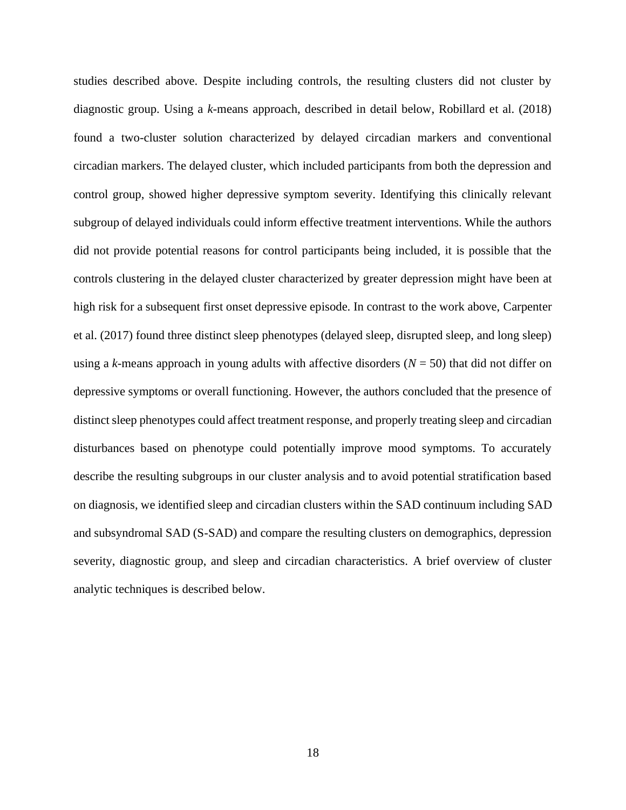studies described above. Despite including controls, the resulting clusters did not cluster by diagnostic group. Using a *k*-means approach, described in detail below, Robillard et al. (2018) found a two-cluster solution characterized by delayed circadian markers and conventional circadian markers. The delayed cluster, which included participants from both the depression and control group, showed higher depressive symptom severity. Identifying this clinically relevant subgroup of delayed individuals could inform effective treatment interventions. While the authors did not provide potential reasons for control participants being included, it is possible that the controls clustering in the delayed cluster characterized by greater depression might have been at high risk for a subsequent first onset depressive episode. In contrast to the work above, Carpenter et al. (2017) found three distinct sleep phenotypes (delayed sleep, disrupted sleep, and long sleep) using a *k*-means approach in young adults with affective disorders (*N* = 50) that did not differ on depressive symptoms or overall functioning. However, the authors concluded that the presence of distinct sleep phenotypes could affect treatment response, and properly treating sleep and circadian disturbances based on phenotype could potentially improve mood symptoms. To accurately describe the resulting subgroups in our cluster analysis and to avoid potential stratification based on diagnosis, we identified sleep and circadian clusters within the SAD continuum including SAD and subsyndromal SAD (S-SAD) and compare the resulting clusters on demographics, depression severity, diagnostic group, and sleep and circadian characteristics. A brief overview of cluster analytic techniques is described below.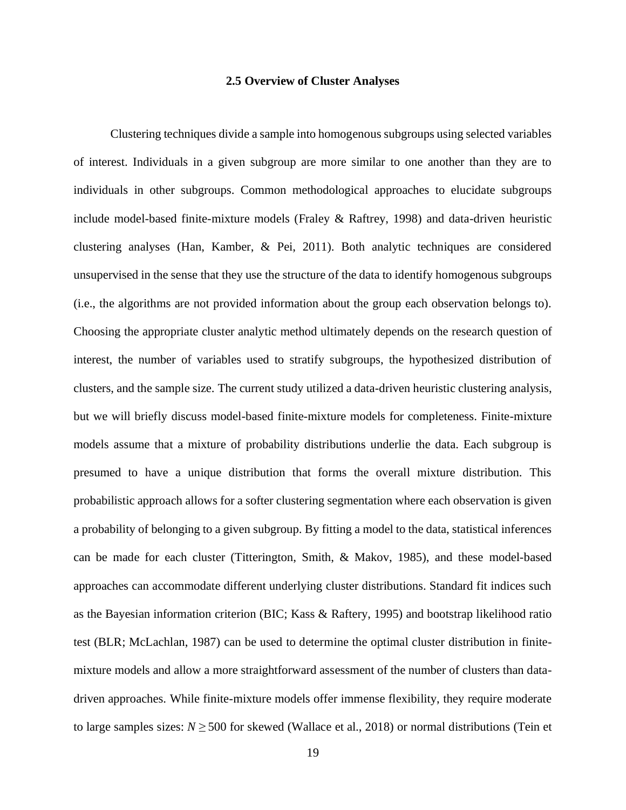#### **2.5 Overview of Cluster Analyses**

<span id="page-28-0"></span>Clustering techniques divide a sample into homogenous subgroups using selected variables of interest. Individuals in a given subgroup are more similar to one another than they are to individuals in other subgroups. Common methodological approaches to elucidate subgroups include model-based finite-mixture models (Fraley & Raftrey, 1998) and data-driven heuristic clustering analyses (Han, Kamber, & Pei, 2011). Both analytic techniques are considered unsupervised in the sense that they use the structure of the data to identify homogenous subgroups (i.e., the algorithms are not provided information about the group each observation belongs to). Choosing the appropriate cluster analytic method ultimately depends on the research question of interest, the number of variables used to stratify subgroups, the hypothesized distribution of clusters, and the sample size. The current study utilized a data-driven heuristic clustering analysis, but we will briefly discuss model-based finite-mixture models for completeness. Finite-mixture models assume that a mixture of probability distributions underlie the data. Each subgroup is presumed to have a unique distribution that forms the overall mixture distribution. This probabilistic approach allows for a softer clustering segmentation where each observation is given a probability of belonging to a given subgroup. By fitting a model to the data, statistical inferences can be made for each cluster (Titterington, Smith, & Makov, 1985), and these model-based approaches can accommodate different underlying cluster distributions. Standard fit indices such as the Bayesian information criterion (BIC; Kass & Raftery, 1995) and bootstrap likelihood ratio test (BLR; McLachlan, 1987) can be used to determine the optimal cluster distribution in finitemixture models and allow a more straightforward assessment of the number of clusters than datadriven approaches. While finite-mixture models offer immense flexibility, they require moderate to large samples sizes:  $N \geq 500$  for skewed (Wallace et al., 2018) or normal distributions (Tein et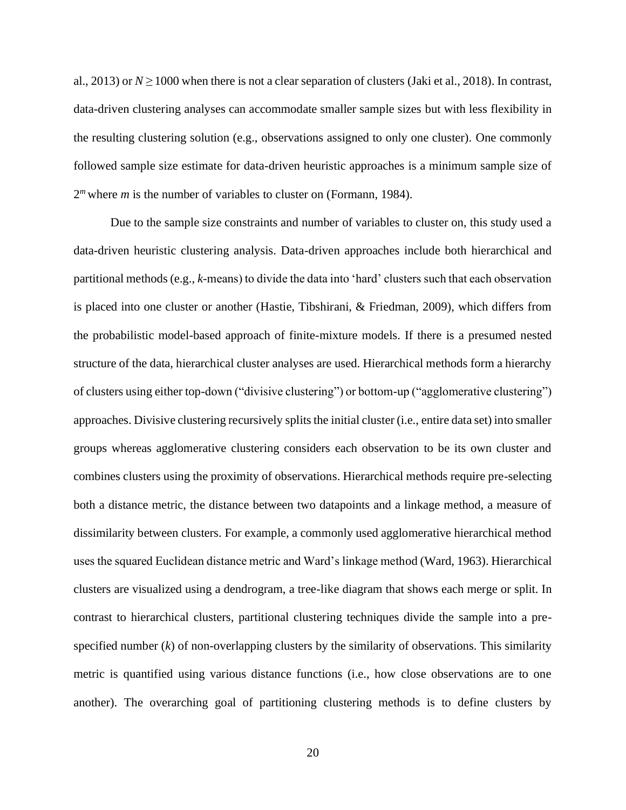al., 2013) or  $N \ge 1000$  when there is not a clear separation of clusters (Jaki et al., 2018). In contrast, data-driven clustering analyses can accommodate smaller sample sizes but with less flexibility in the resulting clustering solution (e.g., observations assigned to only one cluster). One commonly followed sample size estimate for data-driven heuristic approaches is a minimum sample size of 2<sup>*m*</sup> where *m* is the number of variables to cluster on (Formann, 1984).

Due to the sample size constraints and number of variables to cluster on, this study used a data-driven heuristic clustering analysis. Data-driven approaches include both hierarchical and partitional methods (e.g., *k*-means) to divide the data into 'hard' clusters such that each observation is placed into one cluster or another (Hastie, Tibshirani, & Friedman, 2009), which differs from the probabilistic model-based approach of finite-mixture models. If there is a presumed nested structure of the data, hierarchical cluster analyses are used. Hierarchical methods form a hierarchy of clusters using either top-down ("divisive clustering") or bottom-up ("agglomerative clustering") approaches. Divisive clustering recursively splits the initial cluster (i.e., entire data set) into smaller groups whereas agglomerative clustering considers each observation to be its own cluster and combines clusters using the proximity of observations. Hierarchical methods require pre-selecting both a distance metric, the distance between two datapoints and a linkage method, a measure of dissimilarity between clusters. For example, a commonly used agglomerative hierarchical method uses the squared Euclidean distance metric and Ward's linkage method (Ward, 1963). Hierarchical clusters are visualized using a dendrogram, a tree-like diagram that shows each merge or split. In contrast to hierarchical clusters, partitional clustering techniques divide the sample into a prespecified number (*k*) of non-overlapping clusters by the similarity of observations. This similarity metric is quantified using various distance functions (i.e., how close observations are to one another). The overarching goal of partitioning clustering methods is to define clusters by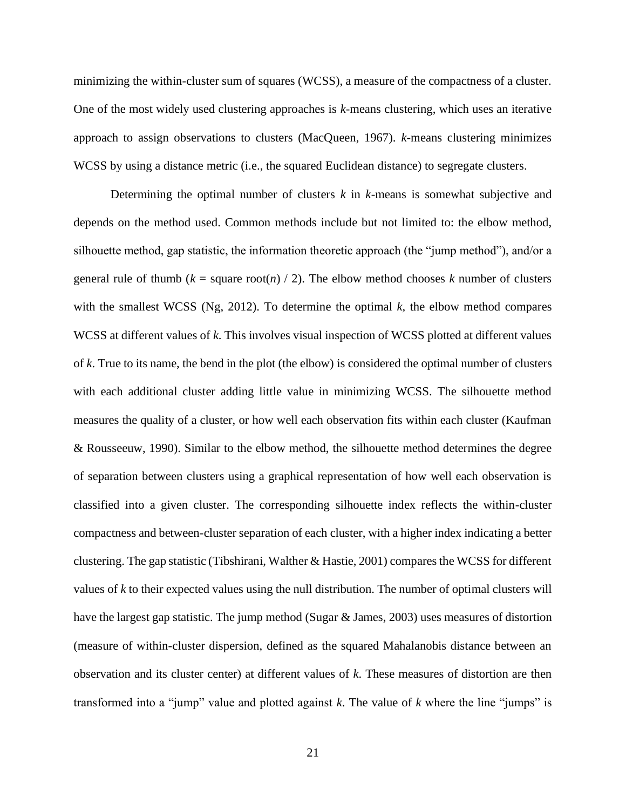minimizing the within-cluster sum of squares (WCSS), a measure of the compactness of a cluster. One of the most widely used clustering approaches is *k*-means clustering, which uses an iterative approach to assign observations to clusters (MacQueen, 1967). *k*-means clustering minimizes WCSS by using a distance metric (i.e., the squared Euclidean distance) to segregate clusters.

Determining the optimal number of clusters *k* in *k-*means is somewhat subjective and depends on the method used. Common methods include but not limited to: the elbow method, silhouette method, gap statistic, the information theoretic approach (the "jump method"), and/or a general rule of thumb ( $k =$  square root(*n*) / 2). The elbow method chooses *k* number of clusters with the smallest WCSS (Ng, 2012). To determine the optimal *k,* the elbow method compares WCSS at different values of *k*. This involves visual inspection of WCSS plotted at different values of *k*. True to its name, the bend in the plot (the elbow) is considered the optimal number of clusters with each additional cluster adding little value in minimizing WCSS. The silhouette method measures the quality of a cluster, or how well each observation fits within each cluster (Kaufman & Rousseeuw, 1990). Similar to the elbow method, the silhouette method determines the degree of separation between clusters using a graphical representation of how well each observation is classified into a given cluster. The corresponding silhouette index reflects the within-cluster compactness and between-cluster separation of each cluster, with a higher index indicating a better clustering. The gap statistic (Tibshirani, Walther & Hastie, 2001) compares the WCSS for different values of *k* to their expected values using the null distribution. The number of optimal clusters will have the largest gap statistic. The jump method (Sugar & James, 2003) uses measures of distortion (measure of within-cluster dispersion, defined as the squared Mahalanobis distance between an observation and its cluster center) at different values of *k*. These measures of distortion are then transformed into a "jump" value and plotted against *k*. The value of *k* where the line "jumps" is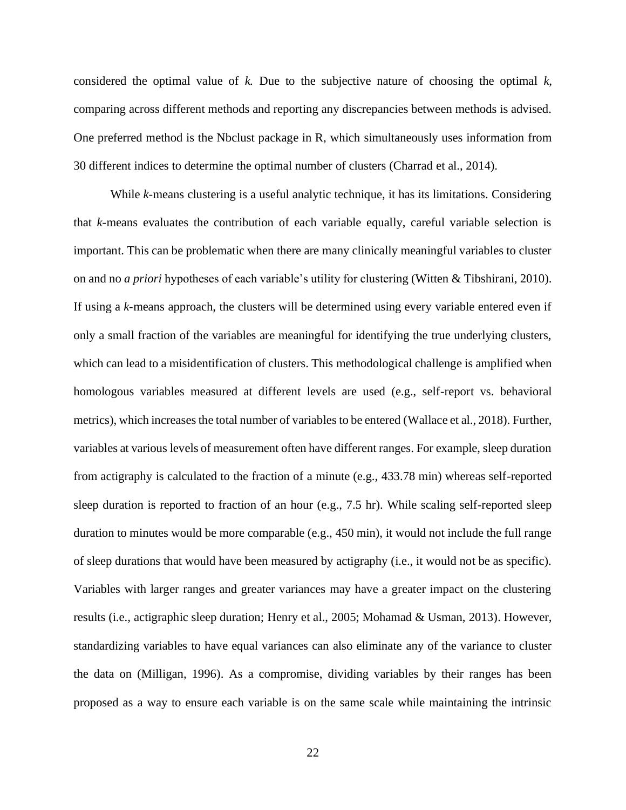considered the optimal value of *k.* Due to the subjective nature of choosing the optimal *k,*  comparing across different methods and reporting any discrepancies between methods is advised. One preferred method is the Nbclust package in R, which simultaneously uses information from 30 different indices to determine the optimal number of clusters (Charrad et al., 2014).

While *k*-means clustering is a useful analytic technique, it has its limitations. Considering that *k*-means evaluates the contribution of each variable equally, careful variable selection is important. This can be problematic when there are many clinically meaningful variables to cluster on and no *a priori* hypotheses of each variable's utility for clustering (Witten & Tibshirani, 2010). If using a *k*-means approach, the clusters will be determined using every variable entered even if only a small fraction of the variables are meaningful for identifying the true underlying clusters, which can lead to a misidentification of clusters. This methodological challenge is amplified when homologous variables measured at different levels are used (e.g., self-report vs. behavioral metrics), which increases the total number of variables to be entered (Wallace et al., 2018). Further, variables at various levels of measurement often have different ranges. For example, sleep duration from actigraphy is calculated to the fraction of a minute (e.g., 433.78 min) whereas self-reported sleep duration is reported to fraction of an hour (e.g., 7.5 hr). While scaling self-reported sleep duration to minutes would be more comparable (e.g., 450 min), it would not include the full range of sleep durations that would have been measured by actigraphy (i.e., it would not be as specific). Variables with larger ranges and greater variances may have a greater impact on the clustering results (i.e., actigraphic sleep duration; Henry et al., 2005; Mohamad & Usman, 2013). However, standardizing variables to have equal variances can also eliminate any of the variance to cluster the data on (Milligan, 1996). As a compromise, dividing variables by their ranges has been proposed as a way to ensure each variable is on the same scale while maintaining the intrinsic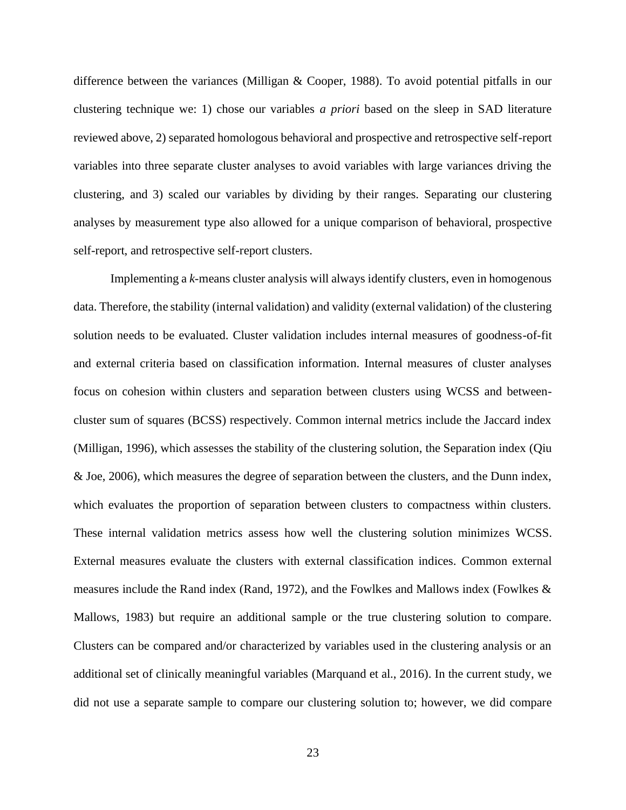difference between the variances (Milligan & Cooper, 1988). To avoid potential pitfalls in our clustering technique we: 1) chose our variables *a priori* based on the sleep in SAD literature reviewed above, 2) separated homologous behavioral and prospective and retrospective self-report variables into three separate cluster analyses to avoid variables with large variances driving the clustering, and 3) scaled our variables by dividing by their ranges. Separating our clustering analyses by measurement type also allowed for a unique comparison of behavioral, prospective self-report, and retrospective self-report clusters.

Implementing a *k-*means cluster analysis will always identify clusters, even in homogenous data. Therefore, the stability (internal validation) and validity (external validation) of the clustering solution needs to be evaluated. Cluster validation includes internal measures of goodness-of-fit and external criteria based on classification information. Internal measures of cluster analyses focus on cohesion within clusters and separation between clusters using WCSS and betweencluster sum of squares (BCSS) respectively. Common internal metrics include the Jaccard index (Milligan, 1996), which assesses the stability of the clustering solution, the Separation index (Qiu & Joe, 2006), which measures the degree of separation between the clusters, and the Dunn index, which evaluates the proportion of separation between clusters to compactness within clusters. These internal validation metrics assess how well the clustering solution minimizes WCSS. External measures evaluate the clusters with external classification indices. Common external measures include the Rand index (Rand, 1972), and the Fowlkes and Mallows index (Fowlkes & Mallows, 1983) but require an additional sample or the true clustering solution to compare. Clusters can be compared and/or characterized by variables used in the clustering analysis or an additional set of clinically meaningful variables (Marquand et al., 2016). In the current study, we did not use a separate sample to compare our clustering solution to; however, we did compare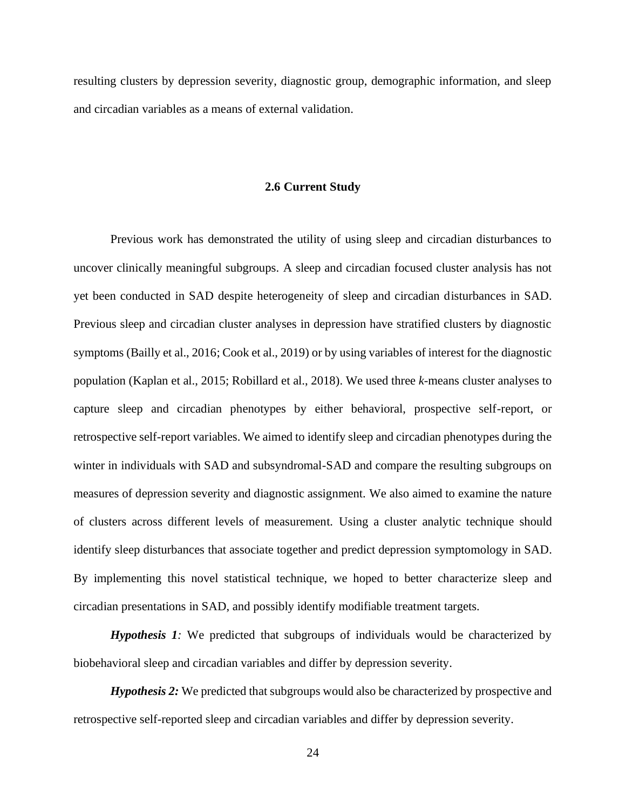<span id="page-33-0"></span>resulting clusters by depression severity, diagnostic group, demographic information, and sleep and circadian variables as a means of external validation.

#### **2.6 Current Study**

Previous work has demonstrated the utility of using sleep and circadian disturbances to uncover clinically meaningful subgroups. A sleep and circadian focused cluster analysis has not yet been conducted in SAD despite heterogeneity of sleep and circadian disturbances in SAD. Previous sleep and circadian cluster analyses in depression have stratified clusters by diagnostic symptoms (Bailly et al., 2016; Cook et al., 2019) or by using variables of interest for the diagnostic population (Kaplan et al., 2015; Robillard et al., 2018). We used three *k*-means cluster analyses to capture sleep and circadian phenotypes by either behavioral, prospective self-report, or retrospective self-report variables. We aimed to identify sleep and circadian phenotypes during the winter in individuals with SAD and subsyndromal-SAD and compare the resulting subgroups on measures of depression severity and diagnostic assignment. We also aimed to examine the nature of clusters across different levels of measurement. Using a cluster analytic technique should identify sleep disturbances that associate together and predict depression symptomology in SAD. By implementing this novel statistical technique, we hoped to better characterize sleep and circadian presentations in SAD, and possibly identify modifiable treatment targets.

*Hypothesis 1:* We predicted that subgroups of individuals would be characterized by biobehavioral sleep and circadian variables and differ by depression severity.

*Hypothesis 2:* We predicted that subgroups would also be characterized by prospective and retrospective self-reported sleep and circadian variables and differ by depression severity.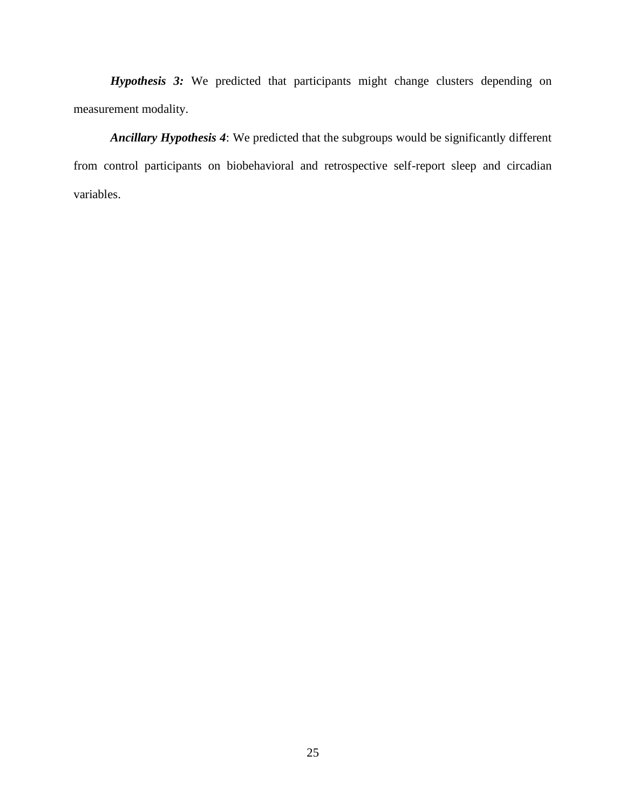*Hypothesis 3:* We predicted that participants might change clusters depending on measurement modality.

*Ancillary Hypothesis 4*: We predicted that the subgroups would be significantly different from control participants on biobehavioral and retrospective self-report sleep and circadian variables.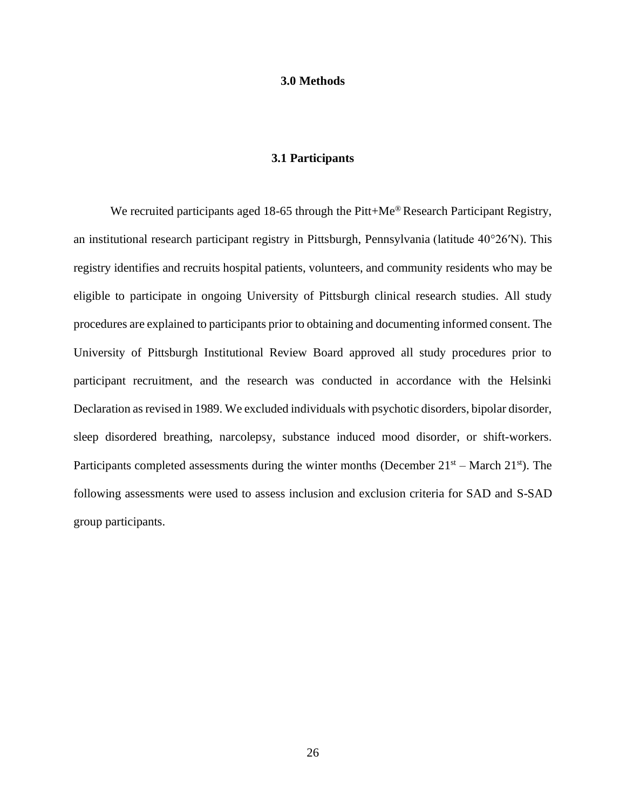#### **3.0 Methods**

## **3.1 Participants**

<span id="page-35-1"></span><span id="page-35-0"></span>We recruited participants aged 18-65 through the Pitt+Me<sup>®</sup> Research Participant Registry, an institutional research participant registry in Pittsburgh, Pennsylvania (latitude 40°26′N). This registry identifies and recruits hospital patients, volunteers, and community residents who may be eligible to participate in ongoing University of Pittsburgh clinical research studies. All study procedures are explained to participants prior to obtaining and documenting informed consent. The University of Pittsburgh Institutional Review Board approved all study procedures prior to participant recruitment, and the research was conducted in accordance with the Helsinki Declaration as revised in 1989. We excluded individuals with psychotic disorders, bipolar disorder, sleep disordered breathing, narcolepsy, substance induced mood disorder, or shift-workers. Participants completed assessments during the winter months (December  $21<sup>st</sup>$  – March  $21<sup>st</sup>$ ). The following assessments were used to assess inclusion and exclusion criteria for SAD and S-SAD group participants.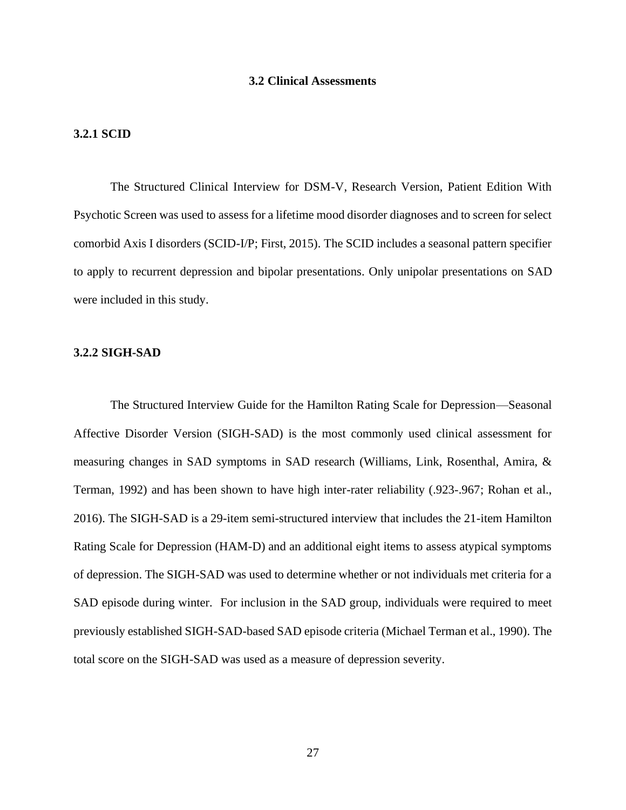#### **3.2 Clinical Assessments**

#### **3.2.1 SCID**

The Structured Clinical Interview for DSM-V, Research Version, Patient Edition With Psychotic Screen was used to assess for a lifetime mood disorder diagnoses and to screen for select comorbid Axis I disorders (SCID-I/P; First, 2015). The SCID includes a seasonal pattern specifier to apply to recurrent depression and bipolar presentations. Only unipolar presentations on SAD were included in this study.

#### **3.2.2 SIGH-SAD**

The Structured Interview Guide for the Hamilton Rating Scale for Depression—Seasonal Affective Disorder Version (SIGH-SAD) is the most commonly used clinical assessment for measuring changes in SAD symptoms in SAD research (Williams, Link, Rosenthal, Amira, & Terman, 1992) and has been shown to have high inter-rater reliability (.923-.967; Rohan et al., 2016). The SIGH-SAD is a 29-item semi-structured interview that includes the 21-item Hamilton Rating Scale for Depression (HAM-D) and an additional eight items to assess atypical symptoms of depression. The SIGH-SAD was used to determine whether or not individuals met criteria for a SAD episode during winter. For inclusion in the SAD group, individuals were required to meet previously established SIGH-SAD-based SAD episode criteria (Michael Terman et al., 1990). The total score on the SIGH-SAD was used as a measure of depression severity.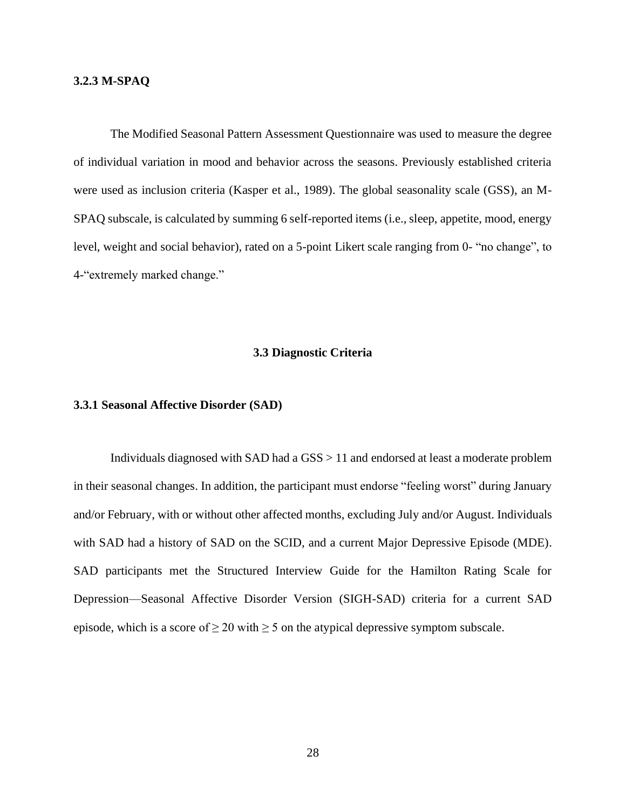# **3.2.3 M-SPAQ**

The Modified Seasonal Pattern Assessment Questionnaire was used to measure the degree of individual variation in mood and behavior across the seasons. Previously established criteria were used as inclusion criteria (Kasper et al., 1989). The global seasonality scale (GSS), an M-SPAQ subscale, is calculated by summing 6 self-reported items (i.e., sleep, appetite, mood, energy level, weight and social behavior), rated on a 5-point Likert scale ranging from 0- "no change", to 4-"extremely marked change."

### **3.3 Diagnostic Criteria**

## **3.3.1 Seasonal Affective Disorder (SAD)**

Individuals diagnosed with SAD had a GSS > 11 and endorsed at least a moderate problem in their seasonal changes. In addition, the participant must endorse "feeling worst" during January and/or February, with or without other affected months, excluding July and/or August. Individuals with SAD had a history of SAD on the SCID, and a current Major Depressive Episode (MDE). SAD participants met the Structured Interview Guide for the Hamilton Rating Scale for Depression—Seasonal Affective Disorder Version (SIGH-SAD) criteria for a current SAD episode, which is a score of  $\geq 20$  with  $\geq 5$  on the atypical depressive symptom subscale.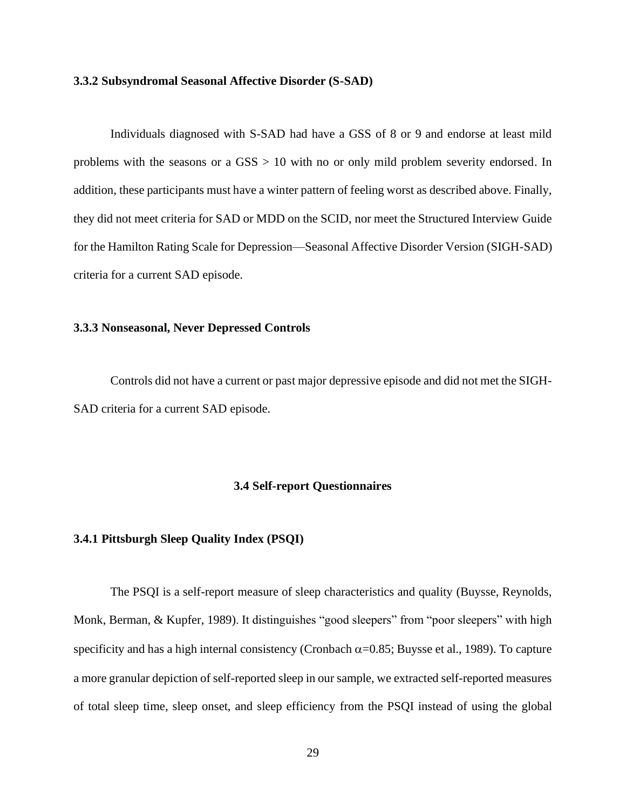#### **3.3.2 Subsyndromal Seasonal Affective Disorder (S-SAD)**

Individuals diagnosed with S-SAD had have a GSS of 8 or 9 and endorse at least mild problems with the seasons or a GSS > 10 with no or only mild problem severity endorsed. In addition, these participants must have a winter pattern of feeling worst as described above. Finally, they did not meet criteria for SAD or MDD on the SCID, nor meet the Structured Interview Guide for the Hamilton Rating Scale for Depression—Seasonal Affective Disorder Version (SIGH-SAD) criteria for a current SAD episode.

## **3.3.3 Nonseasonal, Never Depressed Controls**

Controls did not have a current or past major depressive episode and did not met the SIGH-SAD criteria for a current SAD episode.

#### **3.4 Self-report Questionnaires**

#### **3.4.1 Pittsburgh Sleep Quality Index (PSQI)**

The PSQI is a self-report measure of sleep characteristics and quality (Buysse, Reynolds, Monk, Berman, & Kupfer, 1989). It distinguishes "good sleepers" from "poor sleepers" with high specificity and has a high internal consistency (Cronbach  $\alpha$ =0.85; Buysse et al., 1989). To capture a more granular depiction of self-reported sleep in our sample, we extracted self-reported measures of total sleep time, sleep onset, and sleep efficiency from the PSQI instead of using the global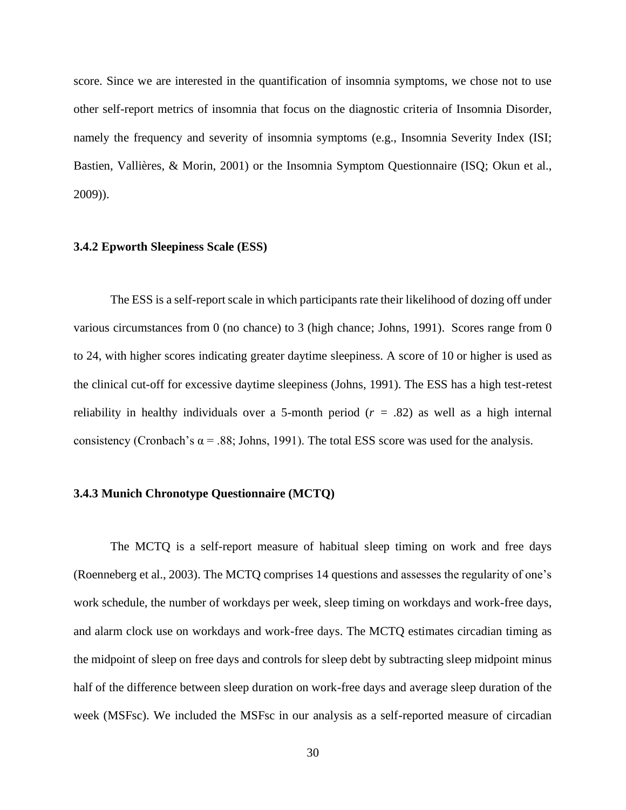score. Since we are interested in the quantification of insomnia symptoms, we chose not to use other self-report metrics of insomnia that focus on the diagnostic criteria of Insomnia Disorder, namely the frequency and severity of insomnia symptoms (e.g., Insomnia Severity Index (ISI; Bastien, Vallières, & Morin, 2001) or the Insomnia Symptom Questionnaire (ISQ; Okun et al., 2009)).

#### **3.4.2 Epworth Sleepiness Scale (ESS)**

The ESS is a self-report scale in which participants rate their likelihood of dozing off under various circumstances from 0 (no chance) to 3 (high chance; Johns, 1991). Scores range from 0 to 24, with higher scores indicating greater daytime sleepiness. A score of 10 or higher is used as the clinical cut-off for excessive daytime sleepiness (Johns, 1991). The ESS has a high test-retest reliability in healthy individuals over a 5-month period (*r =* .82) as well as a high internal consistency (Cronbach's  $\alpha$  = .88; Johns, 1991). The total ESS score was used for the analysis.

# **3.4.3 Munich Chronotype Questionnaire (MCTQ)**

The MCTQ is a self-report measure of habitual sleep timing on work and free days (Roenneberg et al., 2003). The MCTQ comprises 14 questions and assesses the regularity of one's work schedule, the number of workdays per week, sleep timing on workdays and work-free days, and alarm clock use on workdays and work-free days. The MCTQ estimates circadian timing as the midpoint of sleep on free days and controls for sleep debt by subtracting sleep midpoint minus half of the difference between sleep duration on work-free days and average sleep duration of the week (MSFsc). We included the MSFsc in our analysis as a self-reported measure of circadian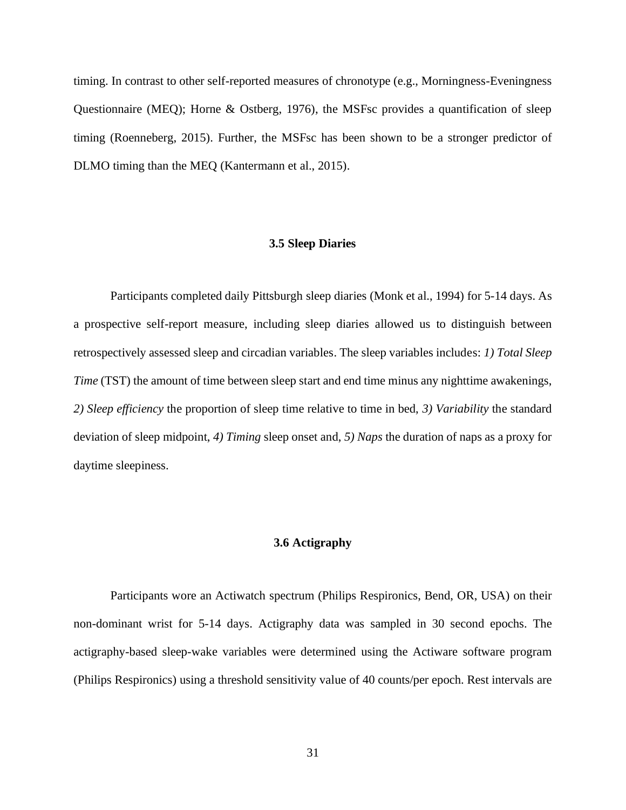timing. In contrast to other self-reported measures of chronotype (e.g., Morningness-Eveningness Questionnaire (MEQ); Horne & Ostberg, 1976), the MSFsc provides a quantification of sleep timing (Roenneberg, 2015). Further, the MSFsc has been shown to be a stronger predictor of DLMO timing than the MEQ (Kantermann et al., 2015).

# **3.5 Sleep Diaries**

Participants completed daily Pittsburgh sleep diaries (Monk et al., 1994) for 5-14 days. As a prospective self-report measure, including sleep diaries allowed us to distinguish between retrospectively assessed sleep and circadian variables. The sleep variables includes: *1) Total Sleep Time* (TST) the amount of time between sleep start and end time minus any nighttime awakenings, *2) Sleep efficiency* the proportion of sleep time relative to time in bed, *3) Variability* the standard deviation of sleep midpoint, *4) Timing* sleep onset and, *5) Naps* the duration of naps as a proxy for daytime sleepiness.

## **3.6 Actigraphy**

Participants wore an Actiwatch spectrum (Philips Respironics, Bend, OR, USA) on their non-dominant wrist for 5-14 days. Actigraphy data was sampled in 30 second epochs. The actigraphy-based sleep-wake variables were determined using the Actiware software program (Philips Respironics) using a threshold sensitivity value of 40 counts/per epoch. Rest intervals are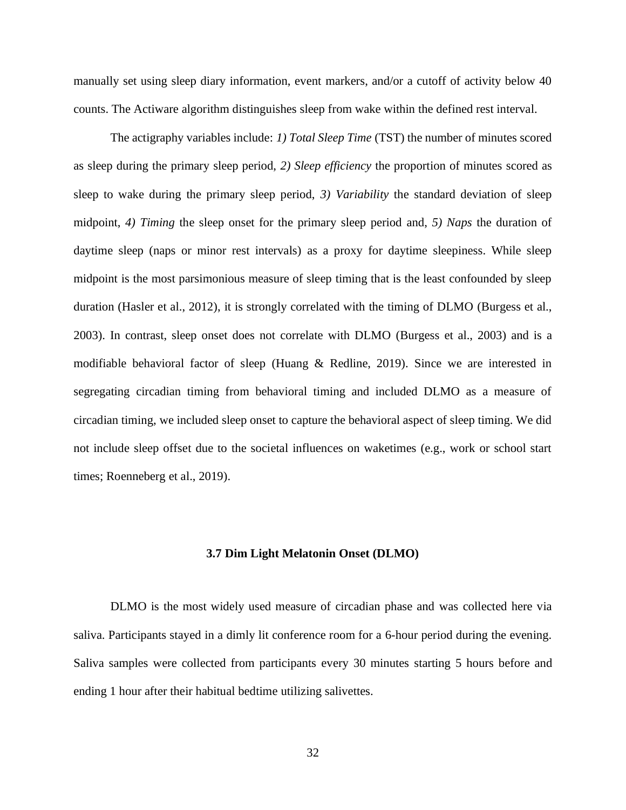manually set using sleep diary information, event markers, and/or a cutoff of activity below 40 counts. The Actiware algorithm distinguishes sleep from wake within the defined rest interval.

The actigraphy variables include: *1) Total Sleep Time* (TST) the number of minutes scored as sleep during the primary sleep period, *2) Sleep efficiency* the proportion of minutes scored as sleep to wake during the primary sleep period, *3) Variability* the standard deviation of sleep midpoint, *4) Timing* the sleep onset for the primary sleep period and, *5) Naps* the duration of daytime sleep (naps or minor rest intervals) as a proxy for daytime sleepiness. While sleep midpoint is the most parsimonious measure of sleep timing that is the least confounded by sleep duration (Hasler et al., 2012), it is strongly correlated with the timing of DLMO (Burgess et al., 2003). In contrast, sleep onset does not correlate with DLMO (Burgess et al., 2003) and is a modifiable behavioral factor of sleep (Huang & Redline, 2019). Since we are interested in segregating circadian timing from behavioral timing and included DLMO as a measure of circadian timing, we included sleep onset to capture the behavioral aspect of sleep timing. We did not include sleep offset due to the societal influences on waketimes (e.g., work or school start times; Roenneberg et al., 2019).

#### **3.7 Dim Light Melatonin Onset (DLMO)**

DLMO is the most widely used measure of circadian phase and was collected here via saliva. Participants stayed in a dimly lit conference room for a 6-hour period during the evening. Saliva samples were collected from participants every 30 minutes starting 5 hours before and ending 1 hour after their habitual bedtime utilizing salivettes.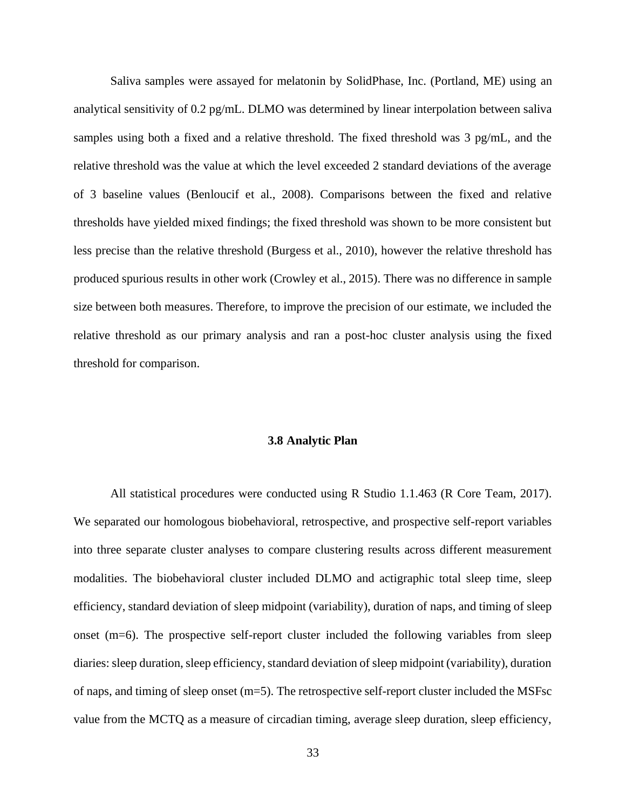Saliva samples were assayed for melatonin by SolidPhase, Inc. (Portland, ME) using an analytical sensitivity of 0.2 pg/mL. DLMO was determined by linear interpolation between saliva samples using both a fixed and a relative threshold. The fixed threshold was 3 pg/mL, and the relative threshold was the value at which the level exceeded 2 standard deviations of the average of 3 baseline values (Benloucif et al., 2008). Comparisons between the fixed and relative thresholds have yielded mixed findings; the fixed threshold was shown to be more consistent but less precise than the relative threshold (Burgess et al., 2010), however the relative threshold has produced spurious results in other work (Crowley et al., 2015). There was no difference in sample size between both measures. Therefore, to improve the precision of our estimate, we included the relative threshold as our primary analysis and ran a post-hoc cluster analysis using the fixed threshold for comparison.

# **3.8 Analytic Plan**

All statistical procedures were conducted using R Studio 1.1.463 (R Core Team, 2017). We separated our homologous biobehavioral, retrospective, and prospective self-report variables into three separate cluster analyses to compare clustering results across different measurement modalities. The biobehavioral cluster included DLMO and actigraphic total sleep time, sleep efficiency, standard deviation of sleep midpoint (variability), duration of naps, and timing of sleep onset (m=6). The prospective self-report cluster included the following variables from sleep diaries: sleep duration, sleep efficiency, standard deviation of sleep midpoint (variability), duration of naps, and timing of sleep onset (m=5). The retrospective self-report cluster included the MSFsc value from the MCTQ as a measure of circadian timing, average sleep duration, sleep efficiency,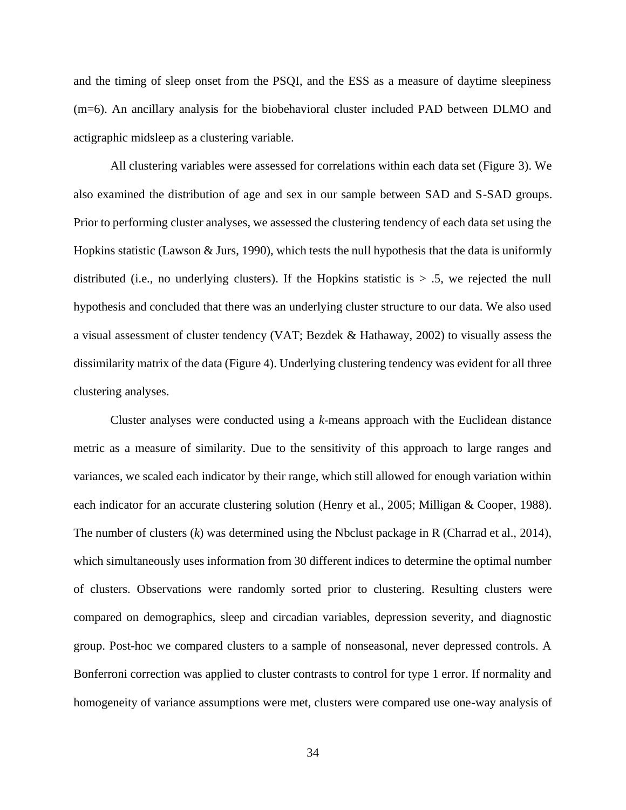and the timing of sleep onset from the PSQI, and the ESS as a measure of daytime sleepiness (m=6). An ancillary analysis for the biobehavioral cluster included PAD between DLMO and actigraphic midsleep as a clustering variable.

All clustering variables were assessed for correlations within each data set (Figure 3). We also examined the distribution of age and sex in our sample between SAD and S-SAD groups. Prior to performing cluster analyses, we assessed the clustering tendency of each data set using the Hopkins statistic (Lawson  $\&$  Jurs, 1990), which tests the null hypothesis that the data is uniformly distributed (i.e., no underlying clusters). If the Hopkins statistic is  $> .5$ , we rejected the null hypothesis and concluded that there was an underlying cluster structure to our data. We also used a visual assessment of cluster tendency (VAT; Bezdek & Hathaway, 2002) to visually assess the dissimilarity matrix of the data (Figure 4). Underlying clustering tendency was evident for all three clustering analyses.

Cluster analyses were conducted using a *k-*means approach with the Euclidean distance metric as a measure of similarity. Due to the sensitivity of this approach to large ranges and variances, we scaled each indicator by their range, which still allowed for enough variation within each indicator for an accurate clustering solution (Henry et al., 2005; Milligan & Cooper, 1988). The number of clusters (*k*) was determined using the Nbclust package in R (Charrad et al., 2014), which simultaneously uses information from 30 different indices to determine the optimal number of clusters. Observations were randomly sorted prior to clustering. Resulting clusters were compared on demographics, sleep and circadian variables, depression severity, and diagnostic group. Post-hoc we compared clusters to a sample of nonseasonal, never depressed controls. A Bonferroni correction was applied to cluster contrasts to control for type 1 error. If normality and homogeneity of variance assumptions were met, clusters were compared use one-way analysis of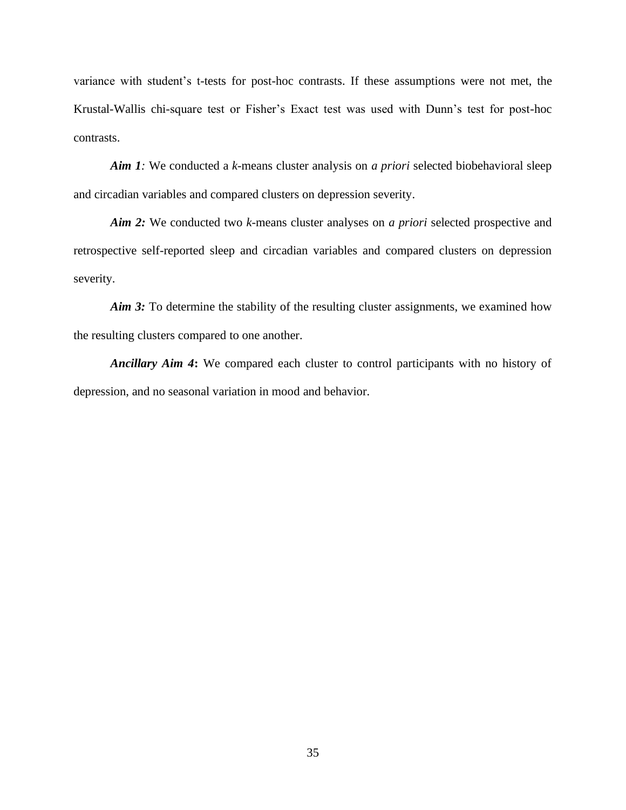variance with student's t-tests for post-hoc contrasts. If these assumptions were not met, the Krustal-Wallis chi-square test or Fisher's Exact test was used with Dunn's test for post-hoc contrasts.

*Aim 1:* We conducted a *k-*means cluster analysis on *a priori* selected biobehavioral sleep and circadian variables and compared clusters on depression severity.

*Aim 2:* We conducted two *k-*means cluster analyses on *a priori* selected prospective and retrospective self-reported sleep and circadian variables and compared clusters on depression severity.

*Aim 3:* To determine the stability of the resulting cluster assignments, we examined how the resulting clusters compared to one another.

*Ancillary Aim 4***:** We compared each cluster to control participants with no history of depression, and no seasonal variation in mood and behavior.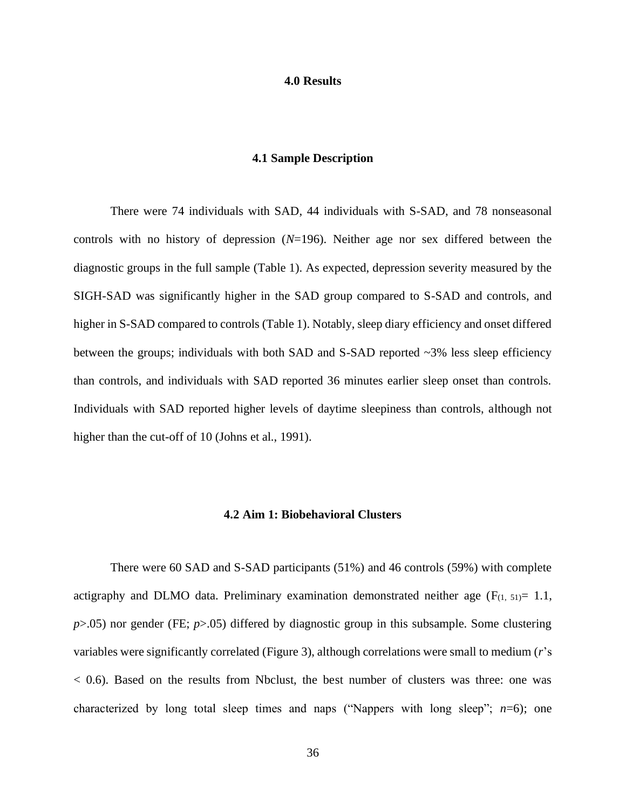#### **4.0 Results**

#### **4.1 Sample Description**

There were 74 individuals with SAD, 44 individuals with S-SAD, and 78 nonseasonal controls with no history of depression (*N*=196). Neither age nor sex differed between the diagnostic groups in the full sample (Table 1). As expected, depression severity measured by the SIGH-SAD was significantly higher in the SAD group compared to S-SAD and controls, and higher in S-SAD compared to controls (Table 1). Notably, sleep diary efficiency and onset differed between the groups; individuals with both SAD and S-SAD reported ~3% less sleep efficiency than controls, and individuals with SAD reported 36 minutes earlier sleep onset than controls. Individuals with SAD reported higher levels of daytime sleepiness than controls, although not higher than the cut-off of 10 (Johns et al., 1991).

#### **4.2 Aim 1: Biobehavioral Clusters**

There were 60 SAD and S-SAD participants (51%) and 46 controls (59%) with complete actigraphy and DLMO data. Preliminary examination demonstrated neither age  $(F_{(1, 51)} = 1.1,$ *p*>.05) nor gender (FE; *p*>.05) differed by diagnostic group in this subsample. Some clustering variables were significantly correlated (Figure 3), although correlations were small to medium (*r*'s  $<$  0.6). Based on the results from Nbclust, the best number of clusters was three: one was characterized by long total sleep times and naps ("Nappers with long sleep"; *n*=6); one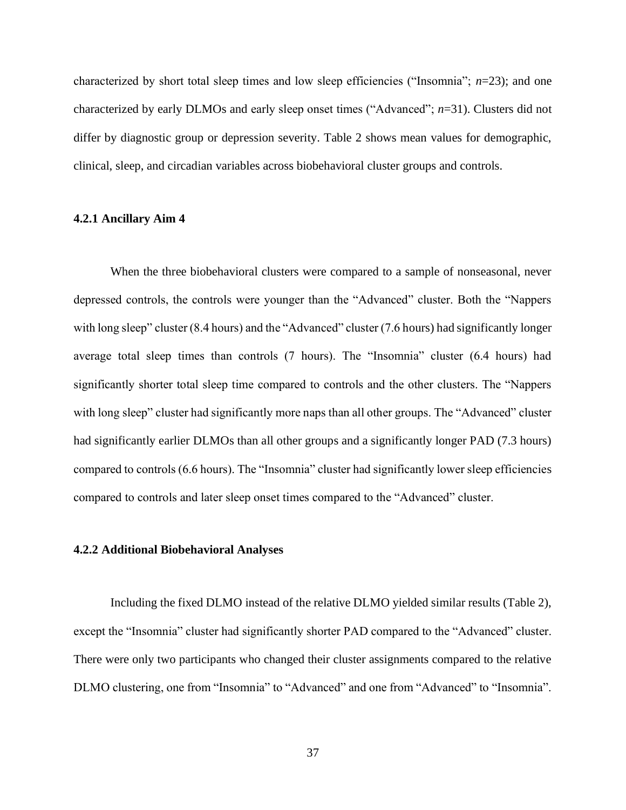characterized by short total sleep times and low sleep efficiencies ("Insomnia"; *n*=23); and one characterized by early DLMOs and early sleep onset times ("Advanced"; *n*=31). Clusters did not differ by diagnostic group or depression severity. Table 2 shows mean values for demographic, clinical, sleep, and circadian variables across biobehavioral cluster groups and controls.

#### **4.2.1 Ancillary Aim 4**

When the three biobehavioral clusters were compared to a sample of nonseasonal, never depressed controls, the controls were younger than the "Advanced" cluster. Both the "Nappers with long sleep" cluster (8.4 hours) and the "Advanced" cluster (7.6 hours) had significantly longer average total sleep times than controls (7 hours). The "Insomnia" cluster (6.4 hours) had significantly shorter total sleep time compared to controls and the other clusters. The "Nappers with long sleep" cluster had significantly more naps than all other groups. The "Advanced" cluster had significantly earlier DLMOs than all other groups and a significantly longer PAD (7.3 hours) compared to controls (6.6 hours). The "Insomnia" cluster had significantly lower sleep efficiencies compared to controls and later sleep onset times compared to the "Advanced" cluster.

#### **4.2.2 Additional Biobehavioral Analyses**

Including the fixed DLMO instead of the relative DLMO yielded similar results (Table 2), except the "Insomnia" cluster had significantly shorter PAD compared to the "Advanced" cluster. There were only two participants who changed their cluster assignments compared to the relative DLMO clustering, one from "Insomnia" to "Advanced" and one from "Advanced" to "Insomnia".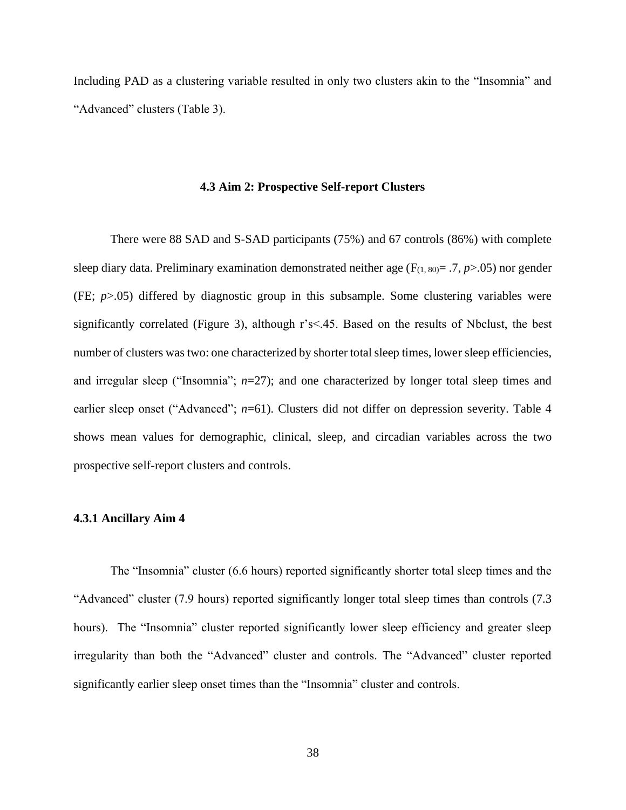Including PAD as a clustering variable resulted in only two clusters akin to the "Insomnia" and "Advanced" clusters (Table 3).

#### **4.3 Aim 2: Prospective Self-report Clusters**

There were 88 SAD and S-SAD participants (75%) and 67 controls (86%) with complete sleep diary data. Preliminary examination demonstrated neither age ( $F_{(1, 80)} = .7, p > .05$ ) nor gender (FE; *p*>.05) differed by diagnostic group in this subsample. Some clustering variables were significantly correlated (Figure 3), although r's<.45. Based on the results of Nbclust, the best number of clusters was two: one characterized by shorter total sleep times, lower sleep efficiencies, and irregular sleep ("Insomnia";  $n=27$ ); and one characterized by longer total sleep times and earlier sleep onset ("Advanced"; *n*=61). Clusters did not differ on depression severity. Table 4 shows mean values for demographic, clinical, sleep, and circadian variables across the two prospective self-report clusters and controls.

## **4.3.1 Ancillary Aim 4**

The "Insomnia" cluster (6.6 hours) reported significantly shorter total sleep times and the "Advanced" cluster (7.9 hours) reported significantly longer total sleep times than controls (7.3 hours). The "Insomnia" cluster reported significantly lower sleep efficiency and greater sleep irregularity than both the "Advanced" cluster and controls. The "Advanced" cluster reported significantly earlier sleep onset times than the "Insomnia" cluster and controls.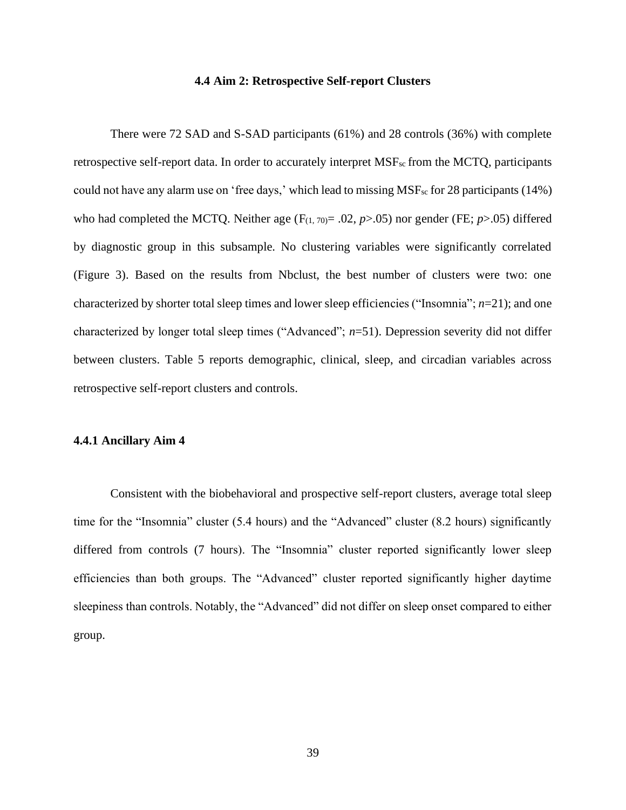#### **4.4 Aim 2: Retrospective Self-report Clusters**

There were 72 SAD and S-SAD participants (61%) and 28 controls (36%) with complete retrospective self-report data. In order to accurately interpret MSF<sub>sc</sub> from the MCTQ, participants could not have any alarm use on 'free days,' which lead to missing MSFsc for 28 participants (14%) who had completed the MCTQ. Neither age  $(F_{(1, 70)} = .02, p > .05)$  nor gender (FE;  $p > .05$ ) differed by diagnostic group in this subsample. No clustering variables were significantly correlated (Figure 3). Based on the results from Nbclust, the best number of clusters were two: one characterized by shorter total sleep times and lower sleep efficiencies ("Insomnia"; *n*=21); and one characterized by longer total sleep times ("Advanced"; *n*=51). Depression severity did not differ between clusters. Table 5 reports demographic, clinical, sleep, and circadian variables across retrospective self-report clusters and controls.

### **4.4.1 Ancillary Aim 4**

Consistent with the biobehavioral and prospective self-report clusters, average total sleep time for the "Insomnia" cluster (5.4 hours) and the "Advanced" cluster (8.2 hours) significantly differed from controls (7 hours). The "Insomnia" cluster reported significantly lower sleep efficiencies than both groups. The "Advanced" cluster reported significantly higher daytime sleepiness than controls. Notably, the "Advanced" did not differ on sleep onset compared to either group.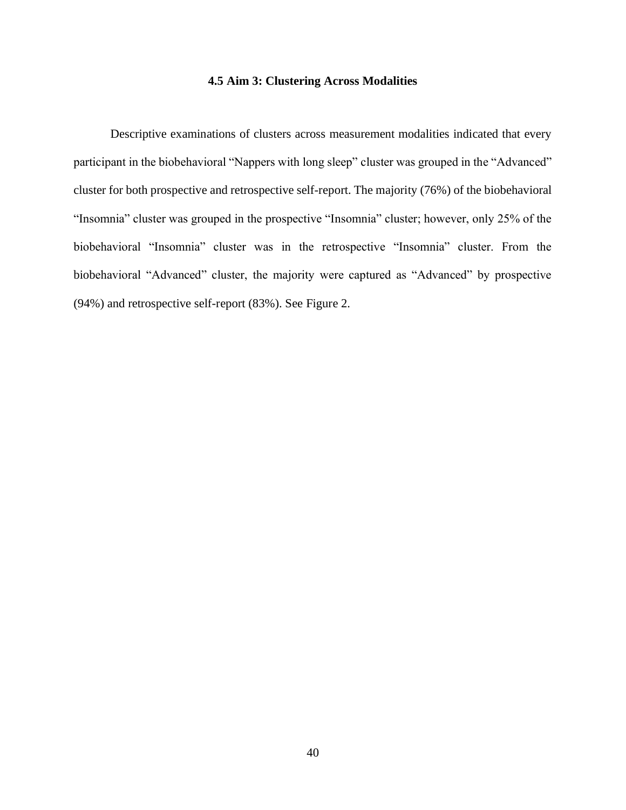# **4.5 Aim 3: Clustering Across Modalities**

Descriptive examinations of clusters across measurement modalities indicated that every participant in the biobehavioral "Nappers with long sleep" cluster was grouped in the "Advanced" cluster for both prospective and retrospective self-report. The majority (76%) of the biobehavioral "Insomnia" cluster was grouped in the prospective "Insomnia" cluster; however, only 25% of the biobehavioral "Insomnia" cluster was in the retrospective "Insomnia" cluster. From the biobehavioral "Advanced" cluster, the majority were captured as "Advanced" by prospective (94%) and retrospective self-report (83%). See Figure 2.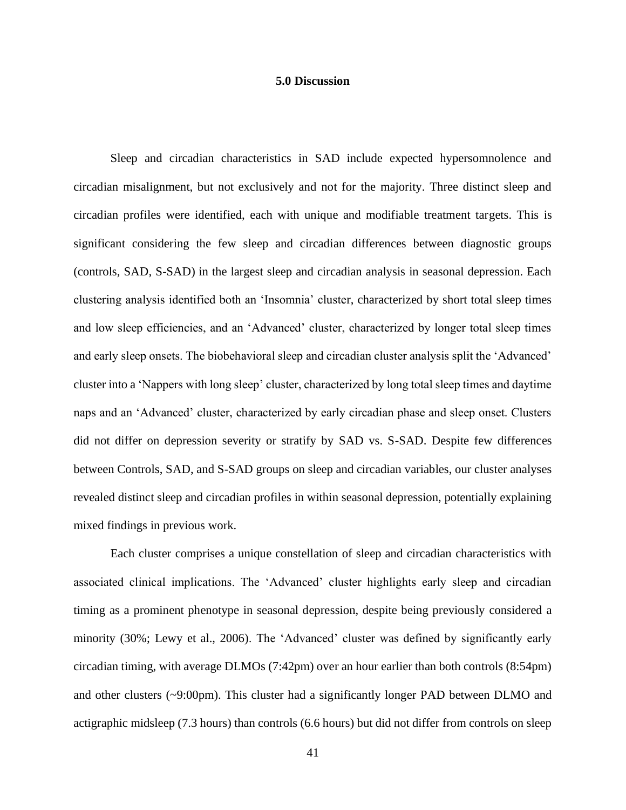### **5.0 Discussion**

Sleep and circadian characteristics in SAD include expected hypersomnolence and circadian misalignment, but not exclusively and not for the majority. Three distinct sleep and circadian profiles were identified, each with unique and modifiable treatment targets. This is significant considering the few sleep and circadian differences between diagnostic groups (controls, SAD, S-SAD) in the largest sleep and circadian analysis in seasonal depression. Each clustering analysis identified both an 'Insomnia' cluster, characterized by short total sleep times and low sleep efficiencies, and an 'Advanced' cluster, characterized by longer total sleep times and early sleep onsets. The biobehavioral sleep and circadian cluster analysis split the 'Advanced' cluster into a 'Nappers with long sleep' cluster, characterized by long total sleep times and daytime naps and an 'Advanced' cluster, characterized by early circadian phase and sleep onset. Clusters did not differ on depression severity or stratify by SAD vs. S-SAD. Despite few differences between Controls, SAD, and S-SAD groups on sleep and circadian variables, our cluster analyses revealed distinct sleep and circadian profiles in within seasonal depression, potentially explaining mixed findings in previous work.

Each cluster comprises a unique constellation of sleep and circadian characteristics with associated clinical implications. The 'Advanced' cluster highlights early sleep and circadian timing as a prominent phenotype in seasonal depression, despite being previously considered a minority (30%; Lewy et al., 2006). The 'Advanced' cluster was defined by significantly early circadian timing, with average DLMOs (7:42pm) over an hour earlier than both controls (8:54pm) and other clusters (~9:00pm). This cluster had a significantly longer PAD between DLMO and actigraphic midsleep (7.3 hours) than controls (6.6 hours) but did not differ from controls on sleep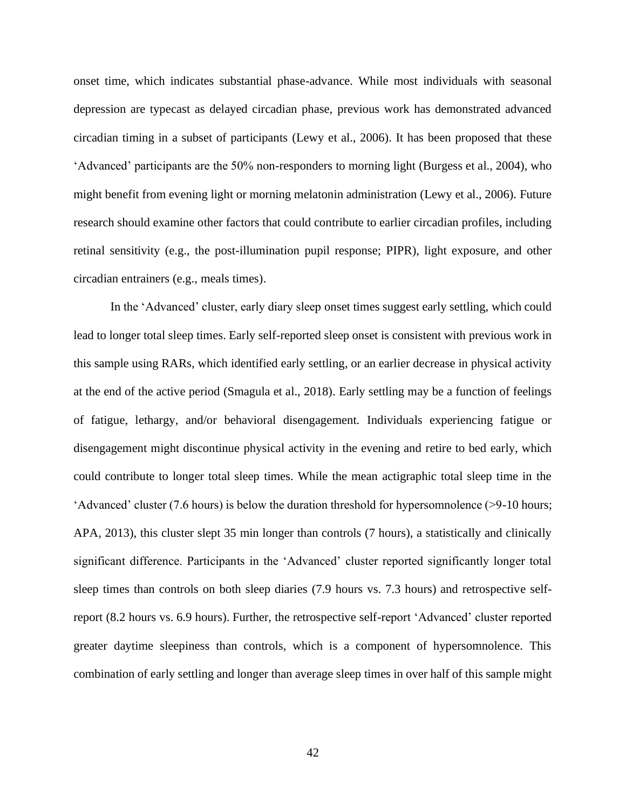onset time, which indicates substantial phase-advance. While most individuals with seasonal depression are typecast as delayed circadian phase, previous work has demonstrated advanced circadian timing in a subset of participants (Lewy et al., 2006). It has been proposed that these 'Advanced' participants are the 50% non-responders to morning light (Burgess et al., 2004), who might benefit from evening light or morning melatonin administration (Lewy et al., 2006). Future research should examine other factors that could contribute to earlier circadian profiles, including retinal sensitivity (e.g., the post-illumination pupil response; PIPR), light exposure, and other circadian entrainers (e.g., meals times).

In the 'Advanced' cluster, early diary sleep onset times suggest early settling, which could lead to longer total sleep times. Early self-reported sleep onset is consistent with previous work in this sample using RARs, which identified early settling, or an earlier decrease in physical activity at the end of the active period (Smagula et al., 2018). Early settling may be a function of feelings of fatigue, lethargy, and/or behavioral disengagement. Individuals experiencing fatigue or disengagement might discontinue physical activity in the evening and retire to bed early, which could contribute to longer total sleep times. While the mean actigraphic total sleep time in the 'Advanced' cluster (7.6 hours) is below the duration threshold for hypersomnolence (>9-10 hours; APA, 2013), this cluster slept 35 min longer than controls (7 hours), a statistically and clinically significant difference. Participants in the 'Advanced' cluster reported significantly longer total sleep times than controls on both sleep diaries (7.9 hours vs. 7.3 hours) and retrospective selfreport (8.2 hours vs. 6.9 hours). Further, the retrospective self-report 'Advanced' cluster reported greater daytime sleepiness than controls, which is a component of hypersomnolence. This combination of early settling and longer than average sleep times in over half of this sample might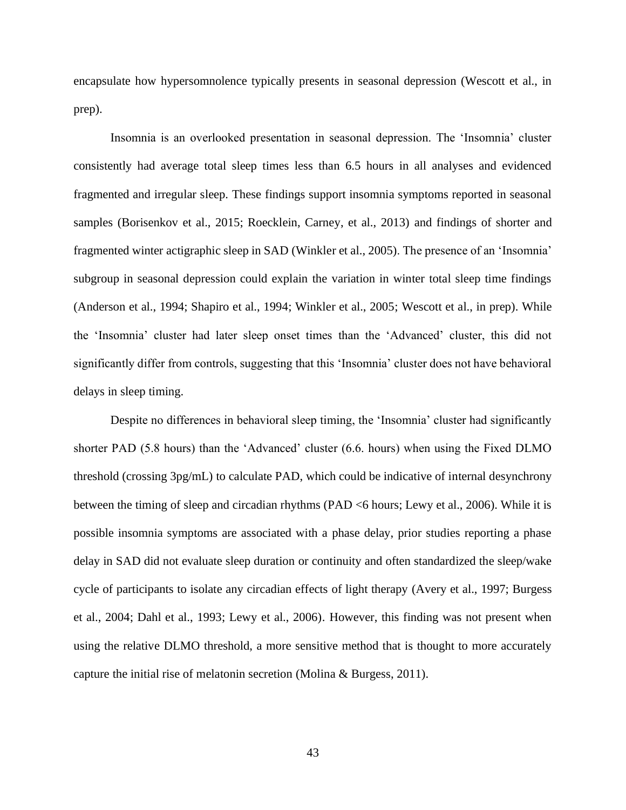encapsulate how hypersomnolence typically presents in seasonal depression (Wescott et al., in prep).

Insomnia is an overlooked presentation in seasonal depression. The 'Insomnia' cluster consistently had average total sleep times less than 6.5 hours in all analyses and evidenced fragmented and irregular sleep. These findings support insomnia symptoms reported in seasonal samples (Borisenkov et al., 2015; Roecklein, Carney, et al., 2013) and findings of shorter and fragmented winter actigraphic sleep in SAD (Winkler et al., 2005). The presence of an 'Insomnia' subgroup in seasonal depression could explain the variation in winter total sleep time findings (Anderson et al., 1994; Shapiro et al., 1994; Winkler et al., 2005; Wescott et al., in prep). While the 'Insomnia' cluster had later sleep onset times than the 'Advanced' cluster, this did not significantly differ from controls, suggesting that this 'Insomnia' cluster does not have behavioral delays in sleep timing.

Despite no differences in behavioral sleep timing, the 'Insomnia' cluster had significantly shorter PAD (5.8 hours) than the 'Advanced' cluster (6.6. hours) when using the Fixed DLMO threshold (crossing 3pg/mL) to calculate PAD, which could be indicative of internal desynchrony between the timing of sleep and circadian rhythms (PAD <6 hours; Lewy et al., 2006). While it is possible insomnia symptoms are associated with a phase delay, prior studies reporting a phase delay in SAD did not evaluate sleep duration or continuity and often standardized the sleep/wake cycle of participants to isolate any circadian effects of light therapy (Avery et al., 1997; Burgess et al., 2004; Dahl et al., 1993; Lewy et al., 2006). However, this finding was not present when using the relative DLMO threshold, a more sensitive method that is thought to more accurately capture the initial rise of melatonin secretion (Molina & Burgess, 2011).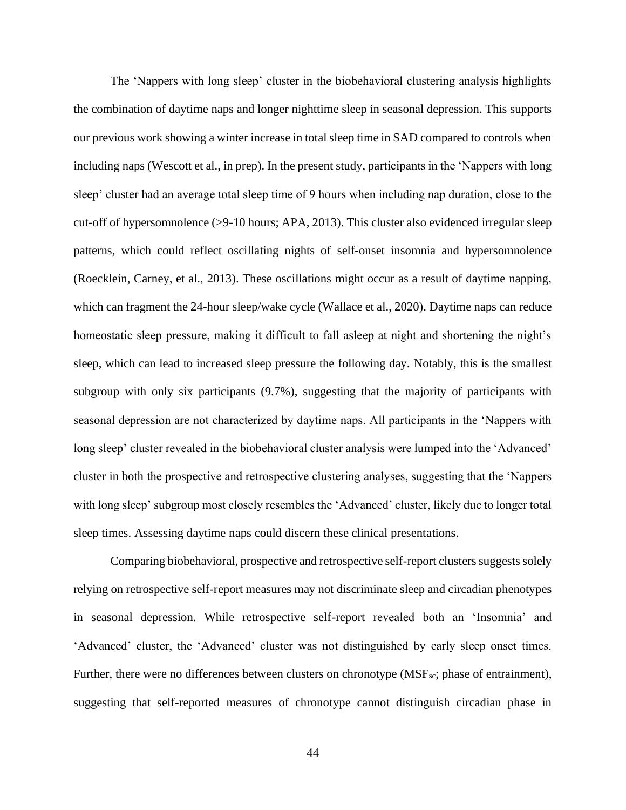The 'Nappers with long sleep' cluster in the biobehavioral clustering analysis highlights the combination of daytime naps and longer nighttime sleep in seasonal depression. This supports our previous work showing a winter increase in total sleep time in SAD compared to controls when including naps (Wescott et al., in prep). In the present study, participants in the 'Nappers with long sleep' cluster had an average total sleep time of 9 hours when including nap duration, close to the cut-off of hypersomnolence (>9-10 hours; APA, 2013). This cluster also evidenced irregular sleep patterns, which could reflect oscillating nights of self-onset insomnia and hypersomnolence (Roecklein, Carney, et al., 2013). These oscillations might occur as a result of daytime napping, which can fragment the 24-hour sleep/wake cycle (Wallace et al., 2020). Daytime naps can reduce homeostatic sleep pressure, making it difficult to fall asleep at night and shortening the night's sleep, which can lead to increased sleep pressure the following day. Notably, this is the smallest subgroup with only six participants (9.7%), suggesting that the majority of participants with seasonal depression are not characterized by daytime naps. All participants in the 'Nappers with long sleep' cluster revealed in the biobehavioral cluster analysis were lumped into the 'Advanced' cluster in both the prospective and retrospective clustering analyses, suggesting that the 'Nappers with long sleep' subgroup most closely resembles the 'Advanced' cluster, likely due to longer total sleep times. Assessing daytime naps could discern these clinical presentations.

Comparing biobehavioral, prospective and retrospective self-report clusters suggests solely relying on retrospective self-report measures may not discriminate sleep and circadian phenotypes in seasonal depression. While retrospective self-report revealed both an 'Insomnia' and 'Advanced' cluster, the 'Advanced' cluster was not distinguished by early sleep onset times. Further, there were no differences between clusters on chronotype (MSF<sub>sc</sub>; phase of entrainment), suggesting that self-reported measures of chronotype cannot distinguish circadian phase in

44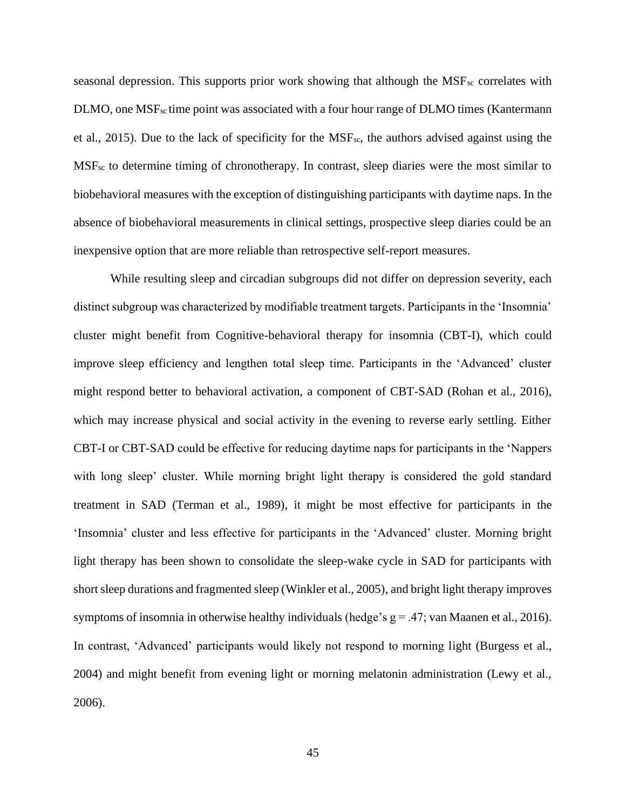seasonal depression. This supports prior work showing that although the  $MSF_{sc}$  correlates with  $\text{DLMO}$ , one  $\text{MSF}_{\text{sc}}$  time point was associated with a four hour range of  $\text{DLMO}$  times (Kantermann et al., 2015). Due to the lack of specificity for the  $MSF_{sc}$ , the authors advised against using the MSFsc to determine timing of chronotherapy. In contrast, sleep diaries were the most similar to biobehavioral measures with the exception of distinguishing participants with daytime naps. In the absence of biobehavioral measurements in clinical settings, prospective sleep diaries could be an inexpensive option that are more reliable than retrospective self-report measures.

While resulting sleep and circadian subgroups did not differ on depression severity, each distinct subgroup was characterized by modifiable treatment targets. Participants in the 'Insomnia' cluster might benefit from Cognitive-behavioral therapy for insomnia (CBT-I), which could improve sleep efficiency and lengthen total sleep time. Participants in the 'Advanced' cluster might respond better to behavioral activation, a component of CBT-SAD (Rohan et al., 2016), which may increase physical and social activity in the evening to reverse early settling. Either CBT-I or CBT-SAD could be effective for reducing daytime naps for participants in the 'Nappers with long sleep' cluster. While morning bright light therapy is considered the gold standard treatment in SAD (Terman et al., 1989), it might be most effective for participants in the 'Insomnia' cluster and less effective for participants in the 'Advanced' cluster. Morning bright light therapy has been shown to consolidate the sleep-wake cycle in SAD for participants with short sleep durations and fragmented sleep (Winkler et al., 2005), and bright light therapy improves symptoms of insomnia in otherwise healthy individuals (hedge's  $g = .47$ ; van Maanen et al., 2016). In contrast, 'Advanced' participants would likely not respond to morning light (Burgess et al., 2004) and might benefit from evening light or morning melatonin administration (Lewy et al., 2006).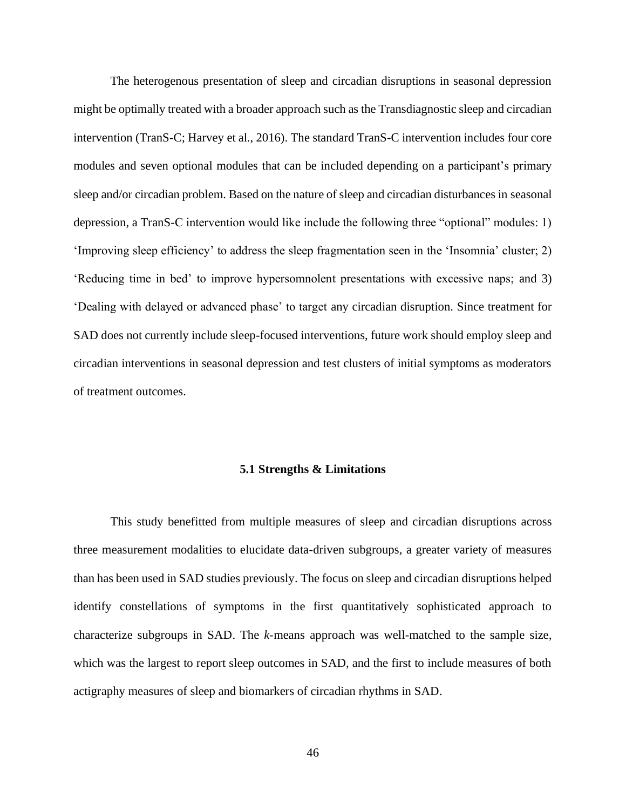The heterogenous presentation of sleep and circadian disruptions in seasonal depression might be optimally treated with a broader approach such as the Transdiagnostic sleep and circadian intervention (TranS-C; Harvey et al., 2016). The standard TranS-C intervention includes four core modules and seven optional modules that can be included depending on a participant's primary sleep and/or circadian problem. Based on the nature of sleep and circadian disturbances in seasonal depression, a TranS-C intervention would like include the following three "optional" modules: 1) 'Improving sleep efficiency' to address the sleep fragmentation seen in the 'Insomnia' cluster; 2) 'Reducing time in bed' to improve hypersomnolent presentations with excessive naps; and 3) 'Dealing with delayed or advanced phase' to target any circadian disruption. Since treatment for SAD does not currently include sleep-focused interventions, future work should employ sleep and circadian interventions in seasonal depression and test clusters of initial symptoms as moderators of treatment outcomes.

# **5.1 Strengths & Limitations**

This study benefitted from multiple measures of sleep and circadian disruptions across three measurement modalities to elucidate data-driven subgroups, a greater variety of measures than has been used in SAD studies previously. The focus on sleep and circadian disruptions helped identify constellations of symptoms in the first quantitatively sophisticated approach to characterize subgroups in SAD. The *k*-means approach was well-matched to the sample size, which was the largest to report sleep outcomes in SAD, and the first to include measures of both actigraphy measures of sleep and biomarkers of circadian rhythms in SAD.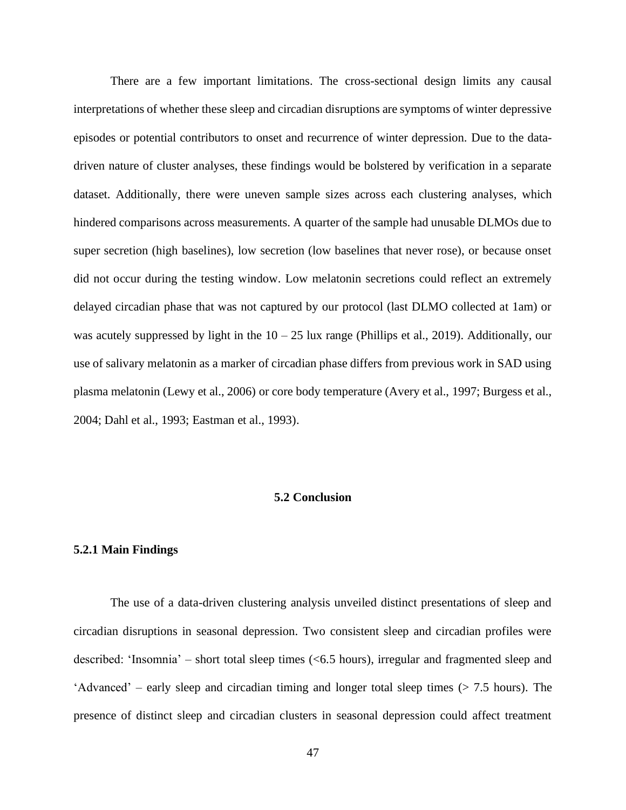There are a few important limitations. The cross-sectional design limits any causal interpretations of whether these sleep and circadian disruptions are symptoms of winter depressive episodes or potential contributors to onset and recurrence of winter depression. Due to the datadriven nature of cluster analyses, these findings would be bolstered by verification in a separate dataset. Additionally, there were uneven sample sizes across each clustering analyses, which hindered comparisons across measurements. A quarter of the sample had unusable DLMOs due to super secretion (high baselines), low secretion (low baselines that never rose), or because onset did not occur during the testing window. Low melatonin secretions could reflect an extremely delayed circadian phase that was not captured by our protocol (last DLMO collected at 1am) or was acutely suppressed by light in the  $10 - 25$  lux range (Phillips et al., 2019). Additionally, our use of salivary melatonin as a marker of circadian phase differs from previous work in SAD using plasma melatonin (Lewy et al., 2006) or core body temperature (Avery et al., 1997; Burgess et al., 2004; Dahl et al., 1993; Eastman et al., 1993).

# **5.2 Conclusion**

#### **5.2.1 Main Findings**

The use of a data-driven clustering analysis unveiled distinct presentations of sleep and circadian disruptions in seasonal depression. Two consistent sleep and circadian profiles were described: 'Insomnia' – short total sleep times (<6.5 hours), irregular and fragmented sleep and 'Advanced' – early sleep and circadian timing and longer total sleep times  $($  > 7.5 hours). The presence of distinct sleep and circadian clusters in seasonal depression could affect treatment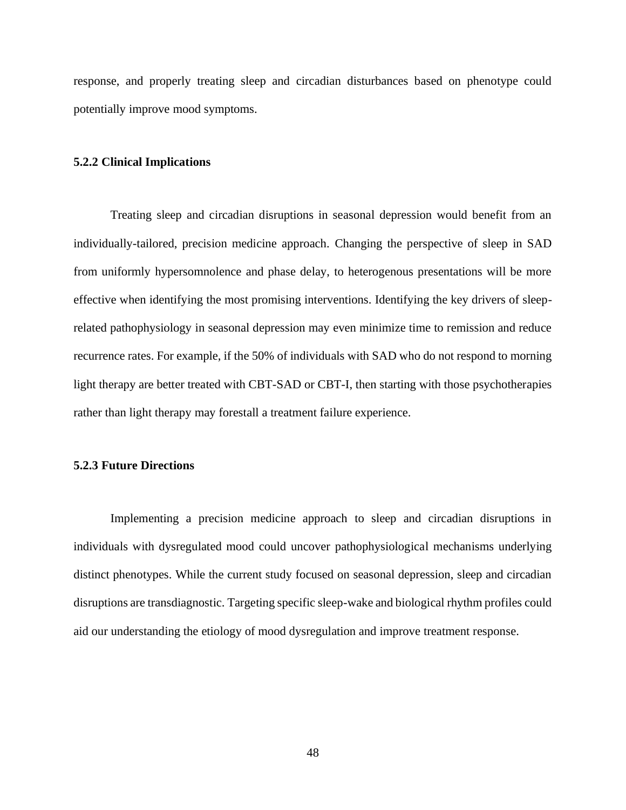response, and properly treating sleep and circadian disturbances based on phenotype could potentially improve mood symptoms.

# **5.2.2 Clinical Implications**

Treating sleep and circadian disruptions in seasonal depression would benefit from an individually-tailored, precision medicine approach. Changing the perspective of sleep in SAD from uniformly hypersomnolence and phase delay, to heterogenous presentations will be more effective when identifying the most promising interventions. Identifying the key drivers of sleeprelated pathophysiology in seasonal depression may even minimize time to remission and reduce recurrence rates. For example, if the 50% of individuals with SAD who do not respond to morning light therapy are better treated with CBT-SAD or CBT-I, then starting with those psychotherapies rather than light therapy may forestall a treatment failure experience.

### **5.2.3 Future Directions**

Implementing a precision medicine approach to sleep and circadian disruptions in individuals with dysregulated mood could uncover pathophysiological mechanisms underlying distinct phenotypes. While the current study focused on seasonal depression, sleep and circadian disruptions are transdiagnostic. Targeting specific sleep-wake and biological rhythm profiles could aid our understanding the etiology of mood dysregulation and improve treatment response.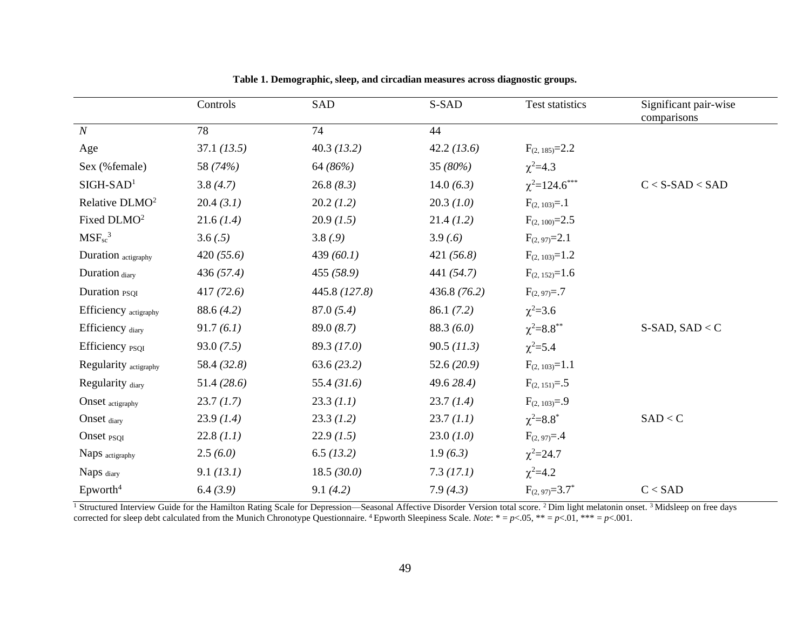|                            | Controls      | SAD           | S-SAD         | Test statistics             | Significant pair-wise<br>comparisons |
|----------------------------|---------------|---------------|---------------|-----------------------------|--------------------------------------|
| $\boldsymbol{N}$           | 78            | 74            | 44            |                             |                                      |
| Age                        | 37.1 (13.5)   | 40.3(13.2)    | 42.2(13.6)    | $F_{(2, 185)} = 2.2$        |                                      |
| Sex (%female)              | 58 (74%)      | 64 (86%)      | 35 (80%)      | $\chi^2 = 4.3$              |                                      |
| $SIGH-SAD1$                | 3.8(4.7)      | 26.8(8.3)     | 14.0 $(6.3)$  | $\chi^2 = 124.6$ ***        | $C < S-SAD < SAD$                    |
| Relative DLMO <sup>2</sup> | 20.4(3.1)     | 20.2(1.2)     | 20.3(1.0)     | $F_{(2, 103)} = .1$         |                                      |
| Fixed DLMO <sup>2</sup>    | 21.6(1.4)     | 20.9(1.5)     | 21.4(1.2)     | $F_{(2, 100)} = 2.5$        |                                      |
| $MSF_{sc}^3$               | 3.6(.5)       | 3.8(0.9)      | 3.9(6)        | $F_{(2, 97)} = 2.1$         |                                      |
| Duration actigraphy        | 420(55.6)     | 439 $(60.1)$  | 421 $(56.8)$  | $F_{(2, 103)} = 1.2$        |                                      |
| Duration diary             | 436(57.4)     | 455(58.9)     | 441 (54.7)    | $F_{(2, 152)} = 1.6$        |                                      |
| Duration <sub>PSOI</sub>   | 417(72.6)     | 445.8 (127.8) | 436.8(76.2)   | $F_{(2, 97)} = .7$          |                                      |
| Efficiency actigraphy      | 88.6(4.2)     | 87.0(5.4)     | 86.1(7.2)     | $\chi^2 = 3.6$              |                                      |
| Efficiency diary           | 91.7(6.1)     | 89.0(8.7)     | 88.3(6.0)     | $\chi^2 = 8.8$ **           | $S-$ SAD, SAD < C                    |
| Efficiency <sub>PSQI</sub> | 93.0(7.5)     | 89.3(17.0)    | $90.5$ (11.3) | $\chi^2 = 5.4$              |                                      |
| Regularity actigraphy      | 58.4 (32.8)   | 63.6(23.2)    | 52.6 $(20.9)$ | $F_{(2, 103)} = 1.1$        |                                      |
| Regularity diary           | 51.4 $(28.6)$ | 55.4 $(31.6)$ | 49.6 28.4)    | $F_{(2, 151)} = .5$         |                                      |
| Onset actigraphy           | 23.7(1.7)     | 23.3 (1.1)    | 23.7(1.4)     | $F_{(2, 103)} = .9$         |                                      |
| Onset diary                | 23.9(1.4)     | 23.3(1.2)     | 23.7(1.1)     | $\chi^2 = 8.8$ <sup>*</sup> | SAD < C                              |
| Onset <sub>PSQI</sub>      | 22.8(1.1)     | 22.9(1.5)     | 23.0(1.0)     | $F_{(2, 97)} = .4$          |                                      |
| Naps actigraphy            | 2.5(6.0)      | 6.5(13.2)     | 1.9(6.3)      | $\chi^2 = 24.7$             |                                      |
| Naps diary                 | 9.1 (13.1)    | 18.5(30.0)    | 7.3(17.1)     | $\chi^2 = 4.2$              |                                      |
| $E$ pworth <sup>4</sup>    | 6.4(3.9)      | 9.1(4.2)      | 7.9(4.3)      | $F_{(2, 97)} = 3.7^*$       | C < SAD                              |

**Table 1. Demographic, sleep, and circadian measures across diagnostic groups.**

<sup>1</sup> Structured Interview Guide for the Hamilton Rating Scale for Depression—Seasonal Affective Disorder Version total score. <sup>2</sup> Dim light melatonin onset. <sup>3</sup> Midsleep on free days corrected for sleep debt calculated from the Munich Chronotype Questionnaire. <sup>4</sup> Epworth Sleepiness Scale. *Note*:  $* = p < 0.05$ ,  $** = p < 0.01$ ,  $** = p < 0.01$ .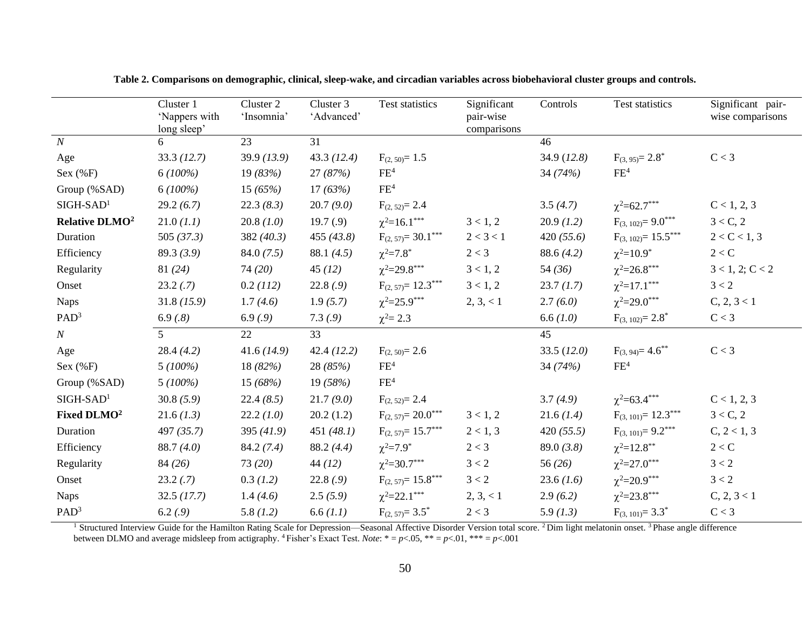|                            | Cluster 1<br>'Nappers with<br>long sleep' | Cluster 2<br>'Insomnia' | Cluster 3<br>'Advanced' | Test statistics         | Significant<br>pair-wise<br>comparisons | Controls      | Test statistics               | Significant pair-<br>wise comparisons |
|----------------------------|-------------------------------------------|-------------------------|-------------------------|-------------------------|-----------------------------------------|---------------|-------------------------------|---------------------------------------|
| $\boldsymbol{N}$           | 6                                         | 23                      | 31                      |                         |                                         | 46            |                               |                                       |
| Age                        | 33.3(12.7)                                | 39.9(13.9)              | 43.3(12.4)              | $F_{(2, 50)} = 1.5$     |                                         | 34.9 $(12.8)$ | $F_{(3, 95)} = 2.8^*$         | C < 3                                 |
| Sex $(\%F)$                | $6(100\%)$                                | 19 $(83%)$              | 27(87%)                 | $\rm FE^4$              |                                         | 34 $(74%)$    | FE <sup>4</sup>               |                                       |
| Group (%SAD)               | $6(100\%)$                                | 15 $(65%)$              | 17(63%)                 | FE <sup>4</sup>         |                                         |               |                               |                                       |
| $SIGH-SAD1$                | 29.2(6.7)                                 | 22.3(8.3)               | 20.7(9.0)               | $F_{(2, 52)} = 2.4$     |                                         | 3.5(4.7)      | $\chi^2 = 62.7***$            | C < 1, 2, 3                           |
| Relative DLMO <sup>2</sup> | 21.0 (1.1)                                | 20.8(1.0)               | 19.7(9)                 | $\chi^2 = 16.1$ ***     | 3 < 1, 2                                | 20.9(1.2)     | $F_{(3, 102)} = 9.0***$       | 3 < C, 2                              |
| Duration                   | 505 $(37.3)$                              | 382 $(40.3)$            | 455(43.8)               | $F_{(2, 57)} = 30.1***$ | 2 < 3 < 1                               | 420 $(55.6)$  | $F_{(3, 102)} = 15.5***$      | 2 < C < 1, 3                          |
| Efficiency                 | 89.3(3.9)                                 | 84.0(7.5)               | 88.1 $(4.5)$            | $\chi^2 = 7.8$ *        | 2 < 3                                   | 88.6(4.2)     | $\chi^2 = 10.9^*$             | 2 < C                                 |
| Regularity                 | 81(24)                                    | 74(20)                  | 45(12)                  | $\chi^2 = 29.8$ ***     | 3 < 1, 2                                | 54 $(36)$     | $\chi^2 = 26.8$ ***           | 3 < 1, 2; C < 2                       |
| Onset                      | 23.2(.7)                                  | 0.2 (112)               | 22.8(.9)                | $F_{(2, 57)} = 12.3***$ | 3 < 1, 2                                | 23.7(1.7)     | $\chi^2$ =17.1 <sup>***</sup> | 3 < 2                                 |
| <b>Naps</b>                | 31.8(15.9)                                | 1.7(4.6)                | 1.9(5.7)                | $\chi^2 = 25.9$ ***     | 2, 3, < 1                               | 2.7(6.0)      | $\chi^2 = 29.0$ ***           | C, 2, 3 < 1                           |
| PAD <sup>3</sup>           | 6.9(.8)                                   | 6.9(0.9)                | 7.3(9)                  | $\chi^2 = 2.3$          |                                         | 6.6 $(1.0)$   | $F_{(3, 102)} = 2.8^*$        | C < 3                                 |
| $\boldsymbol{N}$           | 5 <sup>5</sup>                            | 22                      | 33                      |                         |                                         | 45            |                               |                                       |
| Age                        | 28.4(4.2)                                 | 41.6(14.9)              | 42.4(12.2)              | $F_{(2, 50)} = 2.6$     |                                         | 33.5(12.0)    | $F_{(3, 94)} = 4.6$ **        | C < 3                                 |
| Sex $(\%F)$                | $5(100\%)$                                | 18 $(82%)$              | 28(85%)                 | FE <sup>4</sup>         |                                         | 34 $(74%)$    | FE <sup>4</sup>               |                                       |
| Group (%SAD)               | $5(100\%)$                                | 15 (68%)                | 19(58%)                 | FE <sup>4</sup>         |                                         |               |                               |                                       |
| $SIGH-SAD1$                | 30.8(5.9)                                 | 22.4(8.5)               | 21.7(9.0)               | $F_{(2, 52)} = 2.4$     |                                         | 3.7(4.9)      | $\chi^2 = 63.4***$            | C < 1, 2, 3                           |
| Fixed DLMO <sup>2</sup>    | 21.6(1.3)                                 | 22.2(1.0)               | 20.2(1.2)               | $F_{(2, 57)} = 20.0***$ | 3 < 1, 2                                | 21.6(1.4)     | $F_{(3, 101)} = 12.3***$      | 3 < C, 2                              |
| Duration                   | 497 $(35.7)$                              | 395 $(41.9)$            | 451 $(48.1)$            | $F_{(2, 57)} = 15.7***$ | 2 < 1, 3                                | 420 $(55.5)$  | $F_{(3, 101)} = 9.2***$       | C, 2 < 1, 3                           |
| Efficiency                 | 88.7(4.0)                                 | 84.2(7.4)               | 88.2(4.4)               | $\chi^2 = 7.9^*$        | 2 < 3                                   | 89.0(3.8)     | $\chi^2 = 12.8$ **            | 2 < C                                 |
| Regularity                 | 84(26)                                    | 73(20)                  | 44(12)                  | $\chi^2 = 30.7$ ***     | 3 < 2                                   | 56 $(26)$     | $\chi^2 = 27.0$ ***           | 3 < 2                                 |
| Onset                      | 23.2(.7)                                  | 0.3(1.2)                | 22.8(.9)                | $F_{(2, 57)} = 15.8***$ | 3 < 2                                   | 23.6(1.6)     | $\chi^2 = 20.9$ ***           | 3 < 2                                 |
| <b>Naps</b>                | 32.5(17.7)                                | 1.4(4.6)                | 2.5(5.9)                | $\chi^2 = 22.1$ ***     | 2, 3, < 1                               | 2.9(6.2)      | $\chi^2 = 23.8$ ***           | C, 2, 3 < 1                           |
| PAD <sup>3</sup>           | 6.2(.9)                                   | 5.8(1.2)                | 6.6 (1.1)               | $F_{(2, 57)} = 3.5^*$   | $2 < 3$                                 | 5.9(1.3)      | $F_{(3, 101)} = 3.3^*$        | $C < 3$                               |

**Table 2. Comparisons on demographic, clinical, sleep-wake, and circadian variables across biobehavioral cluster groups and controls.**

<sup>1</sup> Structured Interview Guide for the Hamilton Rating Scale for Depression—Seasonal Affective Disorder Version total score. <sup>2</sup> Dim light melatonin onset. <sup>3</sup> Phase angle difference between DLMO and average midsleep from actigraphy. <sup>4</sup> Fisher's Exact Test. *Note*:  $* = p < .05$ ,  $** = p < .01$ ,  $*** = p < .001$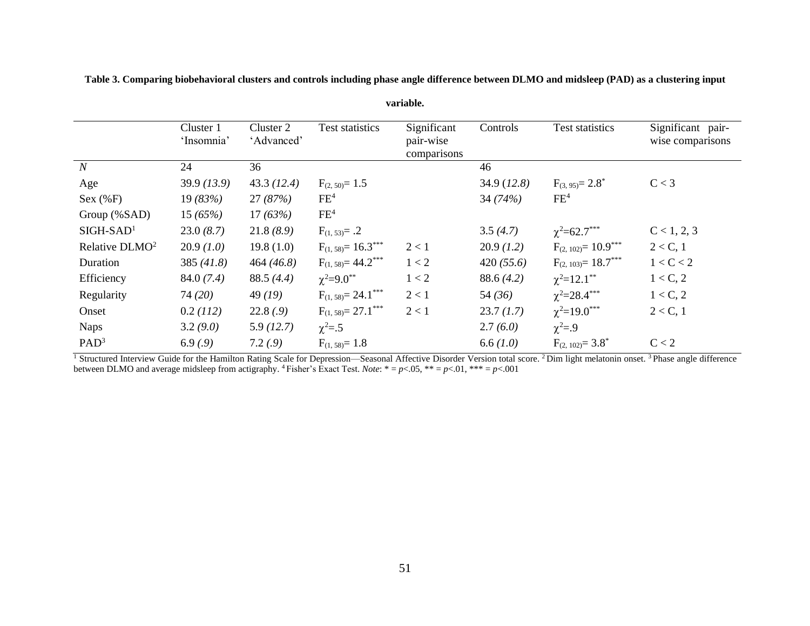|                            | Cluster 1  | Cluster 2  | Test statistics          | Significant              | Controls    | Test statistics               | Significant pair- |
|----------------------------|------------|------------|--------------------------|--------------------------|-------------|-------------------------------|-------------------|
|                            | 'Insomnia' | 'Advanced' |                          | pair-wise<br>comparisons |             |                               | wise comparisons  |
| $\boldsymbol{N}$           | 24         | 36         |                          |                          | 46          |                               |                   |
| Age                        | 39.9(13.9) | 43.3(12.4) | $F_{(2, 50)} = 1.5$      |                          | 34.9(12.8)  | $F_{(3, 95)} = 2.8^*$         | C < 3             |
| Sex (%F)                   | 19(83%)    | 27(87%)    | FE <sup>4</sup>          |                          | 34(74%)     | FE <sup>4</sup>               |                   |
| Group (%SAD)               | 15(65%)    | 17(63%)    | FE <sup>4</sup>          |                          |             |                               |                   |
| $SIGH-SAD1$                | 23.0(8.7)  | 21.8(8.9)  | $F_{(1, 53)} = .2$       |                          | 3.5(4.7)    | $\chi^2 = 62.7$ ***           | C < 1, 2, 3       |
| Relative DLMO <sup>2</sup> | 20.9(1.0)  | 19.8(1.0)  | $F_{(1, 58)} = 16.3***$  | 2 < 1                    | 20.9(1.2)   | $F_{(2, 102)} = 10.9***$      | $2 < C$ , 1       |
| Duration                   | 385(41.8)  | 464(46.8)  | $F_{(1, 58)} = 44.2$ *** | 1 < 2                    | 420(55.6)   | $F_{(2, 103)} = 18.7***$      | 1 < C < 2         |
| Efficiency                 | 84.0(7.4)  | 88.5(4.4)  | $\chi^2 = 9.0^{**}$      | 1 < 2                    | 88.6(4.2)   | $\chi^2 = 12.1$ <sup>**</sup> | 1 < C, 2          |
| Regularity                 | 74(20)     | 49(19)     | $F_{(1, 58)} = 24.1***$  | 2 < 1                    | 54(36)      | $\chi^2 = 28.4$ ***           | 1 < C, 2          |
| Onset                      | 0.2(112)   | 22.8(.9)   | $F_{(1, 58)} = 27.1***$  | 2 < 1                    | 23.7(1.7)   | $\chi^2 = 19.0$ ***           | $2 < C$ , 1       |
| <b>Naps</b>                | 3.2(9.0)   | 5.9(12.7)  | $\chi^2 = .5$            |                          | 2.7(6.0)    | $\chi^2 = .9$                 |                   |
| PAD <sup>3</sup>           | 6.9(0.9)   | 7.2(0.9)   | $F_{(1, 58)} = 1.8$      |                          | 6.6 $(1.0)$ | $F_{(2, 102)} = 3.8^*$        | C < 2             |

**Table 3. Comparing biobehavioral clusters and controls including phase angle difference between DLMO and midsleep (PAD) as a clustering input** 

**variable.**

<sup>1</sup> Structured Interview Guide for the Hamilton Rating Scale for Depression—Seasonal Affective Disorder Version total score. <sup>2</sup> Dim light melatonin onset. <sup>3</sup> Phase angle difference between DLMO and average midsleep from actigraphy. <sup>4</sup>Fisher's Exact Test. *Note*: \* = *p*<.05, \*\* = *p*<.01, \*\*\* = *p*<.001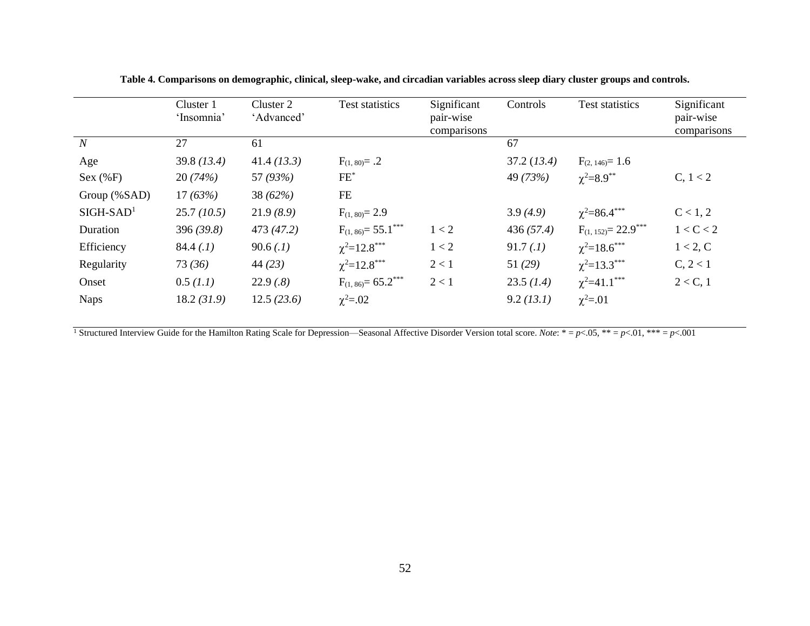|                | Cluster 1<br>'Insomnia' | Cluster 2<br>'Advanced' | Test statistics          | Significant<br>pair-wise<br>comparisons | Controls   | <b>Test statistics</b>   | Significant<br>pair-wise<br>comparisons |
|----------------|-------------------------|-------------------------|--------------------------|-----------------------------------------|------------|--------------------------|-----------------------------------------|
| $\overline{N}$ | 27                      | 61                      |                          |                                         | 67         |                          |                                         |
| Age            | 39.8(13.4)              | 41.4(13.3)              | $F_{(1, 80)} = .2$       |                                         | 37.2(13.4) | $F_{(2, 146)} = 1.6$     |                                         |
| Sex (%F)       | 20(74%)                 | 57 (93%)                | $FE^*$                   |                                         | 49 (73%)   | $\chi^2 = 8.9$ **        | C, 1 < 2                                |
| Group (%SAD)   | 17(63%)                 | 38 (62%)                | FE                       |                                         |            |                          |                                         |
| $SIGH-SAD1$    | 25.7(10.5)              | 21.9(8.9)               | $F_{(1, 80)} = 2.9$      |                                         | 3.9(4.9)   | $\chi^2 = 86.4$ ***      | C < 1, 2                                |
| Duration       | 396(39.8)               | 473 (47.2)              | $F_{(1, 86)} = 55.1***$  | 1 < 2                                   | 436(57.4)  | $F_{(1, 152)} = 22.9***$ | 1 < C < 2                               |
| Efficiency     | 84.4(0.1)               | 90.6(.1)                | $\chi^2 = 12.8$ ***      | 1 < 2                                   | 91.7(0.1)  | $\chi^2 = 18.6$ ***      | 1 < 2, C                                |
| Regularity     | 73(36)                  | 44(23)                  | $\chi^2 = 12.8$ ***      | 2 < 1                                   | 51(29)     | $\chi^2 = 13.3$ ***      | C, 2 < 1                                |
| Onset          | 0.5 (1.1)               | 22.9(.8)                | $F_{(1, 86)} = 65.2$ *** | 2 < 1                                   | 23.5(1.4)  | $\chi^2 = 41.1$ ***      | $2 < C$ , 1                             |
| <b>Naps</b>    | 18.2(31.9)              | 12.5(23.6)              | $\chi^2 = .02$           |                                         | 9.2 (13.1) | $\chi^2 = .01$           |                                         |

**Table 4. Comparisons on demographic, clinical, sleep-wake, and circadian variables across sleep diary cluster groups and controls.**

<sup>1</sup> Structured Interview Guide for the Hamilton Rating Scale for Depression—Seasonal Affective Disorder Version total score. *Note*: \* =  $p$ <.05, \*\* =  $p$ <.01, \*\*\* =  $p$ <.001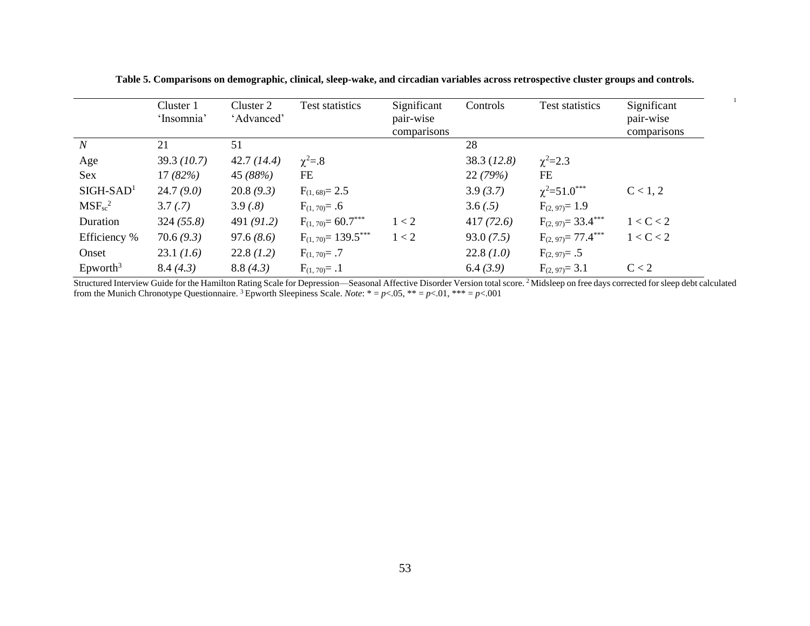|                                | Cluster 1<br>'Insomnia' | Cluster 2<br>'Advanced' | Test statistics         | Significant<br>pair-wise<br>comparisons | Controls   | Test statistics         | Significant<br>pair-wise<br>comparisons |
|--------------------------------|-------------------------|-------------------------|-------------------------|-----------------------------------------|------------|-------------------------|-----------------------------------------|
| $\boldsymbol{N}$               | 21                      | 51                      |                         |                                         | 28         |                         |                                         |
| Age                            | 39.3(10.7)              | 42.7(14.4)              | $\chi^2 = .8$           |                                         | 38.3(12.8) | $\chi^2 = 2.3$          |                                         |
| <b>Sex</b>                     | 17(82%)                 | 45 (88%)                | FE                      |                                         | 22(79%)    | FE                      |                                         |
| $SIGH-SAD1$                    | 24.7(9.0)               | 20.8(9.3)               | $F_{(1, 68)} = 2.5$     |                                         | 3.9(3.7)   | $\chi^2 = 51.0$ ***     | C < 1, 2                                |
| $MSF_{sc}^2$                   | 3.7(.7)                 | 3.9(.8)                 | $F_{(1, 70)} = .6$      |                                         | 3.6(.5)    | $F_{(2, 97)} = 1.9$     |                                         |
| Duration                       | 324(55.8)               | 491 $(91.2)$            | $F_{(1,70)} = 60.7***$  | 1 < 2                                   | 417(72.6)  | $F_{(2, 97)} = 33.4***$ | 1 < C < 2                               |
| Efficiency %                   | 70.6(9.3)               | 97.6(8.6)               | $F_{(1,70)} = 139.5***$ | 1 < 2                                   | 93.0(7.5)  | $F_{(2, 97)} = 77.4***$ | 1 < C < 2                               |
| Onset                          | 23.1(1.6)               | 22.8(1.2)               | $F_{(1,70)} = .7$       |                                         | 22.8(1.0)  | $F_{(2, 97)} = .5$      |                                         |
| $\text{E}$ pworth <sup>3</sup> | 8.4(4.3)                | 8.8(4.3)                | $F_{(1,70)} = .1$       |                                         | 6.4(3.9)   | $F_{(2, 97)} = 3.1$     | C < 2                                   |

**Table 5. Comparisons on demographic, clinical, sleep-wake, and circadian variables across retrospective cluster groups and controls.**

1

Structured Interview Guide for the Hamilton Rating Scale for Depression—Seasonal Affective Disorder Version total score. <sup>2</sup> Midsleep on free days corrected for sleep debt calculated from the Munich Chronotype Questionnaire. <sup>3</sup>Epworth Sleepiness Scale. *Note*: \* = *p*<.05, \*\* = *p*<.01, \*\*\* = *p*<.001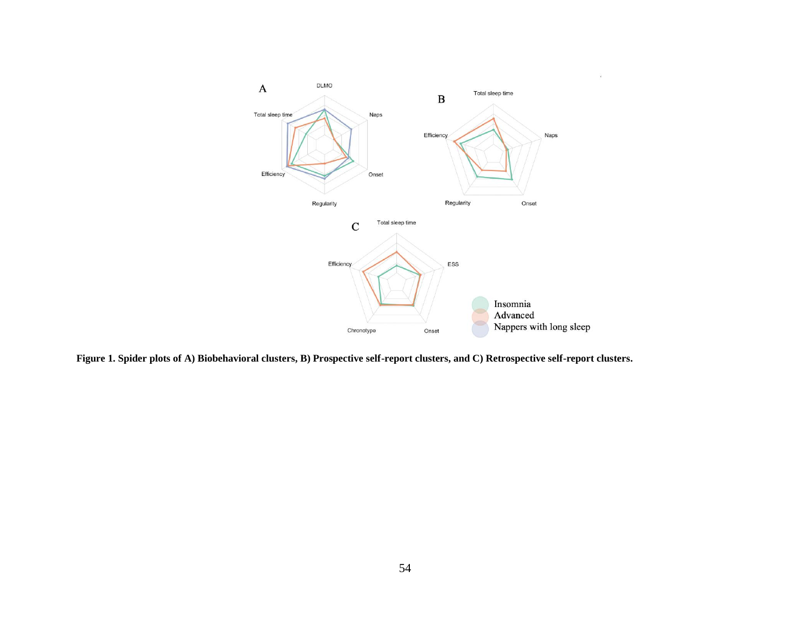

**Figure 1. Spider plots of A) Biobehavioral clusters, B) Prospective self-report clusters, and C) Retrospective self-report clusters.**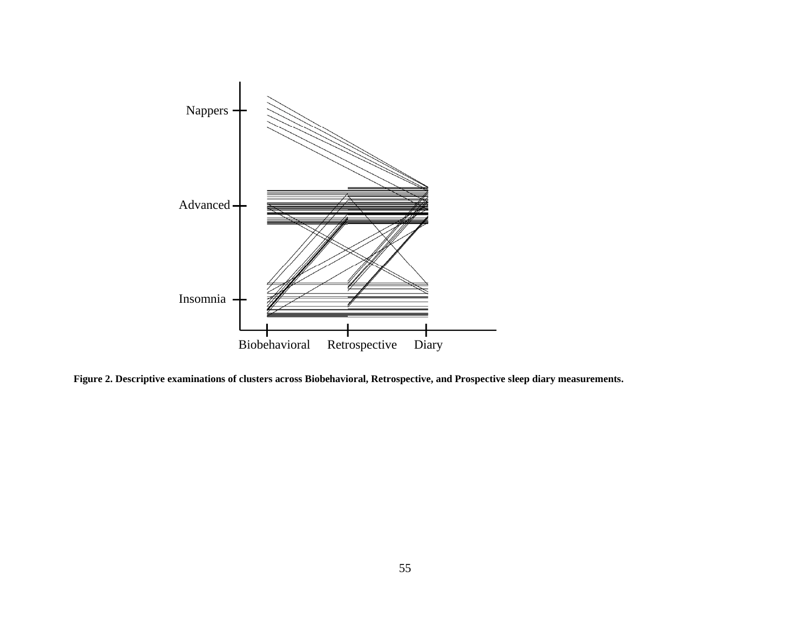

**Figure 2. Descriptive examinations of clusters across Biobehavioral, Retrospective, and Prospective sleep diary measurements.**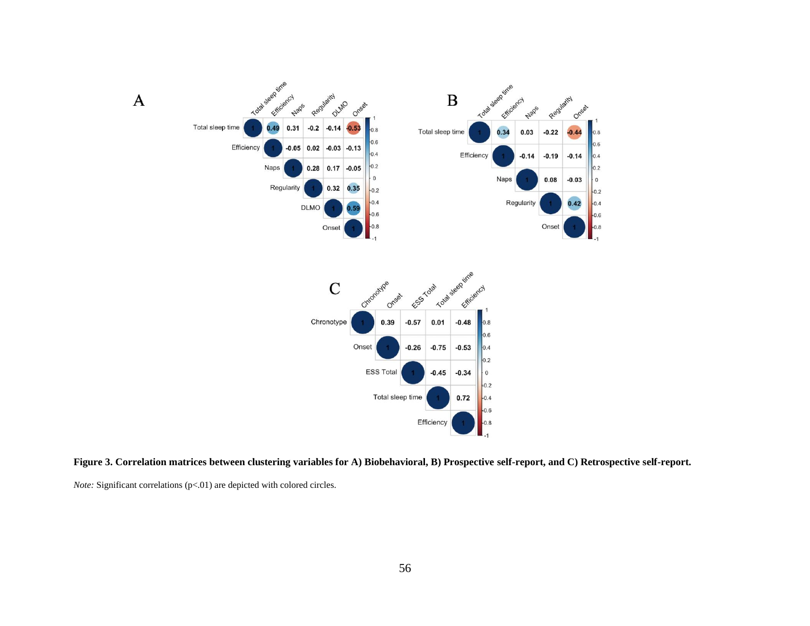

**Figure 3. Correlation matrices between clustering variables for A) Biobehavioral, B) Prospective self-report, and C) Retrospective self-report.** 

*Note:* Significant correlations (p<.01) are depicted with colored circles.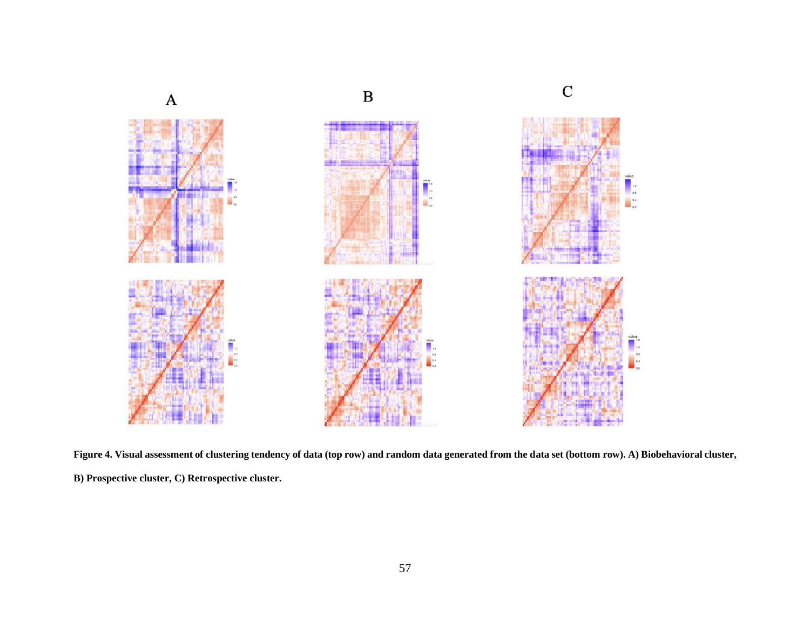

**Figure 4. Visual assessment of clustering tendency of data (top row) and random data generated from the data set (bottom row). A) Biobehavioral cluster, B) Prospective cluster, C) Retrospective cluster.**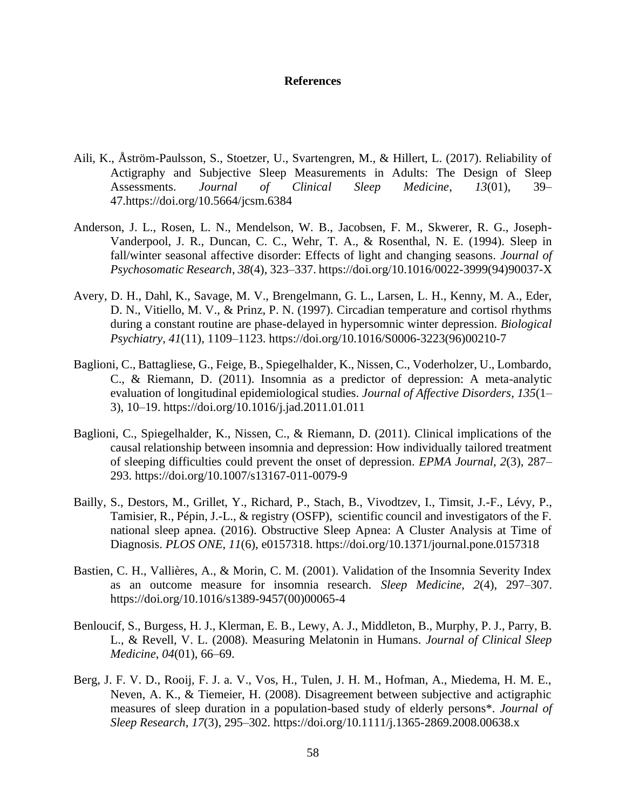#### **References**

- Aili, K., Åström-Paulsson, S., Stoetzer, U., Svartengren, M., & Hillert, L. (2017). Reliability of Actigraphy and Subjective Sleep Measurements in Adults: The Design of Sleep Assessments. *Journal of Clinical Sleep Medicine*, *13*(01), 39– 47.https://doi.org/10.5664/jcsm.6384
- Anderson, J. L., Rosen, L. N., Mendelson, W. B., Jacobsen, F. M., Skwerer, R. G., Joseph-Vanderpool, J. R., Duncan, C. C., Wehr, T. A., & Rosenthal, N. E. (1994). Sleep in fall/winter seasonal affective disorder: Effects of light and changing seasons. *Journal of Psychosomatic Research*, *38*(4), 323–337. https://doi.org/10.1016/0022-3999(94)90037-X
- Avery, D. H., Dahl, K., Savage, M. V., Brengelmann, G. L., Larsen, L. H., Kenny, M. A., Eder, D. N., Vitiello, M. V., & Prinz, P. N. (1997). Circadian temperature and cortisol rhythms during a constant routine are phase-delayed in hypersomnic winter depression. *Biological Psychiatry*, *41*(11), 1109–1123. https://doi.org/10.1016/S0006-3223(96)00210-7
- Baglioni, C., Battagliese, G., Feige, B., Spiegelhalder, K., Nissen, C., Voderholzer, U., Lombardo, C., & Riemann, D. (2011). Insomnia as a predictor of depression: A meta-analytic evaluation of longitudinal epidemiological studies. *Journal of Affective Disorders*, *135*(1– 3), 10–19. https://doi.org/10.1016/j.jad.2011.01.011
- Baglioni, C., Spiegelhalder, K., Nissen, C., & Riemann, D. (2011). Clinical implications of the causal relationship between insomnia and depression: How individually tailored treatment of sleeping difficulties could prevent the onset of depression. *EPMA Journal*, *2*(3), 287– 293. https://doi.org/10.1007/s13167-011-0079-9
- Bailly, S., Destors, M., Grillet, Y., Richard, P., Stach, B., Vivodtzev, I., Timsit, J.-F., Lévy, P., Tamisier, R., Pépin, J.-L., & registry (OSFP), scientific council and investigators of the F. national sleep apnea. (2016). Obstructive Sleep Apnea: A Cluster Analysis at Time of Diagnosis. *PLOS ONE*, *11*(6), e0157318. https://doi.org/10.1371/journal.pone.0157318
- Bastien, C. H., Vallières, A., & Morin, C. M. (2001). Validation of the Insomnia Severity Index as an outcome measure for insomnia research. *Sleep Medicine*, *2*(4), 297–307. https://doi.org/10.1016/s1389-9457(00)00065-4
- Benloucif, S., Burgess, H. J., Klerman, E. B., Lewy, A. J., Middleton, B., Murphy, P. J., Parry, B. L., & Revell, V. L. (2008). Measuring Melatonin in Humans. *Journal of Clinical Sleep Medicine*, *04*(01), 66–69.
- Berg, J. F. V. D., Rooij, F. J. a. V., Vos, H., Tulen, J. H. M., Hofman, A., Miedema, H. M. E., Neven, A. K., & Tiemeier, H. (2008). Disagreement between subjective and actigraphic measures of sleep duration in a population-based study of elderly persons\*. *Journal of Sleep Research*, *17*(3), 295–302. https://doi.org/10.1111/j.1365-2869.2008.00638.x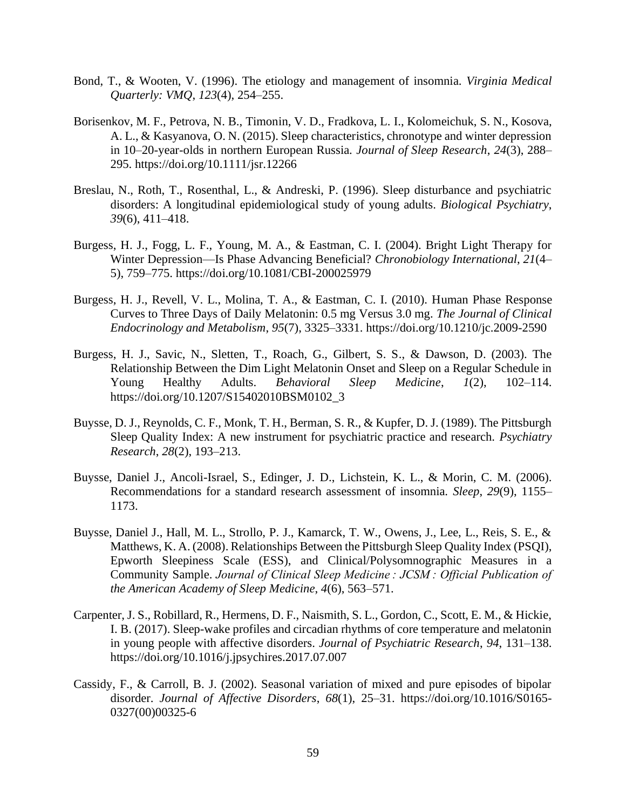- Bond, T., & Wooten, V. (1996). The etiology and management of insomnia. *Virginia Medical Quarterly: VMQ*, *123*(4), 254–255.
- Borisenkov, M. F., Petrova, N. B., Timonin, V. D., Fradkova, L. I., Kolomeichuk, S. N., Kosova, A. L., & Kasyanova, O. N. (2015). Sleep characteristics, chronotype and winter depression in 10–20-year-olds in northern European Russia. *Journal of Sleep Research*, *24*(3), 288– 295. https://doi.org/10.1111/jsr.12266
- Breslau, N., Roth, T., Rosenthal, L., & Andreski, P. (1996). Sleep disturbance and psychiatric disorders: A longitudinal epidemiological study of young adults. *Biological Psychiatry*, *39*(6), 411–418.
- Burgess, H. J., Fogg, L. F., Young, M. A., & Eastman, C. I. (2004). Bright Light Therapy for Winter Depression—Is Phase Advancing Beneficial? *Chronobiology International*, *21*(4– 5), 759–775. https://doi.org/10.1081/CBI-200025979
- Burgess, H. J., Revell, V. L., Molina, T. A., & Eastman, C. I. (2010). Human Phase Response Curves to Three Days of Daily Melatonin: 0.5 mg Versus 3.0 mg. *The Journal of Clinical Endocrinology and Metabolism*, *95*(7), 3325–3331. https://doi.org/10.1210/jc.2009-2590
- Burgess, H. J., Savic, N., Sletten, T., Roach, G., Gilbert, S. S., & Dawson, D. (2003). The Relationship Between the Dim Light Melatonin Onset and Sleep on a Regular Schedule in Young Healthy Adults. *Behavioral Sleep Medicine*, *1*(2), 102–114. https://doi.org/10.1207/S15402010BSM0102\_3
- Buysse, D. J., Reynolds, C. F., Monk, T. H., Berman, S. R., & Kupfer, D. J. (1989). The Pittsburgh Sleep Quality Index: A new instrument for psychiatric practice and research. *Psychiatry Research*, *28*(2), 193–213.
- Buysse, Daniel J., Ancoli-Israel, S., Edinger, J. D., Lichstein, K. L., & Morin, C. M. (2006). Recommendations for a standard research assessment of insomnia. *Sleep*, *29*(9), 1155– 1173.
- Buysse, Daniel J., Hall, M. L., Strollo, P. J., Kamarck, T. W., Owens, J., Lee, L., Reis, S. E., & Matthews, K. A. (2008). Relationships Between the Pittsburgh Sleep Quality Index (PSQI), Epworth Sleepiness Scale (ESS), and Clinical/Polysomnographic Measures in a Community Sample. *Journal of Clinical Sleep Medicine : JCSM : Official Publication of the American Academy of Sleep Medicine*, *4*(6), 563–571.
- Carpenter, J. S., Robillard, R., Hermens, D. F., Naismith, S. L., Gordon, C., Scott, E. M., & Hickie, I. B. (2017). Sleep-wake profiles and circadian rhythms of core temperature and melatonin in young people with affective disorders. *Journal of Psychiatric Research*, *94*, 131–138. https://doi.org/10.1016/j.jpsychires.2017.07.007
- Cassidy, F., & Carroll, B. J. (2002). Seasonal variation of mixed and pure episodes of bipolar disorder. *Journal of Affective Disorders*, *68*(1), 25–31. https://doi.org/10.1016/S0165- 0327(00)00325-6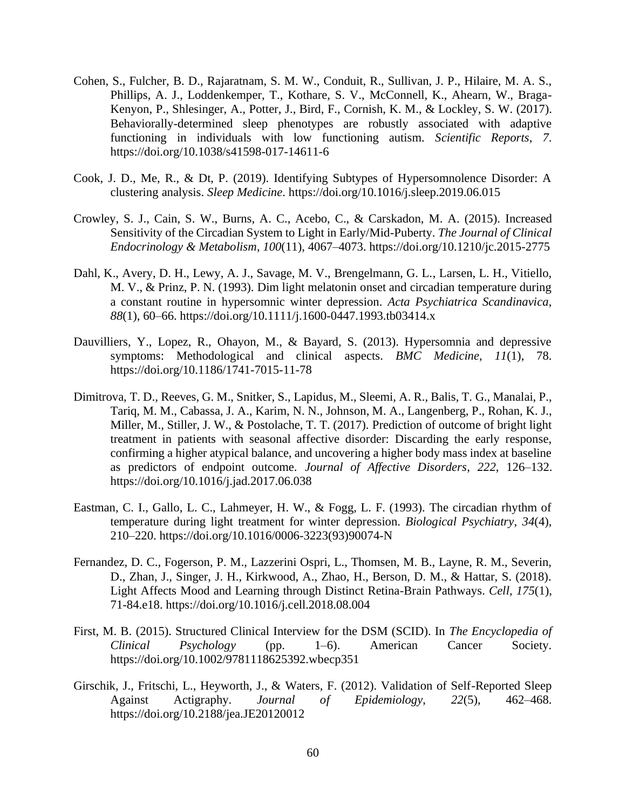- Cohen, S., Fulcher, B. D., Rajaratnam, S. M. W., Conduit, R., Sullivan, J. P., Hilaire, M. A. S., Phillips, A. J., Loddenkemper, T., Kothare, S. V., McConnell, K., Ahearn, W., Braga-Kenyon, P., Shlesinger, A., Potter, J., Bird, F., Cornish, K. M., & Lockley, S. W. (2017). Behaviorally-determined sleep phenotypes are robustly associated with adaptive functioning in individuals with low functioning autism. *Scientific Reports*, *7*. https://doi.org/10.1038/s41598-017-14611-6
- Cook, J. D., Me, R., & Dt, P. (2019). Identifying Subtypes of Hypersomnolence Disorder: A clustering analysis. *Sleep Medicine*. https://doi.org/10.1016/j.sleep.2019.06.015
- Crowley, S. J., Cain, S. W., Burns, A. C., Acebo, C., & Carskadon, M. A. (2015). Increased Sensitivity of the Circadian System to Light in Early/Mid-Puberty. *The Journal of Clinical Endocrinology & Metabolism*, *100*(11), 4067–4073. https://doi.org/10.1210/jc.2015-2775
- Dahl, K., Avery, D. H., Lewy, A. J., Savage, M. V., Brengelmann, G. L., Larsen, L. H., Vitiello, M. V., & Prinz, P. N. (1993). Dim light melatonin onset and circadian temperature during a constant routine in hypersomnic winter depression. *Acta Psychiatrica Scandinavica*, *88*(1), 60–66. https://doi.org/10.1111/j.1600-0447.1993.tb03414.x
- Dauvilliers, Y., Lopez, R., Ohayon, M., & Bayard, S. (2013). Hypersomnia and depressive symptoms: Methodological and clinical aspects. *BMC Medicine*, *11*(1), 78. https://doi.org/10.1186/1741-7015-11-78
- Dimitrova, T. D., Reeves, G. M., Snitker, S., Lapidus, M., Sleemi, A. R., Balis, T. G., Manalai, P., Tariq, M. M., Cabassa, J. A., Karim, N. N., Johnson, M. A., Langenberg, P., Rohan, K. J., Miller, M., Stiller, J. W., & Postolache, T. T. (2017). Prediction of outcome of bright light treatment in patients with seasonal affective disorder: Discarding the early response, confirming a higher atypical balance, and uncovering a higher body mass index at baseline as predictors of endpoint outcome. *Journal of Affective Disorders*, *222*, 126–132. https://doi.org/10.1016/j.jad.2017.06.038
- Eastman, C. I., Gallo, L. C., Lahmeyer, H. W., & Fogg, L. F. (1993). The circadian rhythm of temperature during light treatment for winter depression. *Biological Psychiatry*, *34*(4), 210–220. https://doi.org/10.1016/0006-3223(93)90074-N
- Fernandez, D. C., Fogerson, P. M., Lazzerini Ospri, L., Thomsen, M. B., Layne, R. M., Severin, D., Zhan, J., Singer, J. H., Kirkwood, A., Zhao, H., Berson, D. M., & Hattar, S. (2018). Light Affects Mood and Learning through Distinct Retina-Brain Pathways. *Cell*, *175*(1), 71-84.e18. https://doi.org/10.1016/j.cell.2018.08.004
- First, M. B. (2015). Structured Clinical Interview for the DSM (SCID). In *The Encyclopedia of Clinical Psychology* (pp. 1–6). American Cancer Society. https://doi.org/10.1002/9781118625392.wbecp351
- Girschik, J., Fritschi, L., Heyworth, J., & Waters, F. (2012). Validation of Self-Reported Sleep Against Actigraphy. *Journal of Epidemiology*, *22*(5), 462–468. https://doi.org/10.2188/jea.JE20120012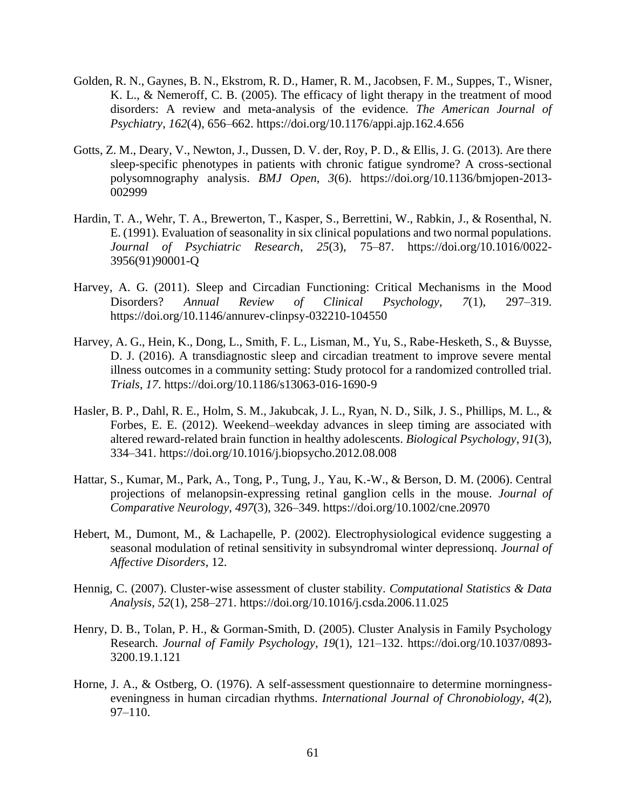- Golden, R. N., Gaynes, B. N., Ekstrom, R. D., Hamer, R. M., Jacobsen, F. M., Suppes, T., Wisner, K. L., & Nemeroff, C. B. (2005). The efficacy of light therapy in the treatment of mood disorders: A review and meta-analysis of the evidence. *The American Journal of Psychiatry*, *162*(4), 656–662. https://doi.org/10.1176/appi.ajp.162.4.656
- Gotts, Z. M., Deary, V., Newton, J., Dussen, D. V. der, Roy, P. D., & Ellis, J. G. (2013). Are there sleep-specific phenotypes in patients with chronic fatigue syndrome? A cross-sectional polysomnography analysis. *BMJ Open*, *3*(6). https://doi.org/10.1136/bmjopen-2013- 002999
- Hardin, T. A., Wehr, T. A., Brewerton, T., Kasper, S., Berrettini, W., Rabkin, J., & Rosenthal, N. E. (1991). Evaluation of seasonality in six clinical populations and two normal populations. *Journal of Psychiatric Research*, *25*(3), 75–87. https://doi.org/10.1016/0022- 3956(91)90001-Q
- Harvey, A. G. (2011). Sleep and Circadian Functioning: Critical Mechanisms in the Mood Disorders? *Annual Review of Clinical Psychology*, *7*(1), 297–319. https://doi.org/10.1146/annurev-clinpsy-032210-104550
- Harvey, A. G., Hein, K., Dong, L., Smith, F. L., Lisman, M., Yu, S., Rabe-Hesketh, S., & Buysse, D. J. (2016). A transdiagnostic sleep and circadian treatment to improve severe mental illness outcomes in a community setting: Study protocol for a randomized controlled trial. *Trials*, *17*. https://doi.org/10.1186/s13063-016-1690-9
- Hasler, B. P., Dahl, R. E., Holm, S. M., Jakubcak, J. L., Ryan, N. D., Silk, J. S., Phillips, M. L., & Forbes, E. E. (2012). Weekend–weekday advances in sleep timing are associated with altered reward-related brain function in healthy adolescents. *Biological Psychology*, *91*(3), 334–341. https://doi.org/10.1016/j.biopsycho.2012.08.008
- Hattar, S., Kumar, M., Park, A., Tong, P., Tung, J., Yau, K.-W., & Berson, D. M. (2006). Central projections of melanopsin-expressing retinal ganglion cells in the mouse. *Journal of Comparative Neurology*, *497*(3), 326–349. https://doi.org/10.1002/cne.20970
- Hebert, M., Dumont, M., & Lachapelle, P. (2002). Electrophysiological evidence suggesting a seasonal modulation of retinal sensitivity in subsyndromal winter depressionq. *Journal of Affective Disorders*, 12.
- Hennig, C. (2007). Cluster-wise assessment of cluster stability. *Computational Statistics & Data Analysis*, *52*(1), 258–271. https://doi.org/10.1016/j.csda.2006.11.025
- Henry, D. B., Tolan, P. H., & Gorman-Smith, D. (2005). Cluster Analysis in Family Psychology Research. *Journal of Family Psychology*, *19*(1), 121–132. https://doi.org/10.1037/0893- 3200.19.1.121
- Horne, J. A., & Ostberg, O. (1976). A self-assessment questionnaire to determine morningnesseveningness in human circadian rhythms. *International Journal of Chronobiology*, *4*(2), 97–110.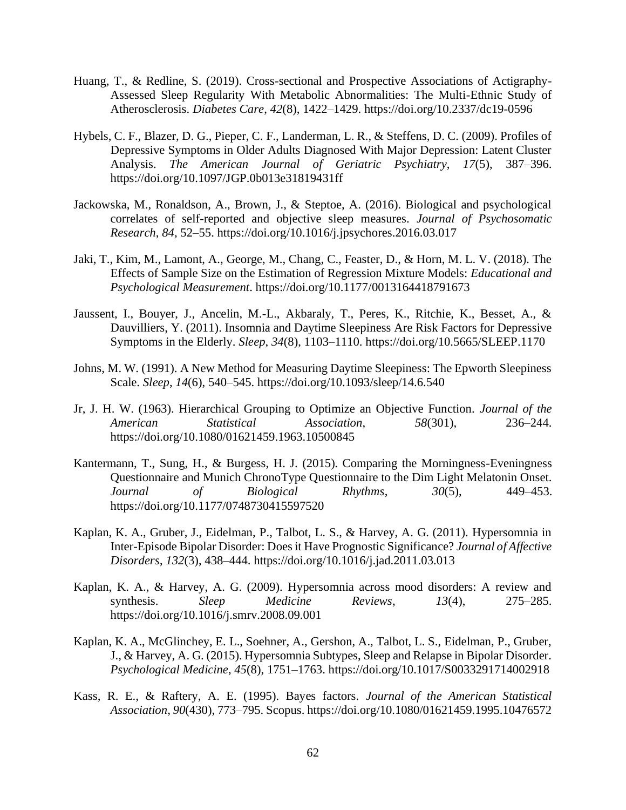- Huang, T., & Redline, S. (2019). Cross-sectional and Prospective Associations of Actigraphy-Assessed Sleep Regularity With Metabolic Abnormalities: The Multi-Ethnic Study of Atherosclerosis. *Diabetes Care*, *42*(8), 1422–1429. https://doi.org/10.2337/dc19-0596
- Hybels, C. F., Blazer, D. G., Pieper, C. F., Landerman, L. R., & Steffens, D. C. (2009). Profiles of Depressive Symptoms in Older Adults Diagnosed With Major Depression: Latent Cluster Analysis. *The American Journal of Geriatric Psychiatry*, *17*(5), 387–396. https://doi.org/10.1097/JGP.0b013e31819431ff
- Jackowska, M., Ronaldson, A., Brown, J., & Steptoe, A. (2016). Biological and psychological correlates of self-reported and objective sleep measures. *Journal of Psychosomatic Research*, *84*, 52–55. https://doi.org/10.1016/j.jpsychores.2016.03.017
- Jaki, T., Kim, M., Lamont, A., George, M., Chang, C., Feaster, D., & Horn, M. L. V. (2018). The Effects of Sample Size on the Estimation of Regression Mixture Models: *Educational and Psychological Measurement*. https://doi.org/10.1177/0013164418791673
- Jaussent, I., Bouyer, J., Ancelin, M.-L., Akbaraly, T., Peres, K., Ritchie, K., Besset, A., & Dauvilliers, Y. (2011). Insomnia and Daytime Sleepiness Are Risk Factors for Depressive Symptoms in the Elderly. *Sleep*, *34*(8), 1103–1110. https://doi.org/10.5665/SLEEP.1170
- Johns, M. W. (1991). A New Method for Measuring Daytime Sleepiness: The Epworth Sleepiness Scale. *Sleep*, *14*(6), 540–545. https://doi.org/10.1093/sleep/14.6.540
- Jr, J. H. W. (1963). Hierarchical Grouping to Optimize an Objective Function. *Journal of the American Statistical Association*, *58*(301), 236–244. https://doi.org/10.1080/01621459.1963.10500845
- Kantermann, T., Sung, H., & Burgess, H. J. (2015). Comparing the Morningness-Eveningness Questionnaire and Munich ChronoType Questionnaire to the Dim Light Melatonin Onset. *Journal of Biological Rhythms*, *30*(5), 449–453. https://doi.org/10.1177/0748730415597520
- Kaplan, K. A., Gruber, J., Eidelman, P., Talbot, L. S., & Harvey, A. G. (2011). Hypersomnia in Inter-Episode Bipolar Disorder: Does it Have Prognostic Significance? *Journal of Affective Disorders*, *132*(3), 438–444. https://doi.org/10.1016/j.jad.2011.03.013
- Kaplan, K. A., & Harvey, A. G. (2009). Hypersomnia across mood disorders: A review and synthesis. *Sleep Medicine Reviews*, *13*(4), 275–285. https://doi.org/10.1016/j.smrv.2008.09.001
- Kaplan, K. A., McGlinchey, E. L., Soehner, A., Gershon, A., Talbot, L. S., Eidelman, P., Gruber, J., & Harvey, A. G. (2015). Hypersomnia Subtypes, Sleep and Relapse in Bipolar Disorder. *Psychological Medicine*, *45*(8), 1751–1763. https://doi.org/10.1017/S0033291714002918
- Kass, R. E., & Raftery, A. E. (1995). Bayes factors. *Journal of the American Statistical Association*, *90*(430), 773–795. Scopus. https://doi.org/10.1080/01621459.1995.10476572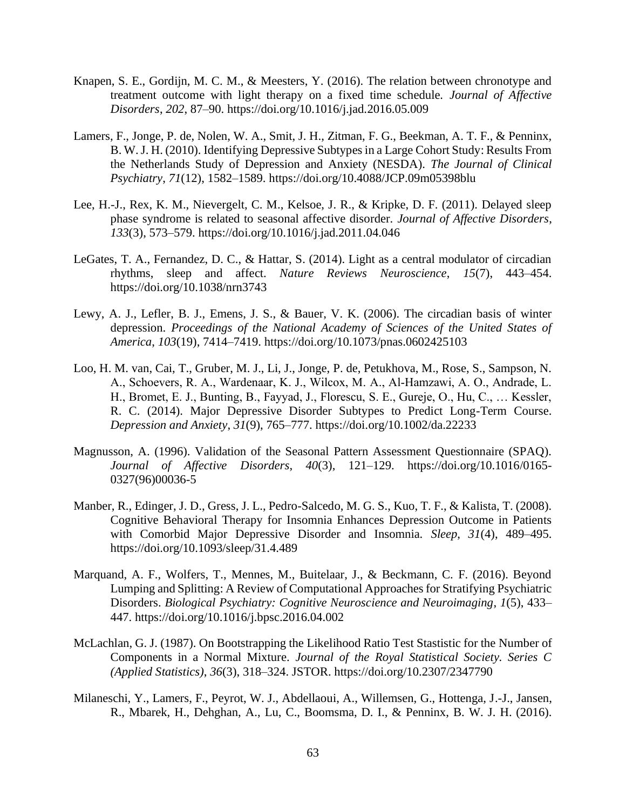- Knapen, S. E., Gordijn, M. C. M., & Meesters, Y. (2016). The relation between chronotype and treatment outcome with light therapy on a fixed time schedule. *Journal of Affective Disorders*, *202*, 87–90. https://doi.org/10.1016/j.jad.2016.05.009
- Lamers, F., Jonge, P. de, Nolen, W. A., Smit, J. H., Zitman, F. G., Beekman, A. T. F., & Penninx, B. W. J. H. (2010). Identifying Depressive Subtypes in a Large Cohort Study: Results From the Netherlands Study of Depression and Anxiety (NESDA). *The Journal of Clinical Psychiatry*, *71*(12), 1582–1589. https://doi.org/10.4088/JCP.09m05398blu
- Lee, H.-J., Rex, K. M., Nievergelt, C. M., Kelsoe, J. R., & Kripke, D. F. (2011). Delayed sleep phase syndrome is related to seasonal affective disorder. *Journal of Affective Disorders*, *133*(3), 573–579. https://doi.org/10.1016/j.jad.2011.04.046
- LeGates, T. A., Fernandez, D. C., & Hattar, S. (2014). Light as a central modulator of circadian rhythms, sleep and affect. *Nature Reviews Neuroscience*, *15*(7), 443–454. https://doi.org/10.1038/nrn3743
- Lewy, A. J., Lefler, B. J., Emens, J. S., & Bauer, V. K. (2006). The circadian basis of winter depression. *Proceedings of the National Academy of Sciences of the United States of America*, *103*(19), 7414–7419. https://doi.org/10.1073/pnas.0602425103
- Loo, H. M. van, Cai, T., Gruber, M. J., Li, J., Jonge, P. de, Petukhova, M., Rose, S., Sampson, N. A., Schoevers, R. A., Wardenaar, K. J., Wilcox, M. A., Al‐Hamzawi, A. O., Andrade, L. H., Bromet, E. J., Bunting, B., Fayyad, J., Florescu, S. E., Gureje, O., Hu, C., … Kessler, R. C. (2014). Major Depressive Disorder Subtypes to Predict Long-Term Course. *Depression and Anxiety*, *31*(9), 765–777. https://doi.org/10.1002/da.22233
- Magnusson, A. (1996). Validation of the Seasonal Pattern Assessment Questionnaire (SPAQ). *Journal of Affective Disorders*, *40*(3), 121–129. https://doi.org/10.1016/0165- 0327(96)00036-5
- Manber, R., Edinger, J. D., Gress, J. L., Pedro-Salcedo, M. G. S., Kuo, T. F., & Kalista, T. (2008). Cognitive Behavioral Therapy for Insomnia Enhances Depression Outcome in Patients with Comorbid Major Depressive Disorder and Insomnia. *Sleep*, *31*(4), 489–495. https://doi.org/10.1093/sleep/31.4.489
- Marquand, A. F., Wolfers, T., Mennes, M., Buitelaar, J., & Beckmann, C. F. (2016). Beyond Lumping and Splitting: A Review of Computational Approaches for Stratifying Psychiatric Disorders. *Biological Psychiatry: Cognitive Neuroscience and Neuroimaging*, *1*(5), 433– 447. https://doi.org/10.1016/j.bpsc.2016.04.002
- McLachlan, G. J. (1987). On Bootstrapping the Likelihood Ratio Test Stastistic for the Number of Components in a Normal Mixture. *Journal of the Royal Statistical Society. Series C (Applied Statistics)*, *36*(3), 318–324. JSTOR. https://doi.org/10.2307/2347790
- Milaneschi, Y., Lamers, F., Peyrot, W. J., Abdellaoui, A., Willemsen, G., Hottenga, J.-J., Jansen, R., Mbarek, H., Dehghan, A., Lu, C., Boomsma, D. I., & Penninx, B. W. J. H. (2016).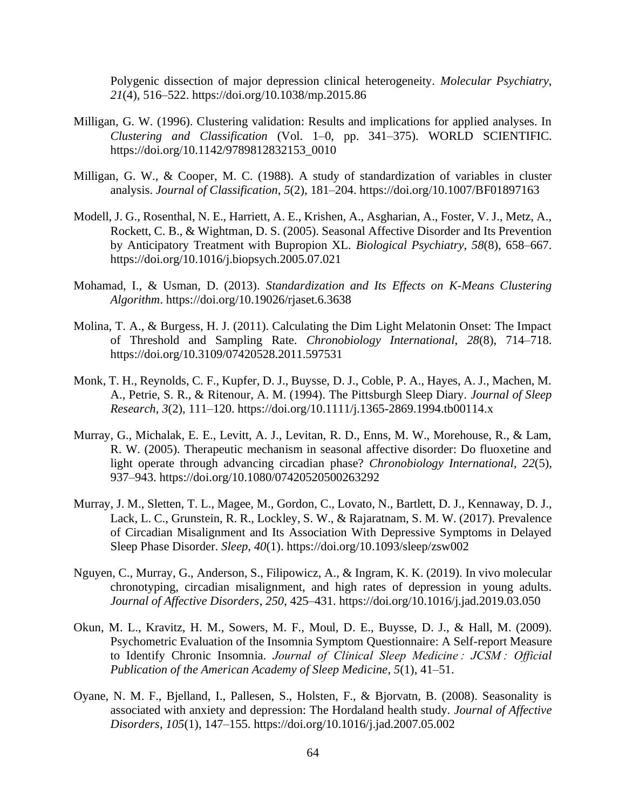Polygenic dissection of major depression clinical heterogeneity. *Molecular Psychiatry*, *21*(4), 516–522. https://doi.org/10.1038/mp.2015.86

- Milligan, G. W. (1996). Clustering validation: Results and implications for applied analyses. In *Clustering and Classification* (Vol. 1–0, pp. 341–375). WORLD SCIENTIFIC. https://doi.org/10.1142/9789812832153\_0010
- Milligan, G. W., & Cooper, M. C. (1988). A study of standardization of variables in cluster analysis. *Journal of Classification*, *5*(2), 181–204. https://doi.org/10.1007/BF01897163
- Modell, J. G., Rosenthal, N. E., Harriett, A. E., Krishen, A., Asgharian, A., Foster, V. J., Metz, A., Rockett, C. B., & Wightman, D. S. (2005). Seasonal Affective Disorder and Its Prevention by Anticipatory Treatment with Bupropion XL. *Biological Psychiatry*, *58*(8), 658–667. https://doi.org/10.1016/j.biopsych.2005.07.021
- Mohamad, I., & Usman, D. (2013). *Standardization and Its Effects on K-Means Clustering Algorithm*. https://doi.org/10.19026/rjaset.6.3638
- Molina, T. A., & Burgess, H. J. (2011). Calculating the Dim Light Melatonin Onset: The Impact of Threshold and Sampling Rate. *Chronobiology International*, *28*(8), 714–718. https://doi.org/10.3109/07420528.2011.597531
- Monk, T. H., Reynolds, C. F., Kupfer, D. J., Buysse, D. J., Coble, P. A., Hayes, A. J., Machen, M. A., Petrie, S. R., & Ritenour, A. M. (1994). The Pittsburgh Sleep Diary. *Journal of Sleep Research*, *3*(2), 111–120. https://doi.org/10.1111/j.1365-2869.1994.tb00114.x
- Murray, G., Michalak, E. E., Levitt, A. J., Levitan, R. D., Enns, M. W., Morehouse, R., & Lam, R. W. (2005). Therapeutic mechanism in seasonal affective disorder: Do fluoxetine and light operate through advancing circadian phase? *Chronobiology International*, *22*(5), 937–943. https://doi.org/10.1080/07420520500263292
- Murray, J. M., Sletten, T. L., Magee, M., Gordon, C., Lovato, N., Bartlett, D. J., Kennaway, D. J., Lack, L. C., Grunstein, R. R., Lockley, S. W., & Rajaratnam, S. M. W. (2017). Prevalence of Circadian Misalignment and Its Association With Depressive Symptoms in Delayed Sleep Phase Disorder. *Sleep*, *40*(1). https://doi.org/10.1093/sleep/zsw002
- Nguyen, C., Murray, G., Anderson, S., Filipowicz, A., & Ingram, K. K. (2019). In vivo molecular chronotyping, circadian misalignment, and high rates of depression in young adults. *Journal of Affective Disorders*, *250*, 425–431. https://doi.org/10.1016/j.jad.2019.03.050
- Okun, M. L., Kravitz, H. M., Sowers, M. F., Moul, D. E., Buysse, D. J., & Hall, M. (2009). Psychometric Evaluation of the Insomnia Symptom Questionnaire: A Self-report Measure to Identify Chronic Insomnia. *Journal of Clinical Sleep Medicine : JCSM : Official Publication of the American Academy of Sleep Medicine*, *5*(1), 41–51.
- Oyane, N. M. F., Bjelland, I., Pallesen, S., Holsten, F., & Bjorvatn, B. (2008). Seasonality is associated with anxiety and depression: The Hordaland health study. *Journal of Affective Disorders*, *105*(1), 147–155. https://doi.org/10.1016/j.jad.2007.05.002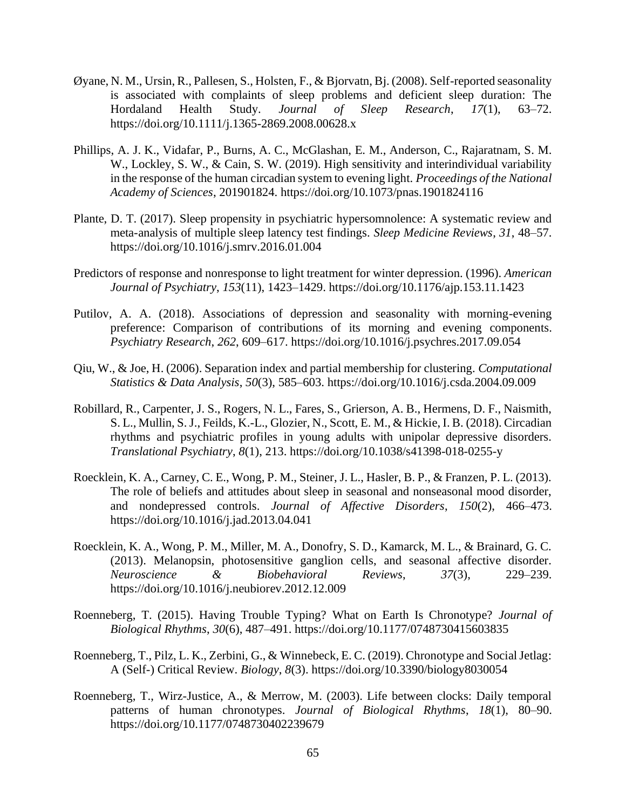- Øyane, N. M., Ursin, R., Pallesen, S., Holsten, F., & Bjorvatn, Bj. (2008). Self-reported seasonality is associated with complaints of sleep problems and deficient sleep duration: The Hordaland Health Study. *Journal of Sleep Research*, *17*(1), 63–72. https://doi.org/10.1111/j.1365-2869.2008.00628.x
- Phillips, A. J. K., Vidafar, P., Burns, A. C., McGlashan, E. M., Anderson, C., Rajaratnam, S. M. W., Lockley, S. W., & Cain, S. W. (2019). High sensitivity and interindividual variability in the response of the human circadian system to evening light. *Proceedings of the National Academy of Sciences*, 201901824. https://doi.org/10.1073/pnas.1901824116
- Plante, D. T. (2017). Sleep propensity in psychiatric hypersomnolence: A systematic review and meta-analysis of multiple sleep latency test findings. *Sleep Medicine Reviews*, *31*, 48–57. https://doi.org/10.1016/j.smrv.2016.01.004
- Predictors of response and nonresponse to light treatment for winter depression. (1996). *American Journal of Psychiatry*, *153*(11), 1423–1429. https://doi.org/10.1176/ajp.153.11.1423
- Putilov, A. A. (2018). Associations of depression and seasonality with morning-evening preference: Comparison of contributions of its morning and evening components. *Psychiatry Research*, *262*, 609–617. https://doi.org/10.1016/j.psychres.2017.09.054
- Qiu, W., & Joe, H. (2006). Separation index and partial membership for clustering. *Computational Statistics & Data Analysis*, *50*(3), 585–603. https://doi.org/10.1016/j.csda.2004.09.009
- Robillard, R., Carpenter, J. S., Rogers, N. L., Fares, S., Grierson, A. B., Hermens, D. F., Naismith, S. L., Mullin, S. J., Feilds, K.-L., Glozier, N., Scott, E. M., & Hickie, I. B. (2018). Circadian rhythms and psychiatric profiles in young adults with unipolar depressive disorders. *Translational Psychiatry*, *8*(1), 213. https://doi.org/10.1038/s41398-018-0255-y
- Roecklein, K. A., Carney, C. E., Wong, P. M., Steiner, J. L., Hasler, B. P., & Franzen, P. L. (2013). The role of beliefs and attitudes about sleep in seasonal and nonseasonal mood disorder, and nondepressed controls. *Journal of Affective Disorders*, *150*(2), 466–473. https://doi.org/10.1016/j.jad.2013.04.041
- Roecklein, K. A., Wong, P. M., Miller, M. A., Donofry, S. D., Kamarck, M. L., & Brainard, G. C. (2013). Melanopsin, photosensitive ganglion cells, and seasonal affective disorder. *Neuroscience & Biobehavioral Reviews*, *37*(3), 229–239. https://doi.org/10.1016/j.neubiorev.2012.12.009
- Roenneberg, T. (2015). Having Trouble Typing? What on Earth Is Chronotype? *Journal of Biological Rhythms*, *30*(6), 487–491. https://doi.org/10.1177/0748730415603835
- Roenneberg, T., Pilz, L. K., Zerbini, G., & Winnebeck, E. C. (2019). Chronotype and Social Jetlag: A (Self-) Critical Review. *Biology*, *8*(3). https://doi.org/10.3390/biology8030054
- Roenneberg, T., Wirz-Justice, A., & Merrow, M. (2003). Life between clocks: Daily temporal patterns of human chronotypes. *Journal of Biological Rhythms*, *18*(1), 80–90. https://doi.org/10.1177/0748730402239679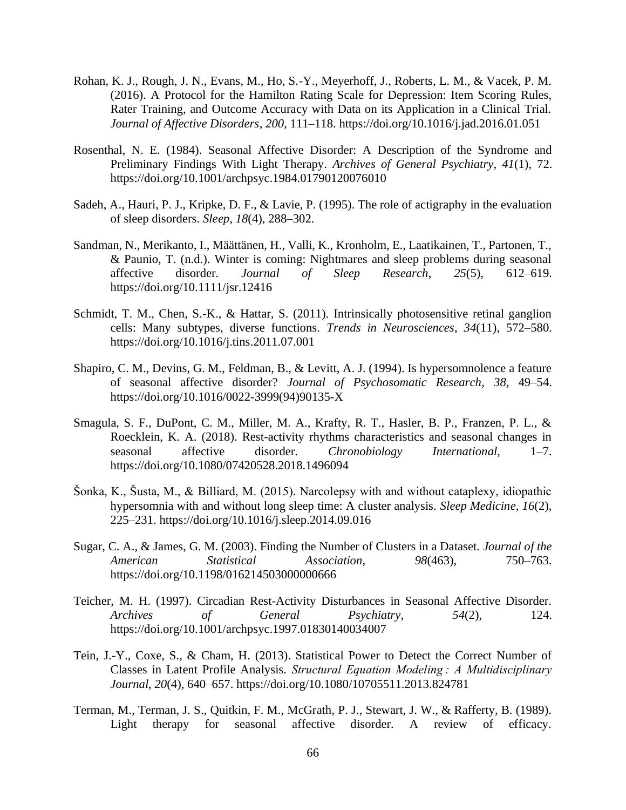- Rohan, K. J., Rough, J. N., Evans, M., Ho, S.-Y., Meyerhoff, J., Roberts, L. M., & Vacek, P. M. (2016). A Protocol for the Hamilton Rating Scale for Depression: Item Scoring Rules, Rater Training, and Outcome Accuracy with Data on its Application in a Clinical Trial. *Journal of Affective Disorders*, *200*, 111–118. https://doi.org/10.1016/j.jad.2016.01.051
- Rosenthal, N. E. (1984). Seasonal Affective Disorder: A Description of the Syndrome and Preliminary Findings With Light Therapy. *Archives of General Psychiatry*, *41*(1), 72. https://doi.org/10.1001/archpsyc.1984.01790120076010
- Sadeh, A., Hauri, P. J., Kripke, D. F., & Lavie, P. (1995). The role of actigraphy in the evaluation of sleep disorders. *Sleep*, *18*(4), 288–302.
- Sandman, N., Merikanto, I., Määttänen, H., Valli, K., Kronholm, E., Laatikainen, T., Partonen, T., & Paunio, T. (n.d.). Winter is coming: Nightmares and sleep problems during seasonal affective disorder. *Journal of Sleep Research*, *25*(5), 612–619. https://doi.org/10.1111/jsr.12416
- Schmidt, T. M., Chen, S.-K., & Hattar, S. (2011). Intrinsically photosensitive retinal ganglion cells: Many subtypes, diverse functions. *Trends in Neurosciences*, *34*(11), 572–580. https://doi.org/10.1016/j.tins.2011.07.001
- Shapiro, C. M., Devins, G. M., Feldman, B., & Levitt, A. J. (1994). Is hypersomnolence a feature of seasonal affective disorder? *Journal of Psychosomatic Research*, *38*, 49–54. https://doi.org/10.1016/0022-3999(94)90135-X
- Smagula, S. F., DuPont, C. M., Miller, M. A., Krafty, R. T., Hasler, B. P., Franzen, P. L., & Roecklein, K. A. (2018). Rest-activity rhythms characteristics and seasonal changes in seasonal affective disorder. *Chronobiology International*, 1–7. https://doi.org/10.1080/07420528.2018.1496094
- Šonka, K., Šusta, M., & Billiard, M. (2015). Narcolepsy with and without cataplexy, idiopathic hypersomnia with and without long sleep time: A cluster analysis. *Sleep Medicine*, *16*(2), 225–231. https://doi.org/10.1016/j.sleep.2014.09.016
- Sugar, C. A., & James, G. M. (2003). Finding the Number of Clusters in a Dataset. *Journal of the American Statistical Association*, *98*(463), 750–763. https://doi.org/10.1198/016214503000000666
- Teicher, M. H. (1997). Circadian Rest-Activity Disturbances in Seasonal Affective Disorder. *Archives of General Psychiatry*, *54*(2), 124. https://doi.org/10.1001/archpsyc.1997.01830140034007
- Tein, J.-Y., Coxe, S., & Cham, H. (2013). Statistical Power to Detect the Correct Number of Classes in Latent Profile Analysis. *Structural Equation Modeling : A Multidisciplinary Journal*, *20*(4), 640–657. https://doi.org/10.1080/10705511.2013.824781
- Terman, M., Terman, J. S., Quitkin, F. M., McGrath, P. J., Stewart, J. W., & Rafferty, B. (1989). Light therapy for seasonal affective disorder. A review of efficacy.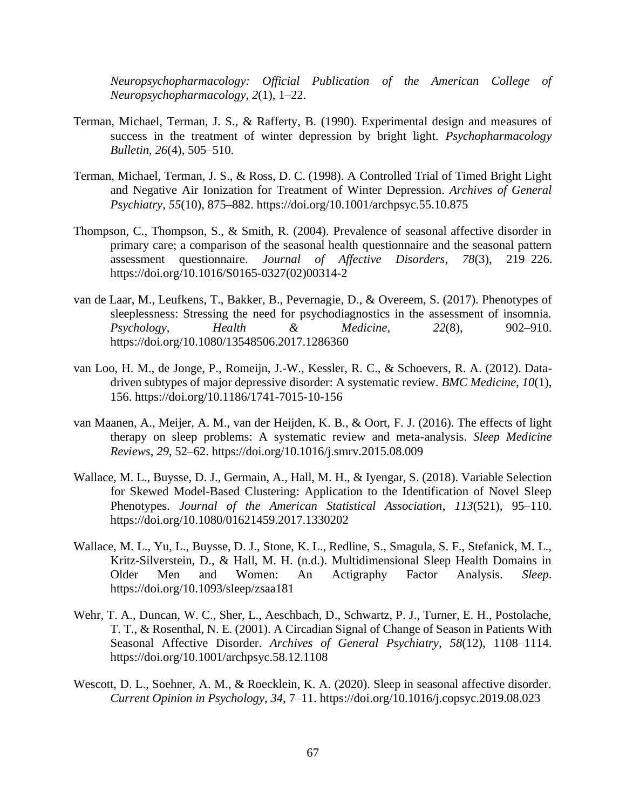*Neuropsychopharmacology: Official Publication of the American College of Neuropsychopharmacology*, *2*(1), 1–22.

- Terman, Michael, Terman, J. S., & Rafferty, B. (1990). Experimental design and measures of success in the treatment of winter depression by bright light. *Psychopharmacology Bulletin*, *26*(4), 505–510.
- Terman, Michael, Terman, J. S., & Ross, D. C. (1998). A Controlled Trial of Timed Bright Light and Negative Air Ionization for Treatment of Winter Depression. *Archives of General Psychiatry*, *55*(10), 875–882. https://doi.org/10.1001/archpsyc.55.10.875
- Thompson, C., Thompson, S., & Smith, R. (2004). Prevalence of seasonal affective disorder in primary care; a comparison of the seasonal health questionnaire and the seasonal pattern assessment questionnaire. *Journal of Affective Disorders*, *78*(3), 219–226. https://doi.org/10.1016/S0165-0327(02)00314-2
- van de Laar, M., Leufkens, T., Bakker, B., Pevernagie, D., & Overeem, S. (2017). Phenotypes of sleeplessness: Stressing the need for psychodiagnostics in the assessment of insomnia. *Psychology, Health & Medicine*, *22*(8), 902–910. https://doi.org/10.1080/13548506.2017.1286360
- van Loo, H. M., de Jonge, P., Romeijn, J.-W., Kessler, R. C., & Schoevers, R. A. (2012). Datadriven subtypes of major depressive disorder: A systematic review. *BMC Medicine*, *10*(1), 156. https://doi.org/10.1186/1741-7015-10-156
- van Maanen, A., Meijer, A. M., van der Heijden, K. B., & Oort, F. J. (2016). The effects of light therapy on sleep problems: A systematic review and meta-analysis. *Sleep Medicine Reviews*, *29*, 52–62. https://doi.org/10.1016/j.smrv.2015.08.009
- Wallace, M. L., Buysse, D. J., Germain, A., Hall, M. H., & Iyengar, S. (2018). Variable Selection for Skewed Model-Based Clustering: Application to the Identification of Novel Sleep Phenotypes. *Journal of the American Statistical Association*, *113*(521), 95–110. https://doi.org/10.1080/01621459.2017.1330202
- Wallace, M. L., Yu, L., Buysse, D. J., Stone, K. L., Redline, S., Smagula, S. F., Stefanick, M. L., Kritz-Silverstein, D., & Hall, M. H. (n.d.). Multidimensional Sleep Health Domains in Older Men and Women: An Actigraphy Factor Analysis. *Sleep*. https://doi.org/10.1093/sleep/zsaa181
- Wehr, T. A., Duncan, W. C., Sher, L., Aeschbach, D., Schwartz, P. J., Turner, E. H., Postolache, T. T., & Rosenthal, N. E. (2001). A Circadian Signal of Change of Season in Patients With Seasonal Affective Disorder. *Archives of General Psychiatry*, *58*(12), 1108–1114. https://doi.org/10.1001/archpsyc.58.12.1108
- Wescott, D. L., Soehner, A. M., & Roecklein, K. A. (2020). Sleep in seasonal affective disorder. *Current Opinion in Psychology*, *34*, 7–11. https://doi.org/10.1016/j.copsyc.2019.08.023